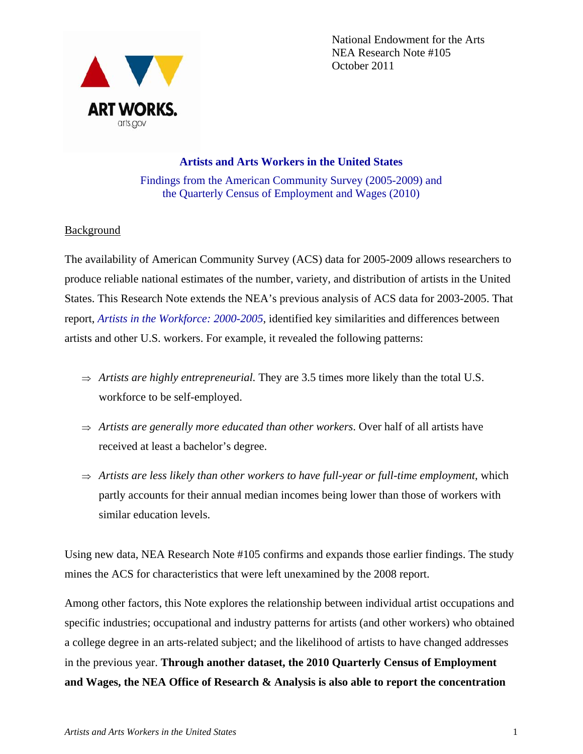

National Endowment for the Arts NEA Research Note #105 October 2011

# **Artists and Arts Workers in the United States**  Findings from the American Community Survey (2005-2009) and the Quarterly Census of Employment and Wages (2010)

# **Background**

The availability of American Community Survey (ACS) data for 2005-2009 allows researchers to produce reliable national estimates of the number, variety, and distribution of artists in the United States. This Research Note extends the NEA's previous analysis of ACS data for 2003-2005. That report, *Artists in the Workforce: 2000-2005*, identified key similarities and differences between artists and other U.S. workers. For example, it revealed the following patterns:

- $\Rightarrow$  *Artists are highly entrepreneurial.* They are 3.5 times more likely than the total U.S. workforce to be self-employed.
- $\Rightarrow$  Artists are generally more educated than other workers. Over half of all artists have received at least a bachelor's degree.
- $\Rightarrow$  Artists are less likely than other workers to have full-year or full-time employment, which partly accounts for their annual median incomes being lower than those of workers with similar education levels.

Using new data, NEA Research Note #105 confirms and expands those earlier findings. The study mines the ACS for characteristics that were left unexamined by the 2008 report.

Among other factors, this Note explores the relationship between individual artist occupations and specific industries; occupational and industry patterns for artists (and other workers) who obtained a college degree in an arts-related subject; and the likelihood of artists to have changed addresses in the previous year. **Through another dataset, the 2010 Quarterly Census of Employment and Wages, the NEA Office of Research & Analysis is also able to report the concentration**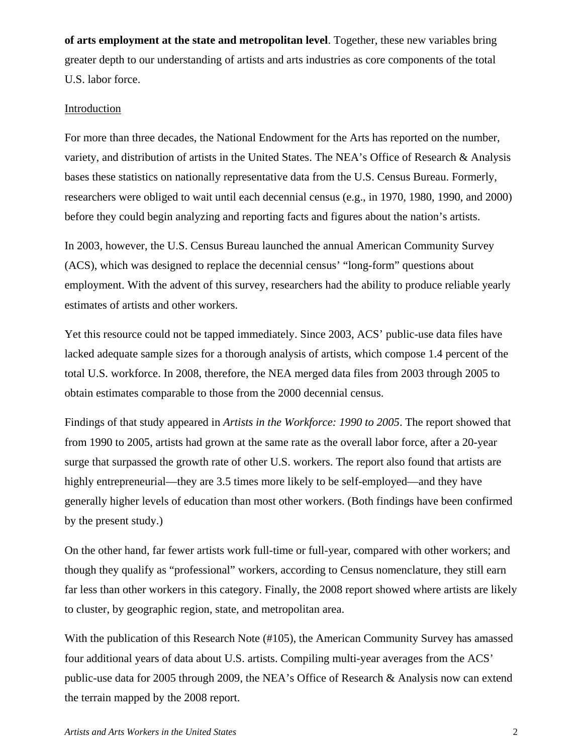**of arts employment at the state and metropolitan level**. Together, these new variables bring greater depth to our understanding of artists and arts industries as core components of the total U.S. labor force.

### Introduction

For more than three decades, the National Endowment for the Arts has reported on the number, variety, and distribution of artists in the United States. The NEA's Office of Research & Analysis bases these statistics on nationally representative data from the U.S. Census Bureau. Formerly, researchers were obliged to wait until each decennial census (e.g., in 1970, 1980, 1990, and 2000) before they could begin analyzing and reporting facts and figures about the nation's artists.

In 2003, however, the U.S. Census Bureau launched the annual American Community Survey (ACS), which was designed to replace the decennial census' "long-form" questions about employment. With the advent of this survey, researchers had the ability to produce reliable yearly estimates of artists and other workers.

Yet this resource could not be tapped immediately. Since 2003, ACS' public-use data files have lacked adequate sample sizes for a thorough analysis of artists, which compose 1.4 percent of the total U.S. workforce. In 2008, therefore, the NEA merged data files from 2003 through 2005 to obtain estimates comparable to those from the 2000 decennial census.

Findings of that study appeared in *Artists in the Workforce: 1990 to 2005*. The report showed that from 1990 to 2005, artists had grown at the same rate as the overall labor force, after a 20-year surge that surpassed the growth rate of other U.S. workers. The report also found that artists are highly entrepreneurial—they are 3.5 times more likely to be self-employed—and they have generally higher levels of education than most other workers. (Both findings have been confirmed by the present study.)

On the other hand, far fewer artists work full-time or full-year, compared with other workers; and though they qualify as "professional" workers, according to Census nomenclature, they still earn far less than other workers in this category. Finally, the 2008 report showed where artists are likely to cluster, by geographic region, state, and metropolitan area.

With the publication of this Research Note (#105), the American Community Survey has amassed four additional years of data about U.S. artists. Compiling multi-year averages from the ACS' public-use data for 2005 through 2009, the NEA's Office of Research & Analysis now can extend the terrain mapped by the 2008 report.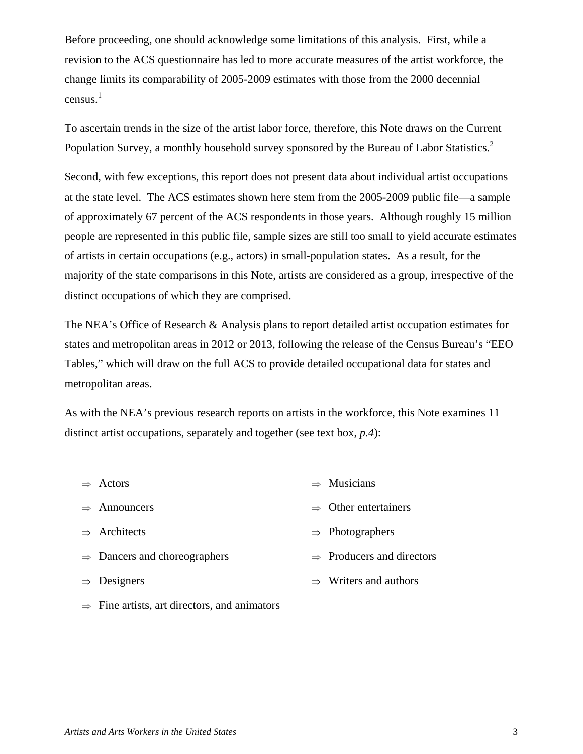Before proceeding, one should acknowledge some limitations of this analysis. First, while a revision to the ACS questionnaire has led to more accurate measures of the artist workforce, the change limits its comparability of 2005-2009 estimates with those from the 2000 decennial census. $<sup>1</sup>$ </sup>

To ascertain trends in the size of the artist labor force, therefore, this Note draws on the Current Population Survey, a monthly household survey sponsored by the Bureau of Labor Statistics.<sup>2</sup>

Second, with few exceptions, this report does not present data about individual artist occupations at the state level. The ACS estimates shown here stem from the 2005-2009 public file—a sample of approximately 67 percent of the ACS respondents in those years. Although roughly 15 million people are represented in this public file, sample sizes are still too small to yield accurate estimates of artists in certain occupations (e.g., actors) in small-population states. As a result, for the majority of the state comparisons in this Note, artists are considered as a group, irrespective of the distinct occupations of which they are comprised.

The NEA's Office of Research & Analysis plans to report detailed artist occupation estimates for states and metropolitan areas in 2012 or 2013, following the release of the Census Bureau's "EEO Tables," which will draw on the full ACS to provide detailed occupational data for states and metropolitan areas.

As with the NEA's previous research reports on artists in the workforce, this Note examines 11 distinct artist occupations, separately and together (see text box, *p.4*):

| $\Rightarrow$ | Actors                                   | $\Rightarrow$ Musicians               |
|---------------|------------------------------------------|---------------------------------------|
|               | $\Rightarrow$ Announcers                 | $\Rightarrow$ Other entertainers      |
|               | $\Rightarrow$ Architects                 | $\Rightarrow$ Photographers           |
|               | $\Rightarrow$ Dancers and choreographers | $\Rightarrow$ Producers and directors |
|               | $\Rightarrow$ Designers                  | $\Rightarrow$ Writers and authors     |
|               |                                          |                                       |

 $\Rightarrow$  Fine artists, art directors, and animators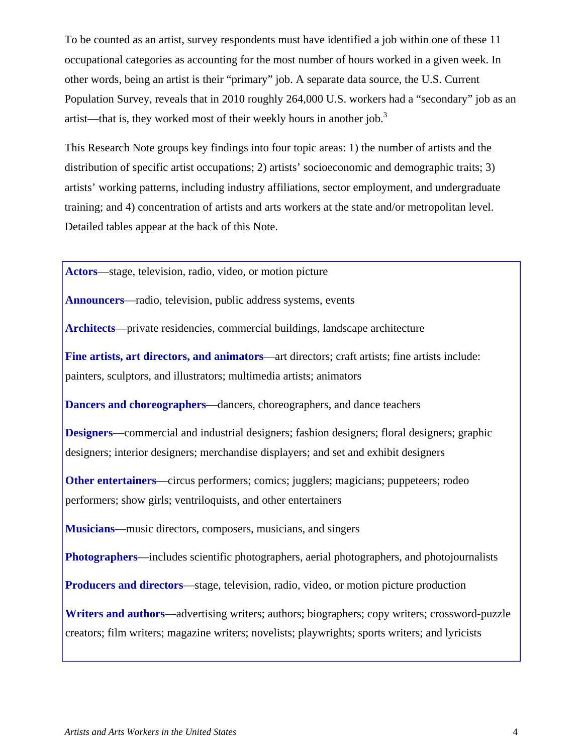To be counted as an artist, survey respondents must have identified a job within one of these 11 occupational categories as accounting for the most number of hours worked in a given week. In other words, being an artist is their "primary" job. A separate data source, the U.S. Current Population Survey, reveals that in 2010 roughly 264,000 U.S. workers had a "secondary" job as an artist—that is, they worked most of their weekly hours in another job.<sup>3</sup>

This Research Note groups key findings into four topic areas: 1) the number of artists and the distribution of specific artist occupations; 2) artists' socioeconomic and demographic traits; 3) artists' working patterns, including industry affiliations, sector employment, and undergraduate training; and 4) concentration of artists and arts workers at the state and/or metropolitan level. Detailed tables appear at the back of this Note.

**Actors**—stage, television, radio, video, or motion picture

**Announcers**—radio, television, public address systems, events

**Architects**—private residencies, commercial buildings, landscape architecture

**Fine artists, art directors, and animators**—art directors; craft artists; fine artists include: painters, sculptors, and illustrators; multimedia artists; animators

**Dancers and choreographers**—dancers, choreographers, and dance teachers

**Designers**—commercial and industrial designers; fashion designers; floral designers; graphic designers; interior designers; merchandise displayers; and set and exhibit designers

**Other entertainers—circus performers; comics; jugglers; magicians; puppeteers; rodeo** performers; show girls; ventriloquists, and other entertainers

**Musicians**—music directors, composers, musicians, and singers

**Photographers**—includes scientific photographers, aerial photographers, and photojournalists

**Producers and directors**—stage, television, radio, video, or motion picture production

**Writers and authors**—advertising writers; authors; biographers; copy writers; crossword-puzzle creators; film writers; magazine writers; novelists; playwrights; sports writers; and lyricists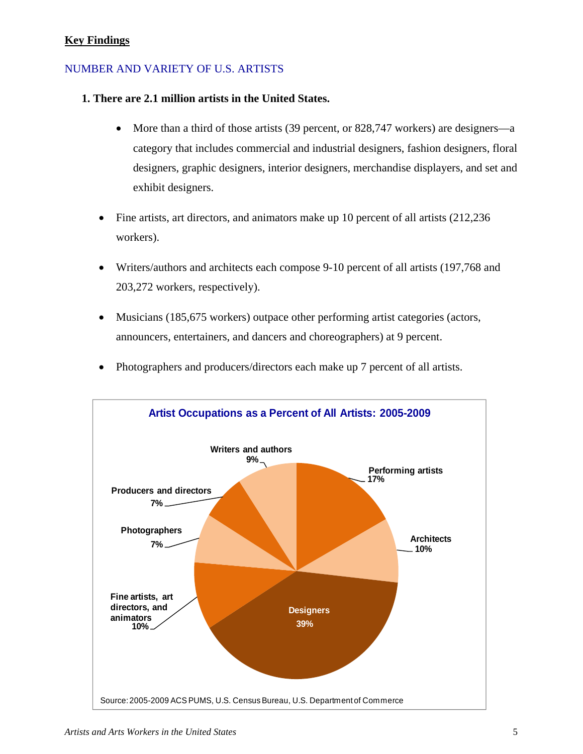# **Key Findings**

# NUMBER AND VARIETY OF U.S. ARTISTS

## **1. There are 2.1 million artists in the United States.**

- More than a third of those artists (39 percent, or 828,747 workers) are designers—a category that includes commercial and industrial designers, fashion designers, floral designers, graphic designers, interior designers, merchandise displayers, and set and exhibit designers.
- Fine artists, art directors, and animators make up 10 percent of all artists (212,236) workers).
- Writers/authors and architects each compose 9-10 percent of all artists (197,768 and 203,272 workers, respectively).
- Musicians (185,675 workers) outpace other performing artist categories (actors, announcers, entertainers, and dancers and choreographers) at 9 percent.
- Photographers and producers/directors each make up 7 percent of all artists.

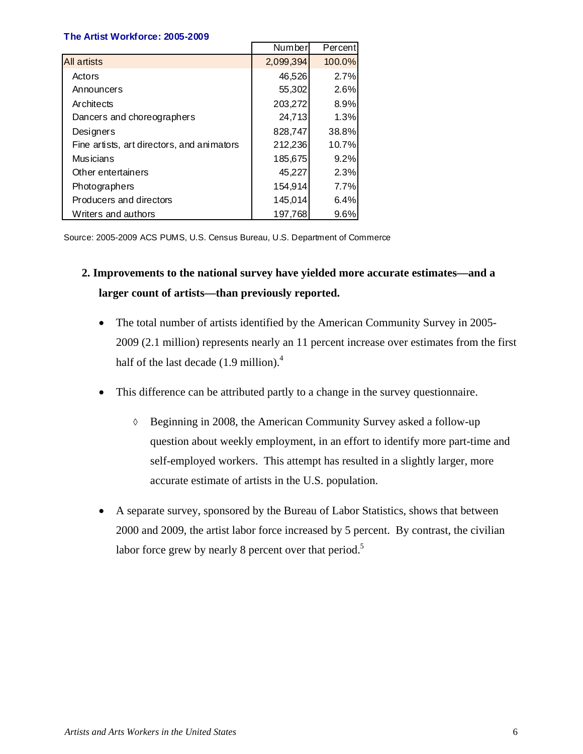#### **The Artist Workforce: 2005-2009**

|                                            | Number    | Percentl |
|--------------------------------------------|-----------|----------|
| <b>All artists</b>                         | 2,099,394 | 100.0%   |
| Actors                                     | 46,526    | 2.7%     |
| Announcers                                 | 55,302    | 2.6%     |
| Architects                                 | 203,272   | 8.9%     |
| Dancers and choreographers                 | 24,713    | 1.3%     |
| Designers                                  | 828,747   | 38.8%    |
| Fine artists, art directors, and animators | 212,236   | 10.7%    |
| <b>Musicians</b>                           | 185,675   | 9.2%     |
| Other entertainers                         | 45,227    | 2.3%     |
| Photographers                              | 154,914   | 7.7%     |
| Producers and directors                    | 145,014   | 6.4%     |
| Writers and authors                        | 197,768   | 9.6%     |

Source: 2005-2009 ACS PUMS, U.S. Census Bureau, U.S. Department of Commerce

# **2. Improvements to the national survey have yielded more accurate estimates—and a larger count of artists—than previously reported.**

- The total number of artists identified by the American Community Survey in 2005-2009 (2.1 million) represents nearly an 11 percent increase over estimates from the first half of the last decade  $(1.9 \text{ million})$ .<sup>4</sup>
- This difference can be attributed partly to a change in the survey questionnaire.
	- Beginning in 2008, the American Community Survey asked a follow-up question about weekly employment, in an effort to identify more part-time and self-employed workers. This attempt has resulted in a slightly larger, more accurate estimate of artists in the U.S. population.
- A separate survey, sponsored by the Bureau of Labor Statistics, shows that between 2000 and 2009, the artist labor force increased by 5 percent. By contrast, the civilian labor force grew by nearly 8 percent over that period.<sup>5</sup>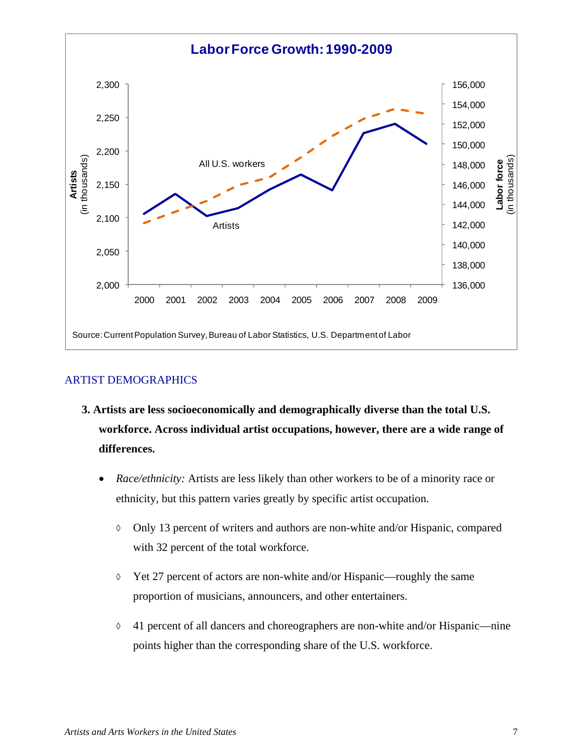

# ARTIST DEMOGRAPHICS

- **3. Artists are less socioeconomically and demographically diverse than the total U.S. workforce. Across individual artist occupations, however, there are a wide range of differences.** 
	- *Race/ethnicity:* Artists are less likely than other workers to be of a minority race or ethnicity, but this pattern varies greatly by specific artist occupation.
		- $\lozenge$  Only 13 percent of writers and authors are non-white and/or Hispanic, compared with 32 percent of the total workforce.
		- $\Diamond$  Yet 27 percent of actors are non-white and/or Hispanic—roughly the same proportion of musicians, announcers, and other entertainers.
		- $\lozenge$  41 percent of all dancers and choreographers are non-white and/or Hispanic—nine points higher than the corresponding share of the U.S. workforce.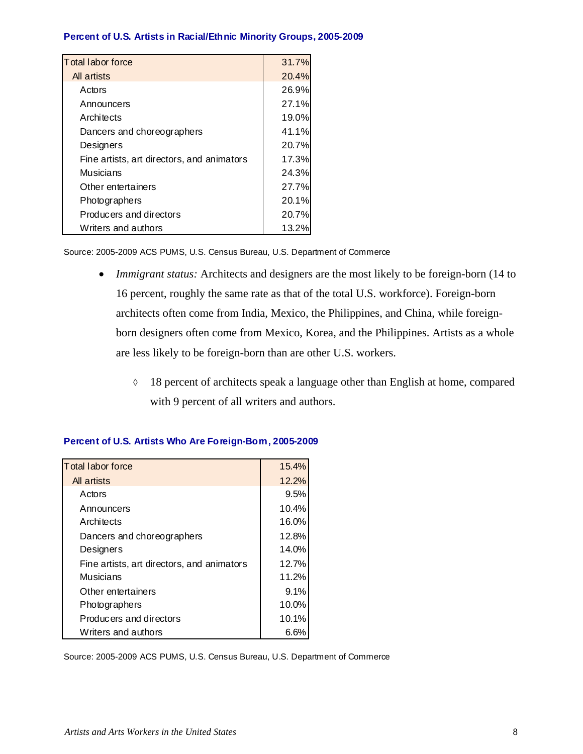#### **Percent of U.S. Artists in Racial/Ethnic Minority Groups, 2005-2009**

| Total labor force                          | 31.7% |
|--------------------------------------------|-------|
| All artists                                | 20.4% |
| Actors                                     | 26.9% |
| Announcers                                 | 27.1% |
| Architects                                 | 19.0% |
| Dancers and choreographers                 | 41.1% |
| Designers                                  | 20.7% |
| Fine artists, art directors, and animators | 17.3% |
| Musicians                                  | 24.3% |
| Other entertainers                         | 27.7% |
| Photographers                              | 20.1% |
| Producers and directors                    | 20.7% |
| Writers and authors                        | 13.2% |

Source: 2005-2009 ACS PUMS, U.S. Census Bureau, U.S. Department of Commerce

- *Immigrant status:* Architects and designers are the most likely to be foreign-born (14 to 16 percent, roughly the same rate as that of the total U.S. workforce). Foreign-born architects often come from India, Mexico, the Philippines, and China, while foreignborn designers often come from Mexico, Korea, and the Philippines. Artists as a whole are less likely to be foreign-born than are other U.S. workers.
	- 18 percent of architects speak a language other than English at home, compared with 9 percent of all writers and authors.

| Total labor force                          | 15.4% |
|--------------------------------------------|-------|
| All artists                                | 12.2% |
| Actors                                     | 9.5%  |
| Announcers                                 | 10.4% |
| Architects                                 | 16.0% |
| Dancers and choreographers                 | 12.8% |
| Designers                                  | 14.0% |
| Fine artists, art directors, and animators | 12.7% |
| Musicians                                  | 11.2% |
| Other entertainers                         | 9.1%  |
| Photographers                              | 10.0% |
| Producers and directors                    | 10.1% |
| Writers and authors                        | 6.6%  |

#### **Percent of U.S. Artists Who Are Foreign-Born, 2005-2009**

Source: 2005-2009 ACS PUMS, U.S. Census Bureau, U.S. Department of Commerce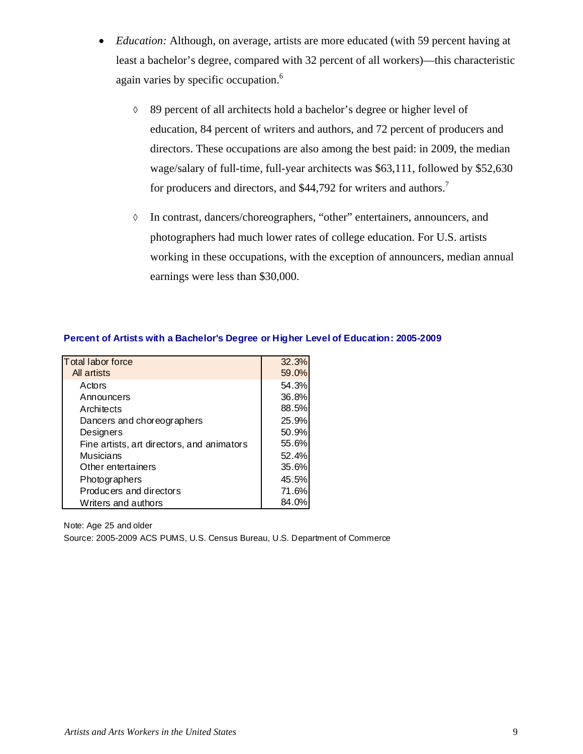- *Education:* Although, on average, artists are more educated (with 59 percent having at least a bachelor's degree, compared with 32 percent of all workers)—this characteristic again varies by specific occupation.<sup>6</sup>
	- 89 percent of all architects hold a bachelor's degree or higher level of education, 84 percent of writers and authors, and 72 percent of producers and directors. These occupations are also among the best paid: in 2009, the median wage/salary of full-time, full-year architects was \$63,111, followed by \$52,630 for producers and directors, and \$44,792 for writers and authors.<sup>7</sup>
	- In contrast, dancers/choreographers, "other" entertainers, announcers, and photographers had much lower rates of college education. For U.S. artists working in these occupations, with the exception of announcers, median annual earnings were less than \$30,000.

| <b>Total labor force</b>                   | 32.3% |
|--------------------------------------------|-------|
| All artists                                | 59.0% |
| Actors                                     | 54.3% |
| Announcers                                 | 36.8% |
| Architects                                 | 88.5% |
| Dancers and choreographers                 | 25.9% |
| Designers                                  | 50.9% |
| Fine artists, art directors, and animators | 55.6% |
| Musicians                                  | 52.4% |
| Other entertainers                         | 35.6% |
| Photographers                              | 45.5% |
| Producers and directors                    | 71.6% |
| Writers and authors                        | 84.0% |
|                                            |       |

#### **Percent of Artists with a Bachelor's Degree or Higher Level of Education: 2005-2009**

Note: Age 25 and older Source: 2005-2009 ACS PUMS, U.S. Census Bureau, U.S. Department of Commerce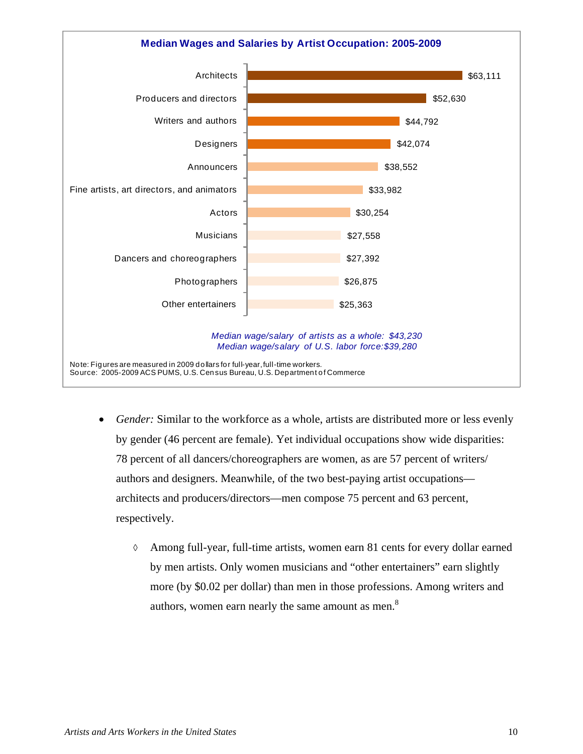

- *Gender:* Similar to the workforce as a whole, artists are distributed more or less evenly by gender (46 percent are female). Yet individual occupations show wide disparities: 78 percent of all dancers/choreographers are women, as are 57 percent of writers/ authors and designers. Meanwhile, of the two best-paying artist occupations architects and producers/directors—men compose 75 percent and 63 percent, respectively.
	- $\Diamond$  Among full-year, full-time artists, women earn 81 cents for every dollar earned by men artists. Only women musicians and "other entertainers" earn slightly more (by \$0.02 per dollar) than men in those professions. Among writers and authors, women earn nearly the same amount as men.<sup>8</sup>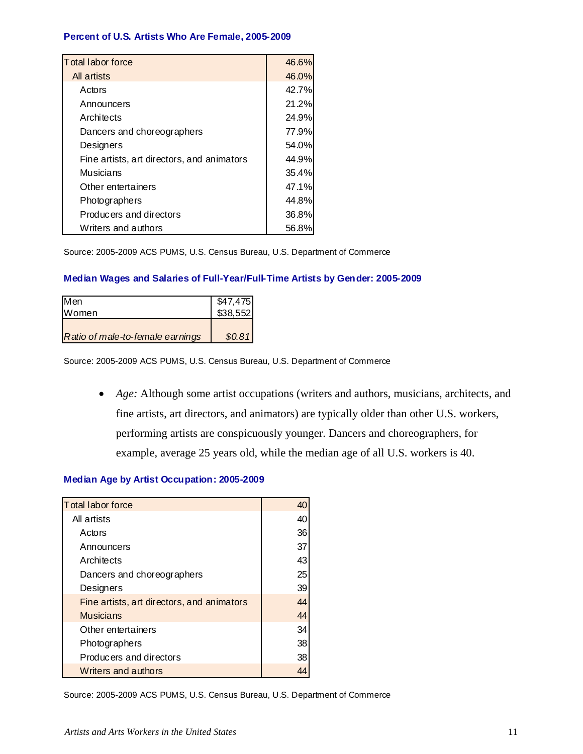#### **Percent of U.S. Artists Who Are Female, 2005-2009**

| Total labor force                          | 46.6% |
|--------------------------------------------|-------|
| All artists                                | 46.0% |
| Actors                                     | 42.7% |
| Announcers                                 | 21.2% |
| Architects                                 | 24.9% |
| Dancers and choreographers                 | 77.9% |
| Designers                                  | 54.0% |
| Fine artists, art directors, and animators | 44.9% |
| Musicians                                  | 35.4% |
| Other entertainers                         | 47.1% |
| Photographers                              | 44.8% |
| Producers and directors                    | 36.8% |
| Writers and authors                        | 56.8% |

Source: 2005-2009 ACS PUMS, U.S. Census Bureau, U.S. Department of Commerce

#### **Median Wages and Salaries of Full-Year/Full-Time Artists by Gender: 2005-2009**

| <b>I</b> Men                     | $$47,475$<br>$$38,552$ |
|----------------------------------|------------------------|
| <b>Women</b>                     |                        |
|                                  |                        |
| Ratio of male-to-female earnings | \$0.81                 |

Source: 2005-2009 ACS PUMS, U.S. Census Bureau, U.S. Department of Commerce

 *Age:* Although some artist occupations (writers and authors, musicians, architects, and fine artists, art directors, and animators) are typically older than other U.S. workers, performing artists are conspicuously younger. Dancers and choreographers, for example, average 25 years old, while the median age of all U.S. workers is 40.

#### **Median Age by Artist Occupation: 2005-2009**

| <b>Total labor force</b>                   |    |
|--------------------------------------------|----|
| All artists                                | 40 |
| Actors                                     | 36 |
| Announcers                                 | 37 |
| Architects                                 | 43 |
| Dancers and choreographers                 | 25 |
| Designers                                  | 39 |
| Fine artists, art directors, and animators | 44 |
| <b>Musicians</b>                           | 44 |
| Other entertainers                         | 34 |
| Photographers                              | 38 |
| Producers and directors                    | 38 |
| Writers and authors                        |    |

Source: 2005-2009 ACS PUMS, U.S. Census Bureau, U.S. Department of Commerce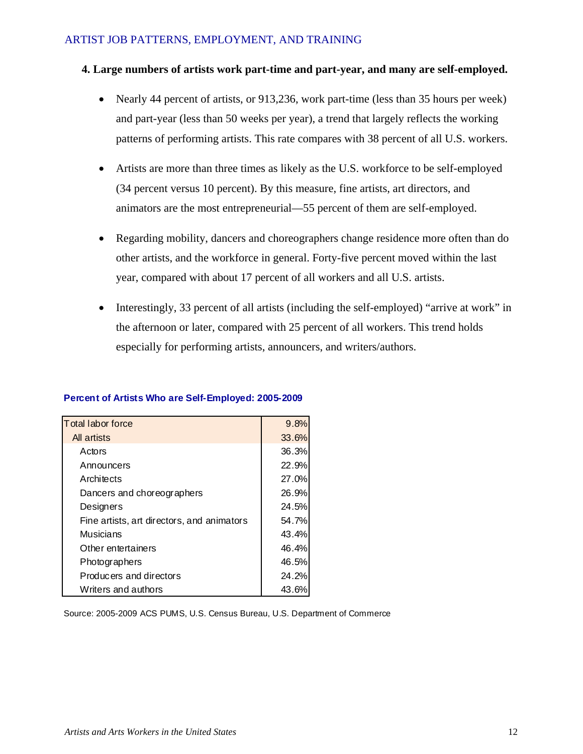### ARTIST JOB PATTERNS, EMPLOYMENT, AND TRAINING

### **4. Large numbers of artists work part-time and part-year, and many are self-employed.**

- Nearly 44 percent of artists, or 913,236, work part-time (less than 35 hours per week) and part-year (less than 50 weeks per year), a trend that largely reflects the working patterns of performing artists. This rate compares with 38 percent of all U.S. workers.
- Artists are more than three times as likely as the U.S. workforce to be self-employed (34 percent versus 10 percent). By this measure, fine artists, art directors, and animators are the most entrepreneurial—55 percent of them are self-employed.
- Regarding mobility, dancers and choreographers change residence more often than do other artists, and the workforce in general. Forty-five percent moved within the last year, compared with about 17 percent of all workers and all U.S. artists.
- Interestingly, 33 percent of all artists (including the self-employed) "arrive at work" in the afternoon or later, compared with 25 percent of all workers. This trend holds especially for performing artists, announcers, and writers/authors.

|  | Percent of Artists Who are Self-Employed: 2005-2009 |
|--|-----------------------------------------------------|
|--|-----------------------------------------------------|

| <b>Total labor force</b>                   | 9.8%  |
|--------------------------------------------|-------|
| All artists                                | 33.6% |
| Actors                                     | 36.3% |
| Announcers                                 | 22.9% |
| Architects                                 | 27.0% |
| Dancers and choreographers                 | 26.9% |
| Designers                                  | 24.5% |
| Fine artists, art directors, and animators | 54.7% |
| Musicians                                  | 43.4% |
| Other entertainers                         | 46.4% |
| Photographers                              | 46.5% |
| Producers and directors                    | 24.2% |
| Writers and authors                        | 43.6% |

Source: 2005-2009 ACS PUMS, U.S. Census Bureau, U.S. Department of Commerce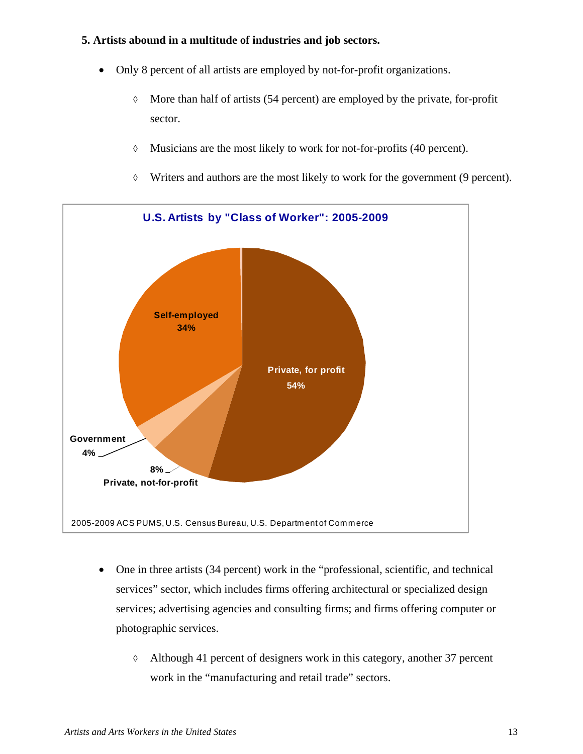## **5. Artists abound in a multitude of industries and job sectors.**

- Only 8 percent of all artists are employed by not-for-profit organizations.
	- $\lozenge$  More than half of artists (54 percent) are employed by the private, for-profit sector.
	- $\lozenge$  Musicians are the most likely to work for not-for-profits (40 percent).
	- Writers and authors are the most likely to work for the government (9 percent).



- One in three artists (34 percent) work in the "professional, scientific, and technical services" sector, which includes firms offering architectural or specialized design services; advertising agencies and consulting firms; and firms offering computer or photographic services.
	- Although 41 percent of designers work in this category, another 37 percent work in the "manufacturing and retail trade" sectors.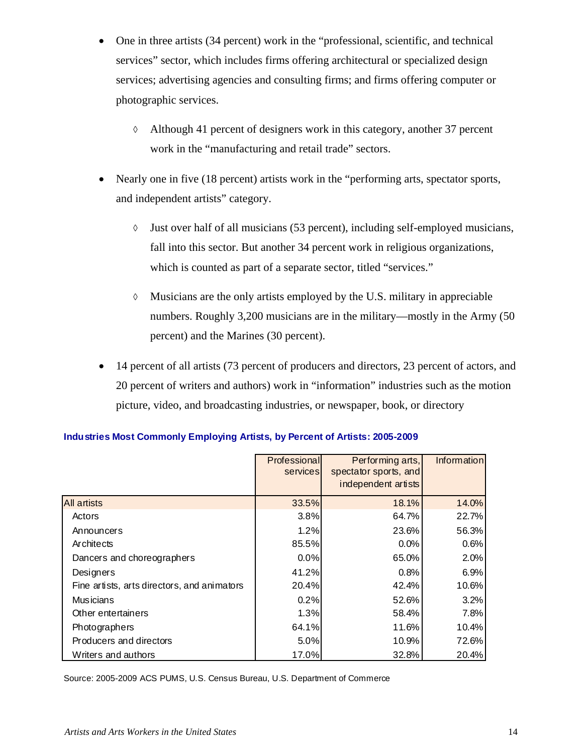- One in three artists (34 percent) work in the "professional, scientific, and technical services" sector, which includes firms offering architectural or specialized design services; advertising agencies and consulting firms; and firms offering computer or photographic services.
	- Although 41 percent of designers work in this category, another 37 percent work in the "manufacturing and retail trade" sectors.
- Nearly one in five (18 percent) artists work in the "performing arts, spectator sports, and independent artists" category.
	- $\Diamond$  Just over half of all musicians (53 percent), including self-employed musicians, fall into this sector. But another 34 percent work in religious organizations, which is counted as part of a separate sector, titled "services."
	- $\Diamond$  Musicians are the only artists employed by the U.S. military in appreciable numbers. Roughly 3,200 musicians are in the military—mostly in the Army (50 percent) and the Marines (30 percent).
- 14 percent of all artists (73 percent of producers and directors, 23 percent of actors, and 20 percent of writers and authors) work in "information" industries such as the motion picture, video, and broadcasting industries, or newspaper, book, or directory

|                                             | Professional<br>services | Performing arts,<br>spectator sports, and<br>independent artists | Information |
|---------------------------------------------|--------------------------|------------------------------------------------------------------|-------------|
|                                             |                          |                                                                  |             |
| <b>All artists</b>                          | 33.5%                    | 18.1%                                                            | 14.0%       |
| Actors                                      | 3.8%                     | 64.7%                                                            | 22.7%       |
| Announcers                                  | 1.2%                     | 23.6%                                                            | 56.3%       |
| Architects                                  | 85.5%                    | 0.0%                                                             | 0.6%        |
| Dancers and choreographers                  | 0.0%                     | 65.0%                                                            | 2.0%        |
| Designers                                   | 41.2%                    | 0.8%                                                             | 6.9%        |
| Fine artists, arts directors, and animators | 20.4%                    | 42.4%                                                            | 10.6%       |
| <b>Musicians</b>                            | 0.2%                     | 52.6%                                                            | 3.2%        |
| Other entertainers                          | 1.3%                     | 58.4%                                                            | 7.8%        |
| Photographers                               | 64.1%                    | 11.6%                                                            | 10.4%       |
| Producers and directors                     | 5.0%                     | 10.9%                                                            | 72.6%       |
| Writers and authors                         | 17.0%                    | 32.8%                                                            | 20.4%       |

### **Industries Most Commonly Employing Artists, by Percent of Artists: 2005-2009**

Source: 2005-2009 ACS PUMS, U.S. Census Bureau, U.S. Department of Commerce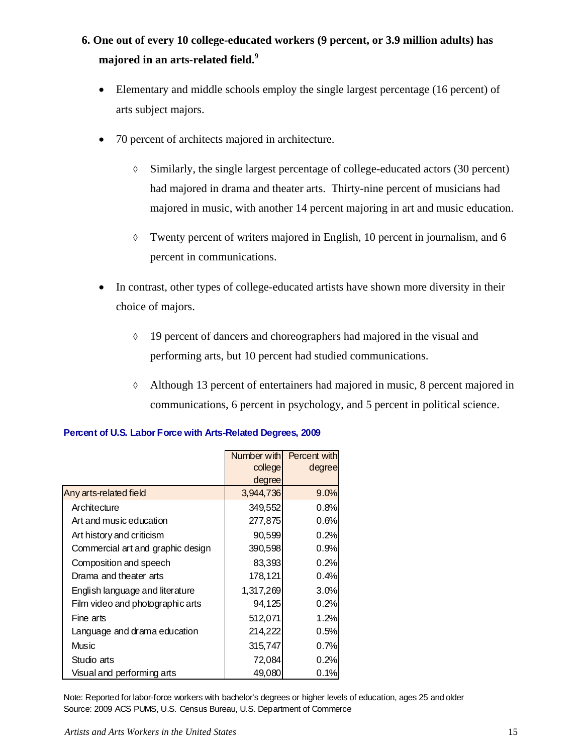# **6. One out of every 10 college-educated workers (9 percent, or 3.9 million adults) has majored in an arts-related field.<sup>9</sup>**

- Elementary and middle schools employ the single largest percentage (16 percent) of arts subject majors.
- 70 percent of architects majored in architecture.
	- $\Diamond$  Similarly, the single largest percentage of college-educated actors (30 percent) had majored in drama and theater arts. Thirty-nine percent of musicians had majored in music, with another 14 percent majoring in art and music education.
	- Twenty percent of writers majored in English, 10 percent in journalism, and 6 percent in communications.
- In contrast, other types of college-educated artists have shown more diversity in their choice of majors.
	- $\Diamond$  19 percent of dancers and choreographers had majored in the visual and performing arts, but 10 percent had studied communications.
	- Although 13 percent of entertainers had majored in music, 8 percent majored in communications, 6 percent in psychology, and 5 percent in political science.

|                                   | Number with | Percent with |
|-----------------------------------|-------------|--------------|
|                                   | college     | degree       |
|                                   | degree      |              |
| Any arts-related field            | 3,944,736   | 9.0%         |
| Architecture                      | 349,552     | 0.8%         |
| Art and music education           | 277,875     | 0.6%         |
| Art history and criticism         | 90,599      | 0.2%         |
| Commercial art and graphic design | 390,598     | 0.9%         |
| Composition and speech            | 83,393      | 0.2%         |
| Drama and theater arts            | 178,121     | 0.4%         |
| English language and literature   | 1,317,269   | 3.0%         |
| Film video and photographic arts  | 94,125      | 0.2%         |
| Fine arts                         | 512,071     | 1.2%         |
| Language and drama education      | 214,222     | 0.5%         |
| Music                             | 315,747     | 0.7%         |
| Studio arts                       | 72,084      | 0.2%         |
| Visual and performing arts        | 49,080      | $0.1\%$      |

#### **Percent of U.S. Labor Force with Arts-Related Degrees, 2009**

Note: Reported for labor-force workers with bachelor's degrees or higher levels of education, ages 25 and older Source: 2009 ACS PUMS, U.S. Census Bureau, U.S. Department of Commerce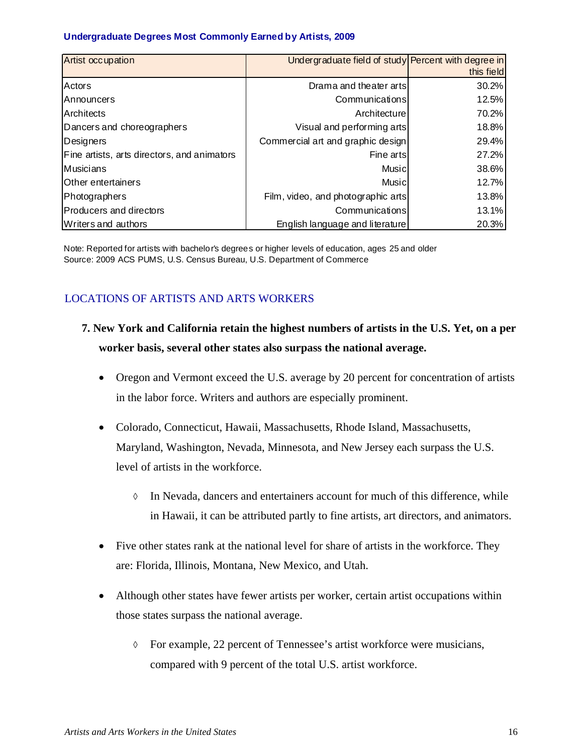#### **Undergraduate Degrees Most Commonly Earned by Artists, 2009**

| Artist occupation                           | Undergraduate field of study Percent with degree in |            |
|---------------------------------------------|-----------------------------------------------------|------------|
|                                             |                                                     | this field |
| Actors                                      | Drama and theater arts                              | 30.2%      |
| <b>IAnnouncers</b>                          | Communications                                      | 12.5%      |
| Architects                                  | Architecture                                        | 70.2%      |
| Dancers and choreographers                  | Visual and performing arts                          | 18.8%      |
| Designers                                   | Commercial art and graphic design                   | 29.4%      |
| Fine artists, arts directors, and animators | Fine arts                                           | 27.2%      |
| Musicians                                   | Musicl                                              | 38.6%      |
| Other entertainers                          | Music                                               | 12.7%      |
| Photographers                               | Film, video, and photographic arts                  | 13.8%      |
| Producers and directors                     | Communications                                      | 13.1%      |
| Writers and authors                         | English language and literature                     | 20.3%      |

Note: Reported for artists with bachelor's degrees or higher levels of education, ages 25 and older Source: 2009 ACS PUMS, U.S. Census Bureau, U.S. Department of Commerce

# LOCATIONS OF ARTISTS AND ARTS WORKERS

- **7. New York and California retain the highest numbers of artists in the U.S. Yet, on a per worker basis, several other states also surpass the national average.** 
	- Oregon and Vermont exceed the U.S. average by 20 percent for concentration of artists in the labor force. Writers and authors are especially prominent.
	- Colorado, Connecticut, Hawaii, Massachusetts, Rhode Island, Massachusetts, Maryland, Washington, Nevada, Minnesota, and New Jersey each surpass the U.S. level of artists in the workforce.
		- $\Diamond$  In Nevada, dancers and entertainers account for much of this difference, while in Hawaii, it can be attributed partly to fine artists, art directors, and animators.
	- Five other states rank at the national level for share of artists in the workforce. They are: Florida, Illinois, Montana, New Mexico, and Utah.
	- Although other states have fewer artists per worker, certain artist occupations within those states surpass the national average.
		- $\lozenge$  For example, 22 percent of Tennessee's artist workforce were musicians, compared with 9 percent of the total U.S. artist workforce.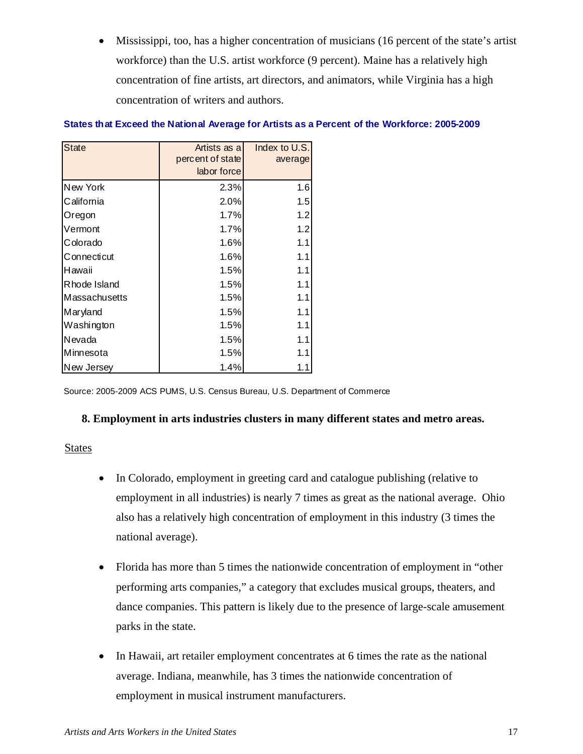Mississippi, too, has a higher concentration of musicians (16 percent of the state's artist workforce) than the U.S. artist workforce (9 percent). Maine has a relatively high concentration of fine artists, art directors, and animators, while Virginia has a high concentration of writers and authors.

| <b>State</b>         | Artists as all<br>percent of state<br>labor force | Index to U.S.<br>average |
|----------------------|---------------------------------------------------|--------------------------|
| New York             | 2.3%                                              | 1.6                      |
| California           | 2.0%                                              | 1.5                      |
| Oregon               | 1.7%                                              | 1.2                      |
| Vermont              | 1.7%                                              | 1.2                      |
| Colorado             | 1.6%                                              | 1.1                      |
| Connecticut          | 1.6%                                              | 1.1                      |
| Hawaii               | 1.5%                                              | 1.1                      |
| Rhode Island         | 1.5%                                              | 1.1                      |
| <b>Massachusetts</b> | 1.5%                                              | 1.1                      |
| Maryland             | 1.5%                                              | 1.1                      |
| Washington           | 1.5%                                              | 1.1                      |
| Nevada               | 1.5%                                              | 1.1                      |
| Minnesota            | 1.5%                                              | 1.1                      |
| New Jersey           | 1.4%                                              | 1.1                      |

#### **States that Exceed the National Average for Artists as a Percent of the Workforce: 2005-2009**

Source: 2005-2009 ACS PUMS, U.S. Census Bureau, U.S. Department of Commerce

### **8. Employment in arts industries clusters in many different states and metro areas.**

#### **States**

- In Colorado, employment in greeting card and catalogue publishing (relative to employment in all industries) is nearly 7 times as great as the national average. Ohio also has a relatively high concentration of employment in this industry (3 times the national average).
- Florida has more than 5 times the nationwide concentration of employment in "other performing arts companies," a category that excludes musical groups, theaters, and dance companies. This pattern is likely due to the presence of large-scale amusement parks in the state.
- In Hawaii, art retailer employment concentrates at 6 times the rate as the national average. Indiana, meanwhile, has 3 times the nationwide concentration of employment in musical instrument manufacturers.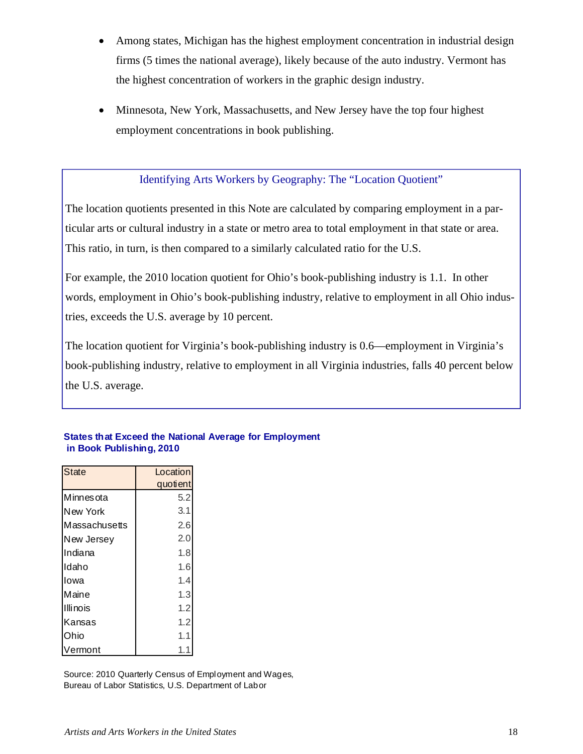- Among states, Michigan has the highest employment concentration in industrial design firms (5 times the national average), likely because of the auto industry. Vermont has the highest concentration of workers in the graphic design industry.
- Minnesota, New York, Massachusetts, and New Jersey have the top four highest employment concentrations in book publishing.

### Identifying Arts Workers by Geography: The "Location Quotient"

The location quotients presented in this Note are calculated by comparing employment in a particular arts or cultural industry in a state or metro area to total employment in that state or area. This ratio, in turn, is then compared to a similarly calculated ratio for the U.S.

For example, the 2010 location quotient for Ohio's book-publishing industry is 1.1. In other words, employment in Ohio's book-publishing industry, relative to employment in all Ohio industries, exceeds the U.S. average by 10 percent.

The location quotient for Virginia's book-publishing industry is 0.6—employment in Virginia's book-publishing industry, relative to employment in all Virginia industries, falls 40 percent below the U.S. average.

| <b>State</b>    | Location |
|-----------------|----------|
|                 | quotient |
| Minnesota       | 5.2      |
| New York        | 3.1      |
| Massachusetts   | 2.6      |
| New Jersey      | 2.0      |
| Indiana         | 1.8      |
| Idaho           | 1.6      |
| Iowa            | 1.4      |
| Maine           | 1.3      |
| <b>Illinois</b> | 1.2      |
| Kansas          | 1.2      |
| Ohio            | 1.1      |
| Vermont         | 1.1      |

### **States that Exceed the National Average for Employment in Book Publishing, 2010**

Source: 2010 Quarterly Census of Employment and Wages, Bureau of Labor Statistics, U.S. Department of Labor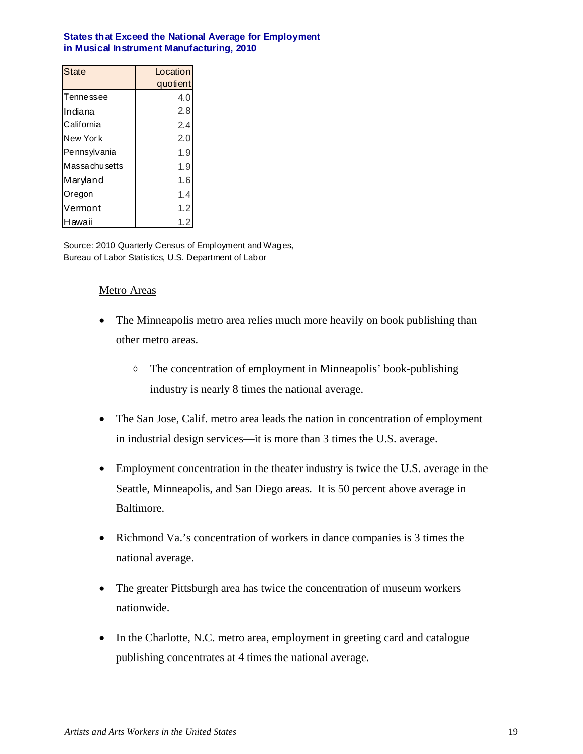#### **States that Exceed the National Average for Employment in Musical Instrument Manufacturing, 2010**

| State                | Location |  |  |
|----------------------|----------|--|--|
|                      | quotient |  |  |
| Tenne ssee           | 4.0      |  |  |
| Indiana              | 2.8      |  |  |
| California           | 2.4      |  |  |
| New York             | 2.0      |  |  |
| Pennsylvania         | 1.9      |  |  |
| <b>Massachusetts</b> | 1.9      |  |  |
| Maryland             | 1.6      |  |  |
| Oregon               | 1.4      |  |  |
| Vermont              | 1.2      |  |  |
| Hawaii               | 1.2      |  |  |

Source: 2010 Quarterly Census of Employment and Wages, Bureau of Labor Statistics, U.S. Department of Labor

### Metro Areas

- The Minneapolis metro area relies much more heavily on book publishing than other metro areas.
	- The concentration of employment in Minneapolis' book-publishing industry is nearly 8 times the national average.
- The San Jose, Calif. metro area leads the nation in concentration of employment in industrial design services—it is more than 3 times the U.S. average.
- Employment concentration in the theater industry is twice the U.S. average in the Seattle, Minneapolis, and San Diego areas. It is 50 percent above average in Baltimore.
- Richmond Va.'s concentration of workers in dance companies is 3 times the national average.
- The greater Pittsburgh area has twice the concentration of museum workers nationwide.
- In the Charlotte, N.C. metro area, employment in greeting card and catalogue publishing concentrates at 4 times the national average.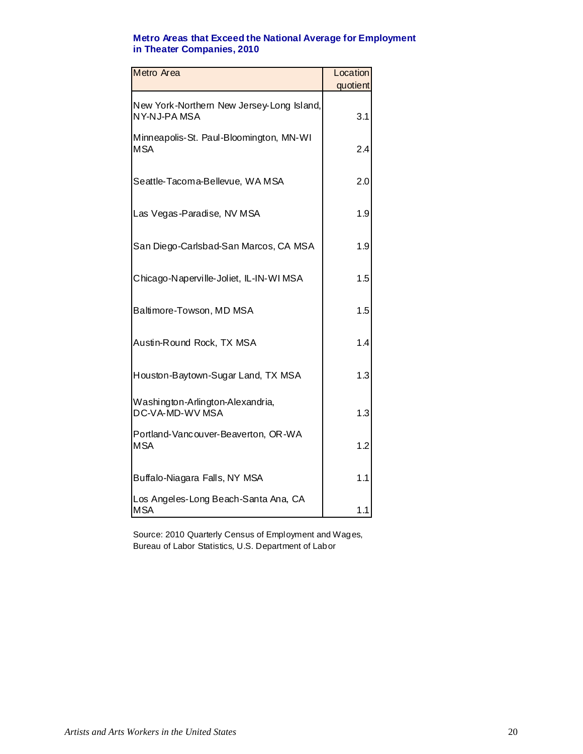### **Metro Areas that Exceed the National Average for Employment in Theater Companies, 2010**

| Metro Area                                               | Location |
|----------------------------------------------------------|----------|
|                                                          | quotient |
| New York-Northern New Jersey-Long Island,<br>NY-NJ-PAMSA | 3.1      |
| Minneapolis-St. Paul-Bloomington, MN-WI<br><b>MSA</b>    | 2.4      |
| Seattle-Tacoma-Bellevue, WA MSA                          | 2.0      |
| Las Vegas-Paradise, NV MSA                               | 1.9      |
| San Diego-Carlsbad-San Marcos, CA MSA                    | 1.9      |
| Chicago-Naperville-Joliet, IL-IN-WIMSA                   | 1.5      |
| Baltimore-Towson, MD MSA                                 | 1.5      |
| Austin-Round Rock, TX MSA                                | 1.4      |
| Houston-Baytown-Sugar Land, TX MSA                       | 1.3      |
| Washington-Arlington-Alexandria,<br>DC-VA-MD-WV MSA      | 1.3      |
| Portland-Vancouver-Beaverton, OR-WA<br><b>MSA</b>        | 1.2      |
| Buffalo-Niagara Falls, NY MSA                            | 1.1      |
| Los Angeles-Long Beach-Santa Ana, CA<br><b>MSA</b>       | 1.1      |

Source: 2010 Quarterly Census of Employment and Wages, Bureau of Labor Statistics, U.S. Department of Labor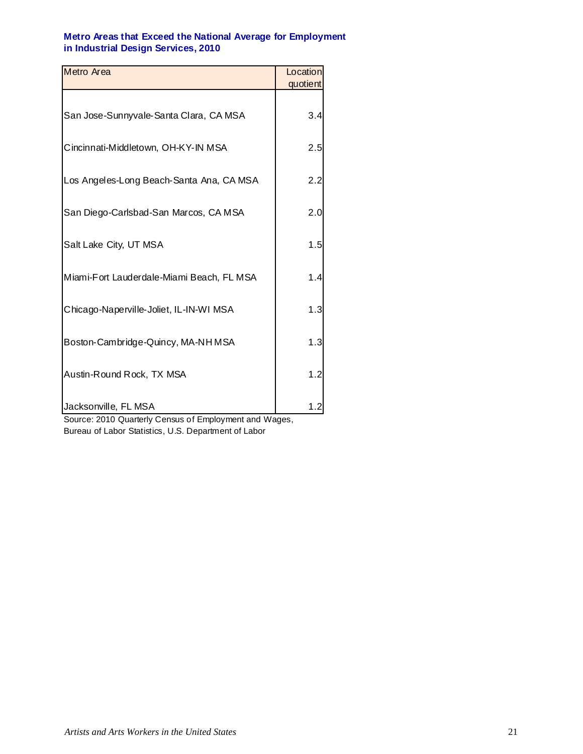#### **Metro Areas that Exceed the National Average for Employment in Industrial Design Services, 2010**

| Metro Area                                | Location        |
|-------------------------------------------|-----------------|
|                                           | quotient        |
| San Jose-Sunnyvale-Santa Clara, CA MSA    | 3.4             |
| Cincinnati-Middletown, OH-KY-IN MSA       | 2.5             |
| Los Angeles-Long Beach-Santa Ana, CA MSA  | 2.2             |
| San Diego-Carlsbad-San Marcos, CA MSA     | 2. <sub>C</sub> |
| Salt Lake City, UT MSA                    | 1.5             |
| Miami-Fort Lauderdale-Miami Beach, FL MSA | 1.4             |
| Chicago-Naperville-Joliet, IL-IN-WI MSA   | 1.3             |
| Boston-Cambridge-Quincy, MA-NH MSA        | 1.3             |
| Austin-Round Rock, TX MSA                 | 1.2             |
| Jacksonville, FL MSA                      |                 |

Source: 2010 Quarterly Census of Employment and Wages, Bureau of Labor Statistics, U.S. Department of Labor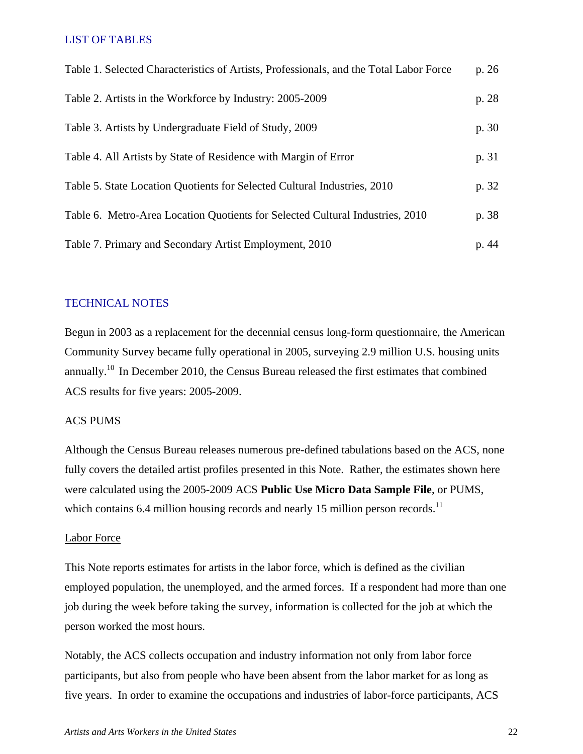### LIST OF TABLES

| Table 1. Selected Characteristics of Artists, Professionals, and the Total Labor Force | p. 26 |
|----------------------------------------------------------------------------------------|-------|
| Table 2. Artists in the Workforce by Industry: 2005-2009                               | p. 28 |
| Table 3. Artists by Undergraduate Field of Study, 2009                                 | p. 30 |
| Table 4. All Artists by State of Residence with Margin of Error                        | p. 31 |
| Table 5. State Location Quotients for Selected Cultural Industries, 2010               | p. 32 |
| Table 6. Metro-Area Location Quotients for Selected Cultural Industries, 2010          | p. 38 |
| Table 7. Primary and Secondary Artist Employment, 2010                                 | p. 44 |

### TECHNICAL NOTES

Begun in 2003 as a replacement for the decennial census long-form questionnaire, the American Community Survey became fully operational in 2005, surveying 2.9 million U.S. housing units annually.10 In December 2010, the Census Bureau released the first estimates that combined ACS results for five years: 2005-2009.

### ACS PUMS

Although the Census Bureau releases numerous pre-defined tabulations based on the ACS, none fully covers the detailed artist profiles presented in this Note. Rather, the estimates shown here were calculated using the 2005-2009 ACS **Public Use Micro Data Sample File**, or PUMS, which contains 6.4 million housing records and nearly 15 million person records.<sup>11</sup>

#### Labor Force

This Note reports estimates for artists in the labor force, which is defined as the civilian employed population, the unemployed, and the armed forces. If a respondent had more than one job during the week before taking the survey, information is collected for the job at which the person worked the most hours.

Notably, the ACS collects occupation and industry information not only from labor force participants, but also from people who have been absent from the labor market for as long as five years. In order to examine the occupations and industries of labor-force participants, ACS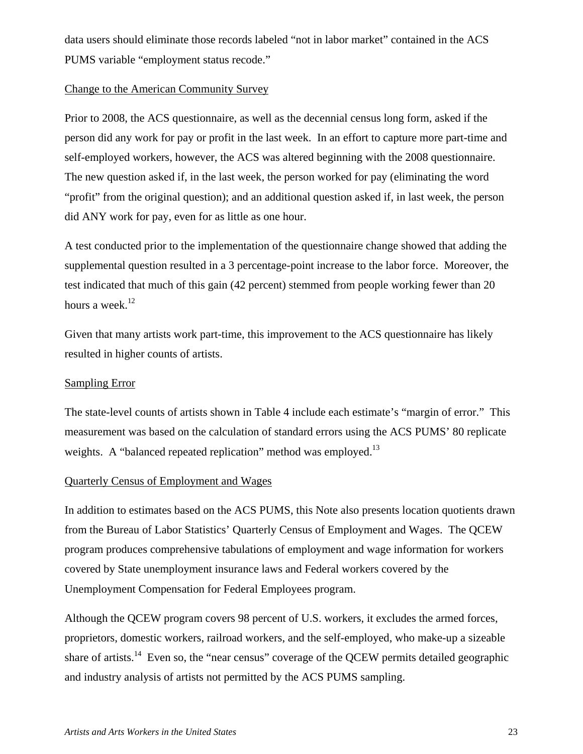data users should eliminate those records labeled "not in labor market" contained in the ACS PUMS variable "employment status recode."

### Change to the American Community Survey

Prior to 2008, the ACS questionnaire, as well as the decennial census long form, asked if the person did any work for pay or profit in the last week. In an effort to capture more part-time and self-employed workers, however, the ACS was altered beginning with the 2008 questionnaire. The new question asked if, in the last week, the person worked for pay (eliminating the word "profit" from the original question); and an additional question asked if, in last week, the person did ANY work for pay, even for as little as one hour.

A test conducted prior to the implementation of the questionnaire change showed that adding the supplemental question resulted in a 3 percentage-point increase to the labor force. Moreover, the test indicated that much of this gain (42 percent) stemmed from people working fewer than 20 hours a week.<sup>12</sup>

Given that many artists work part-time, this improvement to the ACS questionnaire has likely resulted in higher counts of artists.

### Sampling Error

The state-level counts of artists shown in Table 4 include each estimate's "margin of error." This measurement was based on the calculation of standard errors using the ACS PUMS' 80 replicate weights. A "balanced repeated replication" method was employed.<sup>13</sup>

## Quarterly Census of Employment and Wages

In addition to estimates based on the ACS PUMS, this Note also presents location quotients drawn from the Bureau of Labor Statistics' Quarterly Census of Employment and Wages. The QCEW program produces comprehensive tabulations of employment and wage information for workers covered by State unemployment insurance laws and Federal workers covered by the Unemployment Compensation for Federal Employees program.

Although the QCEW program covers 98 percent of U.S. workers, it excludes the armed forces, proprietors, domestic workers, railroad workers, and the self-employed, who make-up a sizeable share of artists.<sup>14</sup> Even so, the "near census" coverage of the QCEW permits detailed geographic and industry analysis of artists not permitted by the ACS PUMS sampling.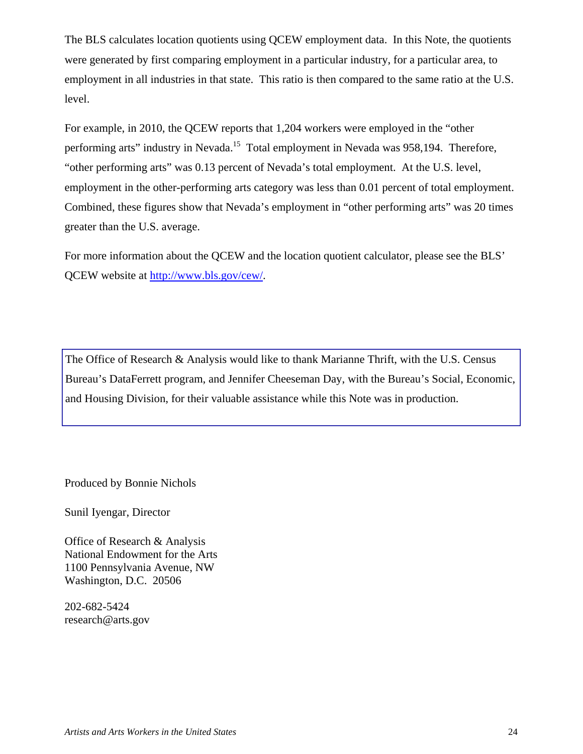The BLS calculates location quotients using QCEW employment data. In this Note, the quotients were generated by first comparing employment in a particular industry, for a particular area, to employment in all industries in that state. This ratio is then compared to the same ratio at the U.S. level.

For example, in 2010, the QCEW reports that 1,204 workers were employed in the "other performing arts" industry in Nevada.<sup>15</sup> Total employment in Nevada was 958,194. Therefore, "other performing arts" was 0.13 percent of Nevada's total employment. At the U.S. level, employment in the other-performing arts category was less than 0.01 percent of total employment. Combined, these figures show that Nevada's employment in "other performing arts" was 20 times greater than the U.S. average.

For more information about the QCEW and the location quotient calculator, please see the BLS' QCEW website at http://www.bls.gov/cew/.

The Office of Research & Analysis would like to thank Marianne Thrift, with the U.S. Census Bureau's DataFerrett program, and Jennifer Cheeseman Day, with the Bureau's Social, Economic, and Housing Division, for their valuable assistance while this Note was in production.

Produced by Bonnie Nichols

Sunil Iyengar, Director

Office of Research & Analysis National Endowment for the Arts 1100 Pennsylvania Avenue, NW Washington, D.C. 20506

202-682-5424 research@arts.gov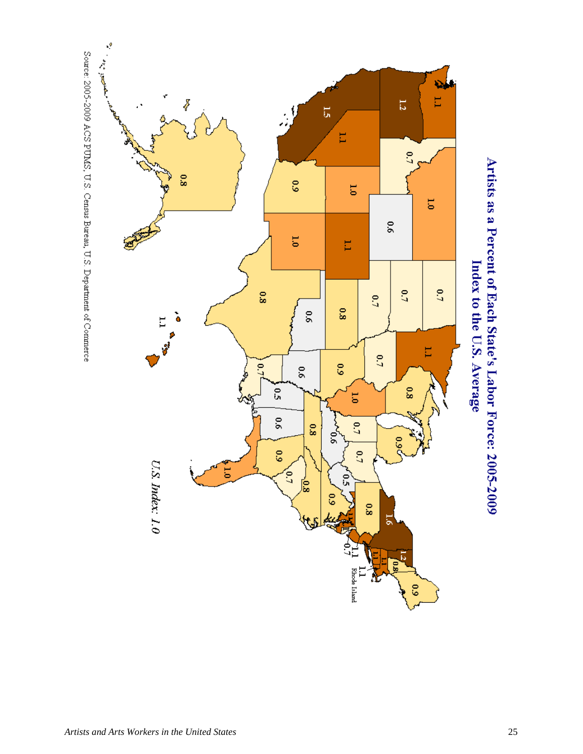

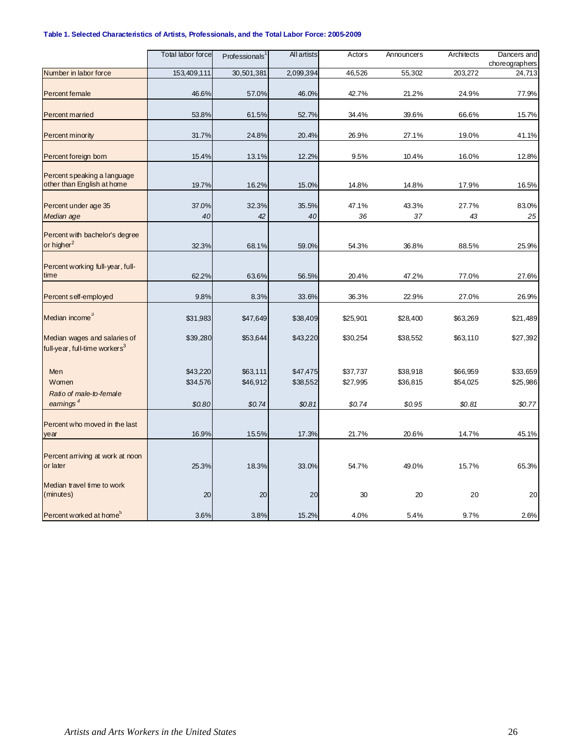#### **Table 1. Selected Characteristics of Artists, Professionals, and the Total Labor Force: 2005-2009**

|                                                                           | Total labor force | Professionals | <b>All artists</b> | Actors      | Announcers  | Architects  | Dancers and<br>choreographers |
|---------------------------------------------------------------------------|-------------------|---------------|--------------------|-------------|-------------|-------------|-------------------------------|
| Number in labor force                                                     | 153,409,111       | 30,501,381    | 2,099,394          | 46,526      | 55,302      | 203,272     | 24,713                        |
| <b>Percent female</b>                                                     | 46.6%             | 57.0%         | 46.0%              | 42.7%       | 21.2%       | 24.9%       | 77.9%                         |
| <b>Percent married</b>                                                    | 53.8%             | 61.5%         | 52.7%              | 34.4%       | 39.6%       | 66.6%       | 15.7%                         |
| Percent minority                                                          | 31.7%             | 24.8%         | 20.4%              | 26.9%       | 27.1%       | 19.0%       | 41.1%                         |
| Percent foreign born                                                      | 15.4%             | 13.1%         | 12.2%              | 9.5%        | 10.4%       | 16.0%       | 12.8%                         |
| Percent speaking a language<br>other than English at home                 | 19.7%             | 16.2%         | 15.0%              | 14.8%       | 14.8%       | 17.9%       | 16.5%                         |
| Percent under age 35<br>Median age                                        | 37.0%<br>40       | 32.3%<br>42   | 35.5%<br>40        | 47.1%<br>36 | 43.3%<br>37 | 27.7%<br>43 | 83.0%<br>25                   |
| Percent with bachelor's degree                                            |                   |               |                    |             |             |             |                               |
| or higher <sup>2</sup>                                                    | 32.3%             | 68.1%         | 59.0%              | 54.3%       | 36.8%       | 88.5%       | 25.9%                         |
| Percent working full-year, full-<br>time                                  | 62.2%             | 63.6%         | 56.5%              | 20.4%       | 47.2%       | 77.0%       | 27.6%                         |
| Percent self-employed                                                     | 9.8%              | 8.3%          | 33.6%              | 36.3%       | 22.9%       | 27.0%       | 26.9%                         |
| Median income <sup>3</sup>                                                | \$31,983          | \$47,649      | \$38,409           | \$25,901    | \$28,400    | \$63,269    | \$21,489                      |
| Median wages and salaries of<br>full-year, full-time workers <sup>3</sup> | \$39,280          | \$53,644      | \$43,220           | \$30,254    | \$38,552    | \$63,110    | \$27,392                      |
| Men                                                                       | \$43,220          | \$63,111      | \$47,475           | \$37,737    | \$38,918    | \$66,959    | \$33,659                      |
| Women<br>Ratio of male-to-female<br>eamings $4$                           | \$34,576          | \$46,912      | \$38,552           | \$27,995    | \$36,815    | \$54,025    | \$25,986                      |
|                                                                           | \$0.80            | \$0.74        | \$0.81             | \$0.74      | \$0.95      | \$0.81      | \$0.77                        |
| Percent who moved in the last<br>year                                     | 16.9%             | 15.5%         | 17.3%              | 21.7%       | 20.6%       | 14.7%       | 45.1%                         |
| Percent arriving at work at noon<br>or later                              | 25.3%             | 18.3%         | 33.0%              | 54.7%       | 49.0%       | 15.7%       | 65.3%                         |
| Median travel time to work<br>(minutes)                                   | 20                | 20            | 20                 | 30          | 20          | 20          | 20                            |
| Percent worked at home <sup>5</sup>                                       | 3.6%              | 3.8%          | 15.2%              | 4.0%        | 5.4%        | 9.7%        | 2.6%                          |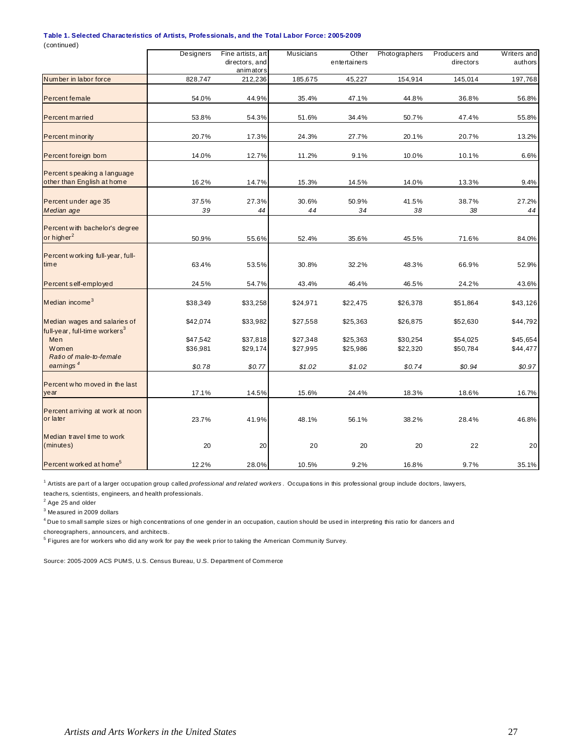#### **Table 1. Selected Characteristics of Artists, Professionals, and the Total Labor Force: 2005-2009**

(continued)

|                                           | Designers            | Fine artists, art    | <b>Musicians</b>     | Other                | Photographers        | Producers and        | Writers and          |
|-------------------------------------------|----------------------|----------------------|----------------------|----------------------|----------------------|----------------------|----------------------|
|                                           |                      | directors, and       |                      | entertainers         |                      | directors            | authors              |
|                                           |                      | animators            |                      |                      |                      |                      |                      |
| Number in labor force                     | 828,747              | 212,236              | 185,675              | 45,227               | 154,914              | 145,014              | 197,768              |
|                                           |                      |                      |                      |                      |                      |                      |                      |
| Percent female                            | 54.0%                | 44.9%                | 35.4%                | 47.1%                | 44.8%                | 36.8%                | 56.8%                |
| Percent married                           | 53.8%                | 54.3%                | 51.6%                | 34.4%                | 50.7%                | 47.4%                | 55.8%                |
| Percent minority                          | 20.7%                | 17.3%                | 24.3%                | 27.7%                | 20.1%                | 20.7%                | 13.2%                |
|                                           |                      |                      |                      |                      |                      |                      |                      |
| Percent foreign born                      | 14.0%                | 12.7%                | 11.2%                | 9.1%                 | 10.0%                | 10.1%                | 6.6%                 |
| Percent speaking a language               |                      |                      |                      |                      |                      |                      |                      |
| other than English at home                | 16.2%                | 14.7%                | 15.3%                | 14.5%                | 14.0%                | 13.3%                | 9.4%                 |
| Percent under age 35                      | 37.5%                | 27.3%                | 30.6%                | 50.9%                | 41.5%                | 38.7%                | 27.2%                |
| Median age                                | 39                   | 44                   | 44                   | 34                   | 38                   | 38                   | 44                   |
|                                           |                      |                      |                      |                      |                      |                      |                      |
| Percent with bachelor's degree            |                      |                      |                      |                      |                      |                      |                      |
| or higher <sup>2</sup>                    | 50.9%                | 55.6%                | 52.4%                | 35.6%                | 45.5%                | 71.6%                | 84.0%                |
| Percent working full-year, full-          |                      |                      |                      |                      |                      |                      |                      |
| time                                      | 63.4%                | 53.5%                | 30.8%                | 32.2%                | 48.3%                | 66.9%                | 52.9%                |
|                                           |                      |                      |                      |                      |                      |                      |                      |
| Percent self-employed                     | 24.5%                | 54.7%                | 43.4%                | 46.4%                | 46.5%                | 24.2%                | 43.6%                |
| Median income <sup>3</sup>                | \$38,349             | \$33,258             | \$24,971             | \$22,475             | \$26,378             | \$51,864             | \$43,126             |
|                                           |                      |                      |                      |                      |                      |                      |                      |
| Median wages and salaries of              | \$42,074             | \$33,982             | \$27,558             | \$25,363             | \$26,875             | \$52,630             | \$44,792             |
| full-year, full-time workers <sup>3</sup> |                      |                      |                      |                      |                      |                      |                      |
| Men<br>Women                              | \$47,542<br>\$36,981 | \$37,818<br>\$29,174 | \$27,348<br>\$27,995 | \$25,363<br>\$25,986 | \$30,254<br>\$22,320 | \$54,025<br>\$50,784 | \$45,654<br>\$44,477 |
| Ratio of male-to-female                   |                      |                      |                      |                      |                      |                      |                      |
| earnings $4$                              | \$0.78               | \$0.77               | \$1.02               | \$1.02               | \$0.74               | \$0.94               | \$0.97               |
|                                           |                      |                      |                      |                      |                      |                      |                      |
| Percent who moved in the last             |                      |                      |                      |                      |                      |                      |                      |
| year                                      | 17.1%                | 14.5%                | 15.6%                | 24.4%                | 18.3%                | 18.6%                | 16.7%                |
| Percent arriving at work at noon          |                      |                      |                      |                      |                      |                      |                      |
| or later                                  | 23.7%                | 41.9%                | 48.1%                | 56.1%                | 38.2%                | 28.4%                | 46.8%                |
|                                           |                      |                      |                      |                      |                      |                      |                      |
| Median travel time to work                |                      |                      |                      |                      |                      |                      |                      |
| (minutes)                                 | 20                   | 20                   | 20                   | 20                   | 20                   | 22                   | 20                   |
| Percent worked at home <sup>5</sup>       | 12.2%                | 28.0%                | 10.5%                | 9.2%                 | 16.8%                | 9.7%                 | 35.1%                |

<sup>1</sup> Artists are part of a larger occupation group called *professional and related workers* . Occupations in this professional group include doctors, lawyers, teache rs, scientists, engineers, an d health professionals.

 $2$  Age 25 and older

 $^3$  Me asured in 2009 dollars

<sup>4</sup> Due to small sample sizes or high concentrations of one gender in an occupation, caution should be used in interpreting this ratio for dancers and

choreographers, announcers, and architects.

<sup>5</sup> Figures are for workers who did any work for pay the week prior to taking the American Community Survey.

Source: 2005-2009 ACS PUMS, U.S. Census Bureau, U.S. Department of Commerce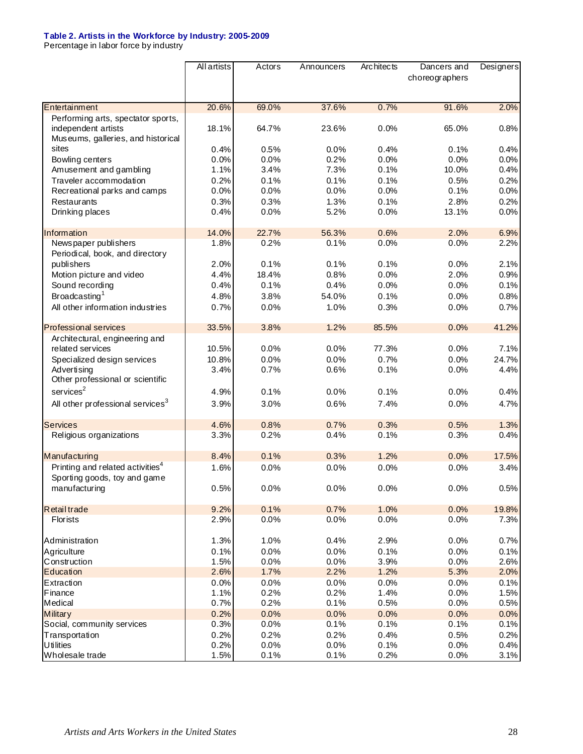#### **Table 2. Artists in the Workforce by Industry: 2005-2009**

Percentage in labor force by industry

|                                                                                                 | All artists | Actors | Announcers | Arc hitects | Dancers and<br>choreographers | Designers |
|-------------------------------------------------------------------------------------------------|-------------|--------|------------|-------------|-------------------------------|-----------|
|                                                                                                 |             |        |            |             |                               |           |
| Entertainment                                                                                   | 20.6%       | 69.0%  | 37.6%      | 0.7%        | 91.6%                         | 2.0%      |
| Performing arts, spectator sports,<br>independent artists<br>Museums, galleries, and historical | 18.1%       | 64.7%  | 23.6%      | 0.0%        | 65.0%                         | 0.8%      |
| sites                                                                                           | 0.4%        | 0.5%   | 0.0%       | 0.4%        | 0.1%                          | 0.4%      |
| Bowling centers                                                                                 | 0.0%        | 0.0%   | 0.2%       | 0.0%        | 0.0%                          | 0.0%      |
| Amusement and gambling                                                                          | 1.1%        | 3.4%   | 7.3%       | 0.1%        | 10.0%                         | 0.4%      |
| Traveler accommodation                                                                          | 0.2%        | 0.1%   | 0.1%       | 0.1%        | 0.5%                          | 0.2%      |
| Recreational parks and camps                                                                    | 0.0%        | 0.0%   | 0.0%       | 0.0%        | 0.1%                          | 0.0%      |
| Restaurants                                                                                     | 0.3%        | 0.3%   | 1.3%       | 0.1%        | 2.8%                          | 0.2%      |
| Drinking places                                                                                 | 0.4%        | 0.0%   | 5.2%       | 0.0%        | 13.1%                         | 0.0%      |
| Information                                                                                     | 14.0%       | 22.7%  | 56.3%      | 0.6%        | 2.0%                          | 6.9%      |
| Newspaper publishers<br>Periodical, book, and directory                                         | 1.8%        | 0.2%   | 0.1%       | 0.0%        | 0.0%                          | 2.2%      |
| publishers                                                                                      | 2.0%        | 0.1%   | 0.1%       | 0.1%        | 0.0%                          | 2.1%      |
| Motion picture and video                                                                        | 4.4%        | 18.4%  | 0.8%       | 0.0%        | 2.0%                          | 0.9%      |
| Sound recording                                                                                 | 0.4%        | 0.1%   | 0.4%       | 0.0%        | 0.0%                          | 0.1%      |
| Broadcasting <sup>1</sup>                                                                       | 4.8%        | 3.8%   | 54.0%      | 0.1%        | 0.0%                          | 0.8%      |
| All other information industries                                                                | 0.7%        | 0.0%   | 1.0%       | 0.3%        | 0.0%                          | 0.7%      |
| <b>Professional services</b>                                                                    | 33.5%       | 3.8%   | 1.2%       | 85.5%       | 0.0%                          | 41.2%     |
| Architectural, engineering and                                                                  |             |        |            |             |                               |           |
| related services                                                                                | 10.5%       | 0.0%   | 0.0%       | 77.3%       | 0.0%                          | 7.1%      |
| Specialized design services                                                                     | 10.8%       | 0.0%   | 0.0%       | 0.7%        | 0.0%                          | 24.7%     |
| Advertising<br>Other professional or scientific                                                 | 3.4%        | 0.7%   | 0.6%       | 0.1%        | 0.0%                          | 4.4%      |
| $s$ ervices ${}^{2}$                                                                            | 4.9%        | 0.1%   | 0.0%       | 0.1%        | 0.0%                          | 0.4%      |
| All other professional services <sup>3</sup>                                                    | 3.9%        | 3.0%   | 0.6%       | 7.4%        | 0.0%                          | 4.7%      |
| <b>Services</b>                                                                                 | 4.6%        | 0.8%   | 0.7%       | 0.3%        | 0.5%                          | 1.3%      |
| Religious organizations                                                                         | 3.3%        | 0.2%   | 0.4%       | 0.1%        | 0.3%                          | 0.4%      |
| Manufacturing                                                                                   | 8.4%        | 0.1%   | 0.3%       | 1.2%        | 0.0%                          | 17.5%     |
| Printing and related activities <sup>4</sup><br>Sporting goods, toy and game                    | 1.6%        | 0.0%   | 0.0%       | 0.0%        | 0.0%                          | 3.4%      |
| manufacturing                                                                                   | 0.5%        | 0.0%   | 0.0%       | 0.0%        | 0.0%                          | 0.5%      |
| <b>Retail trade</b>                                                                             | 9.2%        | 0.1%   | 0.7%       | 1.0%        | 0.0%                          | 19.8%     |
| Florists                                                                                        | 2.9%        | 0.0%   | 0.0%       | 0.0%        | 0.0%                          | 7.3%      |
| Administration                                                                                  | 1.3%        | 1.0%   | 0.4%       | 2.9%        | 0.0%                          | 0.7%      |
| Agriculture                                                                                     | 0.1%        | 0.0%   | 0.0%       | 0.1%        | 0.0%                          | 0.1%      |
| Construction                                                                                    | 1.5%        | 0.0%   | 0.0%       | 3.9%        | 0.0%                          | 2.6%      |
| Education                                                                                       | 2.6%        | 1.7%   | 2.2%       | 1.2%        | 5.3%                          | 2.0%      |
| Extraction                                                                                      | 0.0%        | 0.0%   | 0.0%       | 0.0%        | 0.0%                          | 0.1%      |
| Finance                                                                                         | 1.1%        | 0.2%   | 0.2%       | 1.4%        | 0.0%                          | 1.5%      |
| Medical                                                                                         | 0.7%        | 0.2%   | 0.1%       | 0.5%        | 0.0%                          | 0.5%      |
| <b>Military</b>                                                                                 | 0.2%        | 0.0%   | 0.0%       | 0.0%        | 0.0%                          | 0.0%      |
| Social, community services                                                                      | 0.3%        | 0.0%   | 0.1%       | 0.1%        | 0.1%                          | 0.1%      |
| Transportation                                                                                  | 0.2%        | 0.2%   | 0.2%       | 0.4%        | 0.5%                          | 0.2%      |
| <b>Utilities</b>                                                                                | 0.2%        | 0.0%   | 0.0%       | 0.1%        | 0.0%                          | 0.4%      |
| Wholesale trade                                                                                 | 1.5%        | 0.1%   | 0.1%       | 0.2%        | 0.0%                          | 3.1%      |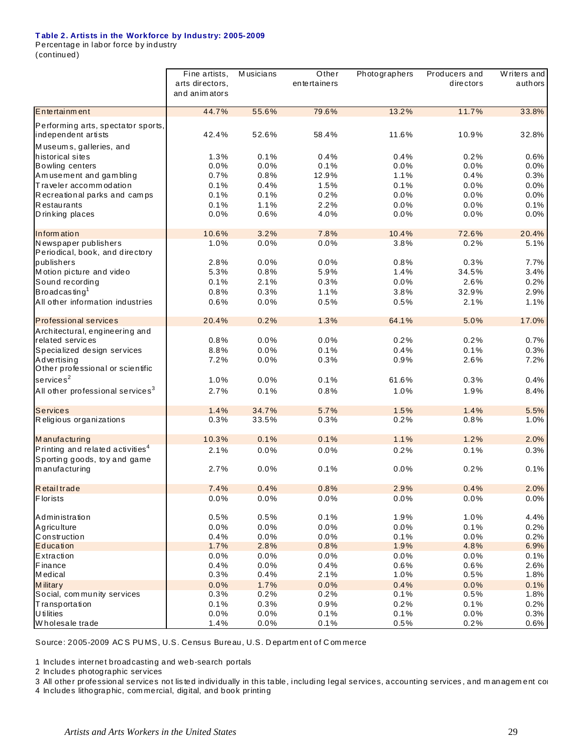#### **T able 2. Artists in the Workforce by Industry: 2005-2009**

Percentage in labor force by industry (continued)

|                                                                                | Fine artists,<br>arts directors,<br>and animators | Musicians    | Other<br>entertainers | Photographers | Producers and<br>directors | $\overline{W}$ riters and<br>authors |
|--------------------------------------------------------------------------------|---------------------------------------------------|--------------|-----------------------|---------------|----------------------------|--------------------------------------|
| Entertainment                                                                  | 44.7%                                             | 55.6%        | 79.6%                 | 13.2%         | 11.7%                      | 33.8%                                |
| Performing arts, spectator sports,<br>independent artists                      | 42.4%                                             | 52.6%        | 58.4%                 | 11.6%         | 10.9%                      | 32.8%                                |
| Museums, galleries, and<br>historical sites                                    | 1.3%                                              | 0.1%         | 0.4%                  | 0.4%          | 0.2%                       | 0.6%                                 |
| <b>Bowling centers</b>                                                         | 0.0%                                              | 0.0%         | 0.1%                  | 0.0%          | 0.0%                       | 0.0%                                 |
| Am usement and gam bling                                                       | 0.7%                                              | 0.8%         | 12.9%                 | 1.1%          | 0.4%                       | 0.3%                                 |
| Traveler accommodation                                                         | 0.1%                                              | 0.4%         | 1.5%                  | 0.1%          | 0.0%                       | 0.0%                                 |
| Recreational parks and camps                                                   | 0.1%                                              | 0.1%         | 0.2%                  | 0.0%          | 0.0%                       | 0.0%                                 |
| <b>Restaurants</b>                                                             | 0.1%                                              | 1.1%         | 2.2%                  | 0.0%          | 0.0%                       | 0.1%                                 |
| D rinking places                                                               | 0.0%                                              | 0.6%         | 4.0%                  | 0.0%          | 0.0%                       | 0.0%                                 |
| Information                                                                    | 10.6%                                             | 3.2%         | 7.8%                  | 10.4%         | 72.6%                      | 20.4%                                |
| Newspaper publishers<br>Periodical, book, and directory                        | 1.0%                                              | 0.0%         | 0.0%                  | 3.8%          | 0.2%                       | 5.1%                                 |
| publishers                                                                     | 2.8%                                              | 0.0%         | 0.0%                  | 0.8%          | 0.3%                       | 7.7%                                 |
| Motion picture and video                                                       | 5.3%                                              | 0.8%         | 5.9%                  | 1.4%          | 34.5%                      | 3.4%                                 |
| Sound recording                                                                | 0.1%                                              | 2.1%         | 0.3%                  | 0.0%          | 2.6%                       | 0.2%                                 |
| Broadcasting <sup>1</sup>                                                      | 0.8%                                              | 0.3%         | 1.1%                  | 3.8%          | 32.9%                      | 2.9%                                 |
| All other information industries                                               | 0.6%                                              | 0.0%         | 0.5%                  | 0.5%          | 2.1%                       | 1.1%                                 |
| <b>Professional services</b>                                                   | 20.4%                                             | 0.2%         | 1.3%                  | 64.1%         | 5.0%                       | 17.0%                                |
| Architectural, engineering and                                                 |                                                   |              |                       |               |                            |                                      |
| related services                                                               | 0.8%                                              | 0.0%         | 0.0%                  | 0.2%          | 0.2%                       | 0.7%                                 |
| Specialized design services<br>Advertising<br>Other professional or scientific | 8.8%<br>7.2%                                      | 0.0%<br>0.0% | 0.1%<br>0.3%          | 0.4%<br>0.9%  | 0.1%<br>2.6%               | 0.3%<br>7.2%                         |
| $s$ ervices $2$                                                                | 1.0%                                              | 0.0%         | 0.1%                  | 61.6%         | 0.3%                       | 0.4%                                 |
| All other professional services <sup>3</sup>                                   | 2.7%                                              | 0.1%         | 0.8%                  | 1.0%          | 1.9%                       | 8.4%                                 |
| <b>Services</b>                                                                | 1.4%                                              | 34.7%        | 5.7%                  | 1.5%          | 1.4%                       | 5.5%                                 |
| Religious organizations                                                        | 0.3%                                              | 33.5%        | 0.3%                  | 0.2%          | 0.8%                       | 1.0%                                 |
| Manufacturing                                                                  | 10.3%                                             | 0.1%         | 0.1%                  | 1.1%          | 1.2%                       | 2.0%                                 |
| Printing and related activities <sup>4</sup><br>Sporting goods, toy and game   | 2.1%                                              | 0.0%         | 0.0%                  | 0.2%          | 0.1%                       | 0.3%                                 |
| manufacturing                                                                  | 2.7%                                              | 0.0%         | 0.1%                  | 0.0%          | 0.2%                       | 0.1%                                 |
| Retail trade                                                                   | 7.4%                                              | 0.4%         | 0.8%                  | 2.9%          | 0.4%                       | 2.0%                                 |
| <b>Florists</b>                                                                | $0.0\%$                                           | 0.0%         | $0.0\%$               | $0.0\%$       | $0.0\%$                    | $0.0\%$                              |
| Administration                                                                 | 0.5%                                              | 0.5%         | 0.1%                  | 1.9%          | 1.0%                       | 4.4%                                 |
| Agriculture                                                                    | 0.0%                                              | 0.0%         | 0.0%                  | $0.0\%$       | 0.1%                       | 0.2%                                 |
| Construction                                                                   | 0.4%                                              | 0.0%         | 0.0%                  | 0.1%          | 0.0%                       | 0.2%                                 |
| Education                                                                      | 1.7%                                              | 2.8%         | 0.8%                  | 1.9%          | 4.8%                       | 6.9%                                 |
| Extraction                                                                     | 0.0%                                              | 0.0%         | 0.0%                  | 0.0%          | 0.0%                       | 0.1%                                 |
| Finance                                                                        | 0.4%                                              | 0.0%         | 0.4%                  | 0.6%          | 0.6%                       | 2.6%                                 |
| Medical                                                                        | 0.3%                                              | 0.4%         | 2.1%                  | 1.0%          | 0.5%                       | 1.8%                                 |
| Military                                                                       | 0.0%                                              | 1.7%         | 0.0%                  | 0.4%          | 0.0%                       | 0.1%                                 |
| Social, community services                                                     | 0.3%                                              | 0.2%         | 0.2%                  | 0.1%          | 0.5%                       | 1.8%                                 |
| Transportation                                                                 | 0.1%                                              | 0.3%         | 0.9%                  | 0.2%          | 0.1%                       | 0.2%                                 |
| U tilities                                                                     | 0.0%                                              | 0.0%         | 0.1%                  | 0.1%          | 0.0%                       | 0.3%                                 |
| Wholesale trade                                                                | 1.4%                                              | 0.0%         | 0.1%                  | 0.5%          | 0.2%                       | 0.6%                                 |

Source: 2005-2009 AC S PU MS, U.S. Census Bureau, U.S. D epartm ent of C om merce

1 Includes internet broadcasting and web-search portals

2 Includes photographic services

3 All other professional services not lis ted individually in this table, including legal services, accounting services , and m anagem ent con

4 Includes lithographic, com mercial, digital, and book printing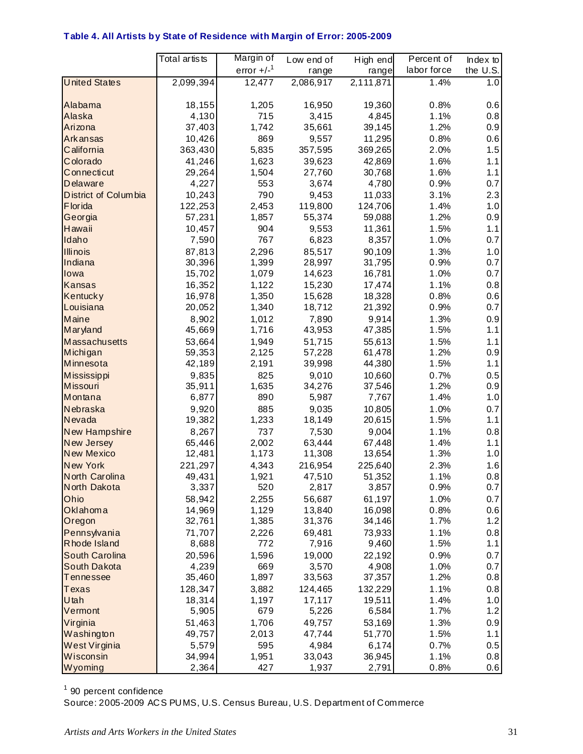#### **Table 4. All Artists by State of Residence with Margin of Error: 2005-2009**

|                                  | Total artists    | Margin of      | Low end of       | High end         | Percent of   | Index to   |
|----------------------------------|------------------|----------------|------------------|------------------|--------------|------------|
|                                  |                  | error $+/-1$   | range            | range            | labor force  | the U.S.   |
| <b>United States</b>             | 2,099,394        | 12,477         | 2,086,917        | 2,111,871        | 1.4%         | 1.0        |
|                                  |                  |                |                  |                  |              |            |
| Alabama                          | 18,155           | 1,205          | 16,950           | 19,360           | 0.8%         | 0.6        |
| Alaska                           | 4,130            | 715            | 3,415            | 4,845            | 1.1%         | 0.8        |
| Arizona                          | 37,403           | 1,742          | 35,661           | 39,145           | 1.2%         | 0.9        |
| <b>Arkansas</b>                  | 10,426           | 869            | 9,557            | 11,295           | 0.8%         | 0.6        |
| California                       | 363,430          | 5,835          | 357,595          | 369,265          | 2.0%         | 1.5        |
| Colorado                         | 41,246           | 1,623          | 39,623           | 42,869           | 1.6%         | 1.1        |
| Connecticut                      | 29,264           | 1,504          | 27,760           | 30,768           | 1.6%         | 1.1        |
| Delaware                         | 4,227            | 553            | 3,674            | 4,780            | 0.9%         | 0.7        |
| District of Columbia             | 10,243           | 790            | 9,453            | 11,033           | 3.1%         | 2.3        |
| <b>F</b> lorida                  | 122,253          | 2,453          | 119,800          | 124,706          | 1.4%         | 1.0        |
| Georgia                          | 57,231           | 1,857          | 55,374           | 59,088           | 1.2%         | 0.9        |
| Hawaii                           | 10,457           | 904            | 9,553            | 11,361           | 1.5%         | 1.1        |
| Idaho                            | 7,590            | 767            | 6,823            | 8,357            | 1.0%         | 0.7        |
| <b>Illinois</b>                  | 87,813           | 2,296          | 85,517           | 90,109           | 1.3%         | 1.0        |
| Indiana                          | 30,396           | 1,399          | 28,997           | 31,795           | 0.9%         | 0.7<br>0.7 |
| lowa                             | 15,702           | 1,079          | 14,623           | 16,781           | 1.0%         |            |
| <b>Kansas</b><br><b>Kentucky</b> | 16,352<br>16,978 | 1,122<br>1,350 | 15,230<br>15,628 | 17,474<br>18,328 | 1.1%<br>0.8% | 0.8<br>0.6 |
| Louisiana                        | 20,052           | 1,340          | 18,712           | 21,392           | 0.9%         | 0.7        |
| Maine                            | 8,902            | 1,012          | 7,890            | 9,914            | 1.3%         | 0.9        |
| Maryland                         | 45,669           | 1,716          | 43,953           | 47,385           | 1.5%         | 1.1        |
| <b>Massachusetts</b>             | 53,664           | 1,949          | 51,715           | 55,613           | 1.5%         | 1.1        |
| Michigan                         | 59,353           | 2,125          | 57,228           | 61,478           | 1.2%         | 0.9        |
| Minnesota                        | 42,189           | 2,191          | 39,998           | 44,380           | 1.5%         | 1.1        |
| <b>Mississippi</b>               | 9,835            | 825            | 9,010            | 10,660           | 0.7%         | 0.5        |
| <b>Missouri</b>                  | 35,911           | 1,635          | 34,276           | 37,546           | 1.2%         | 0.9        |
| Montana                          | 6,877            | 890            | 5,987            | 7,767            | 1.4%         | 1.0        |
| Nebraska                         | 9,920            | 885            | 9,035            | 10,805           | 1.0%         | 0.7        |
| Nevada                           | 19,382           | 1,233          | 18,149           | 20,615           | 1.5%         | 1.1        |
| New Hampshire                    | 8,267            | 737            | 7,530            | 9,004            | 1.1%         | 0.8        |
| <b>New Jersey</b>                | 65,446           | 2,002          | 63,444           | 67,448           | 1.4%         | 1.1        |
| <b>New Mexico</b>                | 12,481           | 1,173          | 11,308           | 13,654           | 1.3%         | 1.0        |
| <b>New York</b>                  | 221,297          | 4,343          | 216,954          | 225,640          | 2.3%         | 1.6        |
| North Carolina                   | 49,431           | 1,921          | 47,510           | 51,352           | 1.1%         | 0.8        |
| North Dakota                     | 3,337            | 520            | 2,817            | 3,857            | 0.9%         | 0.7        |
| Ohio                             | 58,942           | 2,255          | 56,687           | 61,197           | 1.0%         | 0.7        |
| Oklahoma                         | 14,969           | 1,129          | 13,840           | 16,098           | 0.8%<br>1.7% | 0.6        |
| Oregon<br>Pennsylvania           | 32,761<br>71,707 | 1,385<br>2,226 | 31,376<br>69,481 | 34,146<br>73,933 | 1.1%         | 1.2        |
| Rhode Island                     | 8,688            | 772            | 7,916            | 9,460            | 1.5%         | 0.8<br>1.1 |
| <b>South Carolina</b>            | 20,596           | 1,596          | 19,000           | 22,192           | 0.9%         | 0.7        |
| South Dakota                     | 4,239            | 669            | 3,570            | 4,908            | 1.0%         | 0.7        |
| <b>Tennessee</b>                 | 35,460           | 1,897          | 33,563           | 37,357           | 1.2%         | 0.8        |
| <b>Texas</b>                     | 128,347          | 3,882          | 124,465          | 132,229          | 1.1%         | 0.8        |
| Utah                             | 18,314           | 1,197          | 17,117           | 19,511           | 1.4%         | 1.0        |
| Vermont                          | 5,905            | 679            | 5,226            | 6,584            | 1.7%         | 1.2        |
| Virginia                         | 51,463           | 1,706          | 49,757           | 53,169           | 1.3%         | 0.9        |
| Washington                       | 49,757           | 2,013          | 47,744           | 51,770           | 1.5%         | 1.1        |
| West Virginia                    | 5,579            | 595            | 4,984            | 6,174            | 0.7%         | 0.5        |
| Wisconsin                        | 34,994           | 1,951          | 33,043           | 36,945           | 1.1%         | 0.8        |
| Wyoming                          | 2,364            | 427            | 1,937            | 2,791            | 0.8%         | 0.6        |

<sup>1</sup> 90 percent confidence

Source: 2005-2009 ACS PUMS, U.S. Census Bureau, U.S. Department of Commerce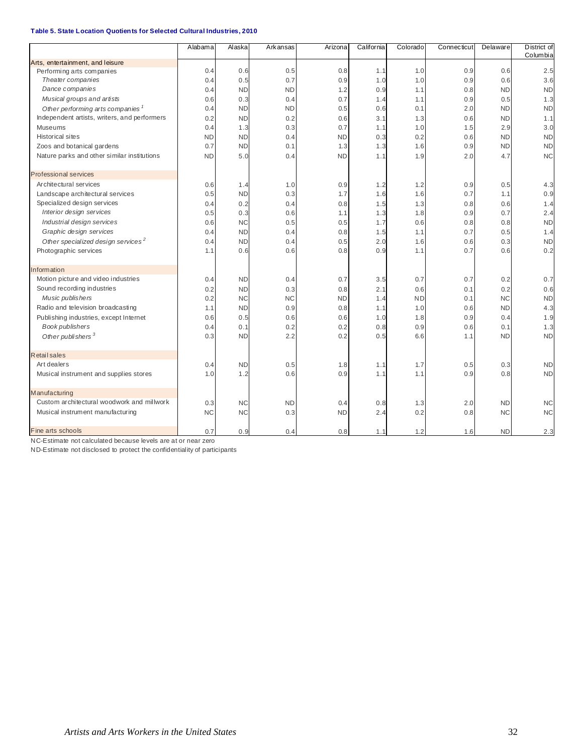|                                                | Alabama   | Alaska    | Arkansas  | Arizona   | California | Colorado  | Connecticut | Delaware  | District of |
|------------------------------------------------|-----------|-----------|-----------|-----------|------------|-----------|-------------|-----------|-------------|
| Arts, entertainment, and leisure               |           |           |           |           |            |           |             |           | Columbia    |
| Performing arts companies                      | 0.4       | 0.6       | 0.5       | 0.8       | 1.1        | 1.0       | 0.9         | 0.6       | 2.5         |
| Theater companies                              | 0.4       | 0.5       | 0.7       | 0.9       | 1.0        | 1.0       | 0.9         | 0.6       | 3.6         |
| Dance companies                                | 0.4       | <b>ND</b> | <b>ND</b> | 1.2       | 0.9        | 1.1       | 0.8         | <b>ND</b> | <b>ND</b>   |
| Musical groups and artists                     | 0.6       | 0.3       | 0.4       | 0.7       | 1.4        | 1.1       | 0.9         | 0.5       | 1.3         |
| Other performing arts companies                | 0.4       | <b>ND</b> | <b>ND</b> | 0.5       | 0.6        | 0.1       | 2.0         | <b>ND</b> | <b>ND</b>   |
| Independent artists, writers, and performers   | 0.2       | <b>ND</b> | 0.2       | 0.6       | 3.1        | 1.3       | 0.6         | <b>ND</b> | 1.1         |
| Museums                                        | 0.4       | 1.3       | 0.3       | 0.7       | 1.1        | 1.0       | 1.5         | 2.9       | 3.0         |
| <b>Historical sites</b>                        | <b>ND</b> | <b>ND</b> | 0.4       | <b>ND</b> | 0.3        | 0.2       | 0.6         | <b>ND</b> | <b>ND</b>   |
| Zoos and botanical gardens                     | 0.7       | <b>ND</b> | 0.1       | 1.3       | 1.3        | 1.6       | 0.9         | <b>ND</b> | <b>ND</b>   |
| Nature parks and other similar institutions    | <b>ND</b> | 5.0       | 0.4       | <b>ND</b> | 1.1        | 1.9       | 2.0         | 4.7       | <b>NC</b>   |
| <b>Professional services</b>                   |           |           |           |           |            |           |             |           |             |
| Architectural services                         | 0.6       | 1.4       | 1.0       | 0.9       | 1.2        | 1.2       | 0.9         | 0.5       | 4.3         |
| Landscape architectural services               | 0.5       | <b>ND</b> | 0.3       | 1.7       | 1.6        | 1.6       | 0.7         | 1.1       | 0.9         |
| Specialized design services                    | 0.4       | 0.2       | 0.4       | 0.8       | 1.5        | 1.3       | 0.8         | 0.6       | 1.4         |
| Interior design services                       | 0.5       | 0.3       | 0.6       | 1.1       | 1.3        | 1.8       | 0.9         | 0.7       | 2.4         |
| Industrial design services                     | 0.6       | <b>NC</b> | 0.5       | 0.5       | 1.7        | 0.6       | 0.8         | 0.8       | <b>ND</b>   |
| Graphic design services                        | 0.4       | <b>ND</b> | 0.4       | 0.8       | 1.5        | 1.1       | 0.7         | 0.5       | 1.4         |
| Other specialized design services <sup>2</sup> | 0.4       | <b>ND</b> | 0.4       | 0.5       | 2.0        | 1.6       | 0.6         | 0.3       | <b>ND</b>   |
| Photographic services                          | 1.1       | 0.6       | 0.6       | 0.8       | 0.9        | 1.1       | 0.7         | 0.6       | 0.2         |
| Information                                    |           |           |           |           |            |           |             |           |             |
| Motion picture and video industries            | 0.4       | <b>ND</b> | 0.4       | 0.7       | 3.5        | 0.7       | 0.7         | 0.2       | 0.7         |
| Sound recording industries                     | 0.2       | <b>ND</b> | 0.3       | 0.8       | 2.1        | 0.6       | 0.1         | 0.2       | 0.6         |
| Music publishers                               | 0.2       | <b>NC</b> | <b>NC</b> | <b>ND</b> | 1.4        | <b>ND</b> | 0.1         | <b>NC</b> | <b>ND</b>   |
| Radio and television broadcasting              | 1.1       | <b>ND</b> | 0.9       | 0.8       | 1.1        | 1.0       | 0.6         | <b>ND</b> | 4.3         |
| Publishing industries, except Internet         | 0.6       | 0.5       | 0.6       | 0.6       | 1.0        | 1.8       | 0.9         | 0.4       | 1.9         |
| Book publishers                                | 0.4       | 0.1       | 0.2       | 0.2       | 0.8        | 0.9       | 0.6         | 0.1       | 1.3         |
| Other publishers <sup>3</sup>                  | 0.3       | <b>ND</b> | 2.2       | 0.2       | 0.5        | 6.6       | 1.1         | <b>ND</b> | <b>ND</b>   |
| <b>Retail sales</b>                            |           |           |           |           |            |           |             |           |             |
| Art dealers                                    | 0.4       | <b>ND</b> | 0.5       | 1.8       | 1.1        | 1.7       | 0.5         | 0.3       | <b>ND</b>   |
| Musical instrument and supplies stores         | 1.0       | 1.2       | 0.6       | 0.9       | 1.1        | 1.1       | 0.9         | 0.8       | <b>ND</b>   |
| Manufacturing                                  |           |           |           |           |            |           |             |           |             |
| Custom architectural woodwork and millwork     | 0.3       | <b>NC</b> | <b>ND</b> | 0.4       | 0.8        | 1.3       | 2.0         | <b>ND</b> | <b>NC</b>   |
| Musical instrument manufacturing               | <b>NC</b> | <b>NC</b> | 0.3       | <b>ND</b> | 2.4        | 0.2       | 0.8         | <b>NC</b> | <b>NC</b>   |
| Fine arts schools                              | 0.7       | 0.9       | 0.4       | 0.8       | 1.1        | 1.2       | 1.6         | <b>ND</b> | 2.3         |

NC-Estimate not calculated because levels are at or near zero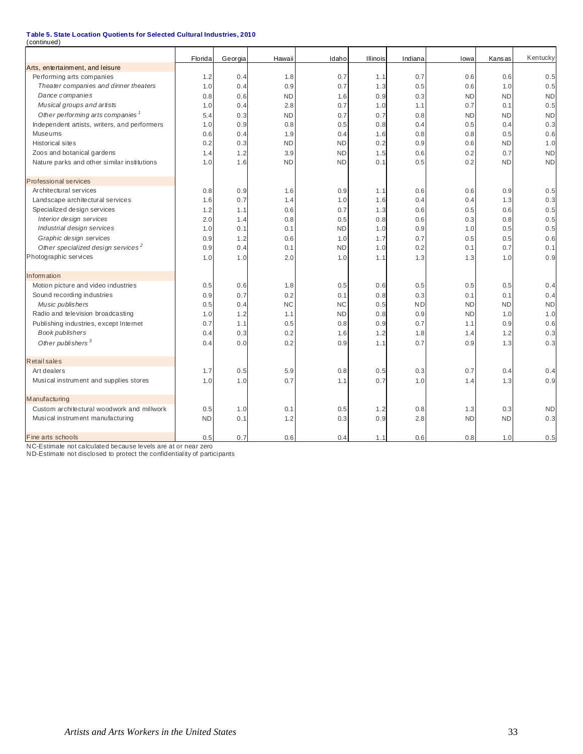| (continued)                                    |           |         |           |           |          |           |           |               |           |
|------------------------------------------------|-----------|---------|-----------|-----------|----------|-----------|-----------|---------------|-----------|
|                                                | Florida   | Georgia | Hawaii    | Idaho     | Illinois | Indiana   | lowa      | <b>Kansas</b> | Kentucky  |
| Arts, entertainment, and leisure               |           |         |           |           |          |           |           |               |           |
| Performing arts companies                      | 1.2       | 0.4     | 1.8       | 0.7       | 1.1      | 0.7       | 0.6       | 0.6           | 0.5       |
| Theater companies and dinner theaters          | 1.0       | 0.4     | 0.9       | 0.7       | 1.3      | 0.5       | 0.6       | 1.0           | 0.5       |
| Dance companies                                | 0.8       | 0.6     | <b>ND</b> | 1.6       | 0.9      | 0.3       | <b>ND</b> | <b>ND</b>     | <b>ND</b> |
| Musical groups and artists                     | 1.0       | 0.4     | 2.8       | 0.7       | 1.0      | 1.1       | 0.7       | 0.1           | 0.5       |
| Other performing arts companies <sup>1</sup>   | 5.4       | 0.3     | <b>ND</b> | 0.7       | 0.7      | 0.8       | ND        | <b>ND</b>     | <b>ND</b> |
| Independent artists, writers, and performers   | 1.0       | 0.9     | 0.8       | 0.5       | 0.8      | 0.4       | 0.5       | 0.4           | 0.3       |
| Museums                                        | 0.6       | 0.4     | 1.9       | 0.4       | 1.6      | 0.8       | 0.8       | 0.5           | 0.6       |
| <b>Historical sites</b>                        | 0.2       | 0.3     | <b>ND</b> | <b>ND</b> | 0.2      | 0.9       | 0.6       | <b>ND</b>     | 1.0       |
| Zoos and botanical gardens                     | 1.4       | 1.2     | 3.9       | <b>ND</b> | 1.5      | 0.6       | 0.2       | 0.7           | <b>ND</b> |
| Nature parks and other similar institutions    | 1.0       | 1.6     | <b>ND</b> | <b>ND</b> | 0.1      | 0.5       | 0.2       | <b>ND</b>     | <b>ND</b> |
| <b>Professional services</b>                   |           |         |           |           |          |           |           |               |           |
| Architectural services                         | 0.8       | 0.9     | 1.6       | 0.9       | 1.1      | 0.6       | 0.6       | 0.9           | 0.5       |
| Landscape architectural services               | 1.6       | 0.7     | 1.4       | 1.0       | 1.6      | 0.4       | 0.4       | 1.3           | 0.3       |
| Specialized design services                    | 1.2       | 1.1     | 0.6       | 0.7       | 1.3      | 0.6       | 0.5       | 0.6           | 0.5       |
| Interior design services                       | 2.0       | 1.4     | 0.8       | 0.5       | 0.8      | 0.6       | 0.3       | 0.8           | 0.5       |
| Industrial design services                     | 1.0       | 0.1     | 0.1       | <b>ND</b> | 1.0      | 0.9       | 1.0       | 0.5           | 0.5       |
| Graphic design services                        | 0.9       | 1.2     | 0.6       | 1.0       | 1.7      | 0.7       | 0.5       | 0.5           | 0.6       |
| Other specialized design services <sup>2</sup> | 0.9       | 0.4     | 0.1       | <b>ND</b> | 1.0      | 0.2       | 0.1       | 0.7           | 0.1       |
| Photographic services                          | 1.0       | 1.0     | 2.0       | 1.0       | 1.1      | 1.3       | 1.3       | 1.0           | 0.9       |
| <b>Information</b>                             |           |         |           |           |          |           |           |               |           |
| Motion picture and video industries            | 0.5       | 0.6     | 1.8       | 0.5       | 0.6      | 0.5       | 0.5       | 0.5           | 0.4       |
| Sound recording industries                     | 0.9       | 0.7     | 0.2       | 0.1       | 0.8      | 0.3       | 0.1       | 0.1           | 0.4       |
| Music publishers                               | 0.5       | 0.4     | <b>NC</b> | <b>NC</b> | 0.5      | <b>ND</b> | <b>ND</b> | <b>ND</b>     | <b>ND</b> |
| Radio and television broadcasting              | 1.0       | 1.2     | 1.1       | <b>ND</b> | 0.8      | 0.9       | <b>ND</b> | 1.0           | 1.0       |
| Publishing industries, except Internet         | 0.7       | 1.1     | 0.5       | 0.8       | 0.9      | 0.7       | 1.1       | 0.9           | 0.6       |
| Book publishers                                | 0.4       | 0.3     | 0.2       | 1.6       | 1.2      | 1.8       | 1.4       | 1.2           | 0.3       |
| Other publishers <sup>3</sup>                  | 0.4       | 0.0     | 0.2       | 0.9       | 1.1      | 0.7       | 0.9       | 1.3           | 0.3       |
| <b>Retail sales</b>                            |           |         |           |           |          |           |           |               |           |
| Art dealers                                    | 1.7       | 0.5     | 5.9       | 0.8       | 0.5      | 0.3       | 0.7       | 0.4           | 0.4       |
| Musical instrument and supplies stores         | 1.0       | 1.0     | 0.7       | 1.1       | 0.7      | 1.0       | 1.4       | 1.3           | 0.9       |
| Manufacturing                                  |           |         |           |           |          |           |           |               |           |
| Custom architectural woodwork and millwork     | 0.5       | 1.0     | 0.1       | 0.5       | 1.2      | 0.8       | 1.3       | 0.3           | <b>ND</b> |
| Musical instrument manufacturing               | <b>ND</b> | 0.1     | 1.2       | 0.3       | 0.9      | 2.8       | <b>ND</b> | <b>ND</b>     | 0.3       |
| Fine arts schools                              | 0.5       | 0.7     | 0.6       | 0.4       | 1.1      | 0.6       | 0.8       | 1.0           | 0.5       |

NC-Estimate not calculated because levels are at or near zero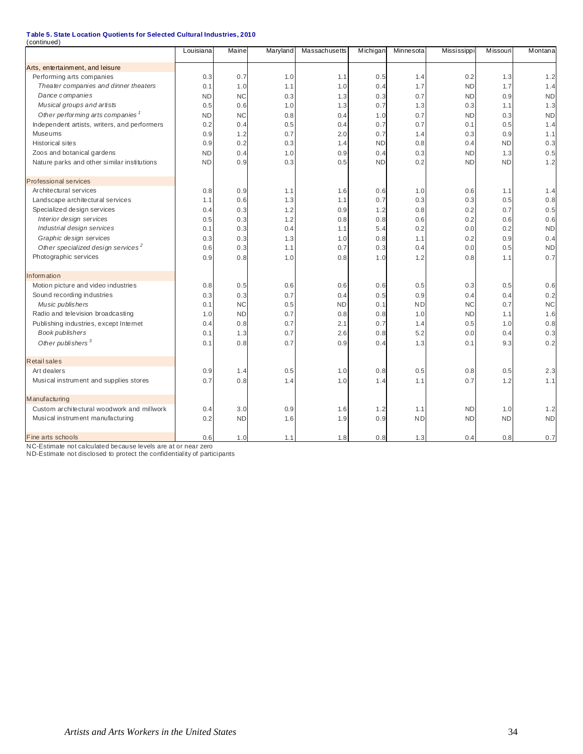| (continued)                                    |           |           |          |               |           |           |             |           |           |
|------------------------------------------------|-----------|-----------|----------|---------------|-----------|-----------|-------------|-----------|-----------|
|                                                | Louisiana | Maine     | Maryland | Massachusetts | Michigan  | Minnesota | Mississippi | Missouri  | Montana   |
| Arts, entertainment, and leisure               |           |           |          |               |           |           |             |           |           |
| Performing arts companies                      | 0.3       | 0.7       | 1.0      | 1.1           | 0.5       | 1.4       | 0.2         | 1.3       | 1.2       |
| Theater companies and dinner theaters          | 0.1       | 1.0       | 1.1      | 1.0           | 0.4       | 1.7       | <b>ND</b>   | 1.7       | 1.4       |
| Dance companies                                | <b>ND</b> | <b>NC</b> | 0.3      | 1.3           | 0.3       | 0.7       | <b>ND</b>   | 0.9       | <b>ND</b> |
| Musical groups and artists                     | 0.5       | 0.6       | 1.0      | 1.3           | 0.7       | 1.3       | 0.3         | 1.1       | 1.3       |
| Other performing arts companies <sup>1</sup>   | <b>ND</b> | <b>NC</b> | 0.8      | 0.4           | 1.0       | 0.7       | <b>ND</b>   | 0.3       | <b>ND</b> |
| Independent artists, writers, and performers   | 0.2       | 0.4       | 0.5      | 0.4           | 0.7       | 0.7       | 0.1         | 0.5       | 1.4       |
| Museums                                        | 0.9       | 1.2       | 0.7      | 2.0           | 0.7       | 1.4       | 0.3         | 0.9       | 1.1       |
| <b>Historical sites</b>                        | 0.9       | 0.2       | 0.3      | 1.4           | <b>ND</b> | 0.8       | 0.4         | <b>ND</b> | 0.3       |
| Zoos and botanical gardens                     | <b>ND</b> | 0.4       | 1.0      | 0.9           | 0.4       | 0.3       | <b>ND</b>   | 1.3       | 0.5       |
| Nature parks and other similar institutions    | <b>ND</b> | 0.9       | 0.3      | 0.5           | <b>ND</b> | 0.2       | <b>ND</b>   | <b>ND</b> | 1.2       |
| <b>Professional services</b>                   |           |           |          |               |           |           |             |           |           |
| Architectural services                         | 0.8       | 0.9       | 1.1      | 1.6           | 0.6       | 1.0       | 0.6         | 1.1       | 1.4       |
| Landscape architectural services               | 1.1       | 0.6       | 1.3      | 1.1           | 0.7       | 0.3       | 0.3         | 0.5       | 0.8       |
| Specialized design services                    | 0.4       | 0.3       | 1.2      | 0.9           | 1.2       | 0.8       | 0.2         | 0.7       | 0.5       |
| Interior design services                       | 0.5       | 0.3       | 1.2      | 0.8           | 0.8       | 0.6       | 0.2         | 0.6       | 0.6       |
| Industrial design services                     | 0.1       | 0.3       | 0.4      | 1.1           | 5.4       | 0.2       | 0.0         | 0.2       | <b>ND</b> |
| Graphic design services                        | 0.3       | 0.3       | 1.3      | 1.0           | 0.8       | 1.1       | 0.2         | 0.9       | 0.4       |
| Other specialized design services <sup>2</sup> | 0.6       | 0.3       | 1.1      | 0.7           | 0.3       | 0.4       | 0.0         | 0.5       | <b>ND</b> |
| Photographic services                          | 0.9       | 0.8       | 1.0      | 0.8           | 1.0       | 1.2       | 0.8         | 1.1       | 0.7       |
| <b>Information</b>                             |           |           |          |               |           |           |             |           |           |
| Motion picture and video industries            | 0.8       | 0.5       | 0.6      | 0.6           | 0.6       | 0.5       | 0.3         | 0.5       | 0.6       |
| Sound recording industries                     | 0.3       | 0.3       | 0.7      | 0.4           | 0.5       | 0.9       | 0.4         | 0.4       | 0.2       |
| Music publishers                               | 0.1       | <b>NC</b> | 0.5      | <b>ND</b>     | 0.1       | <b>ND</b> | <b>NC</b>   | 0.7       | <b>NC</b> |
| Radio and television broadcasting              | 1.0       | <b>ND</b> | 0.7      | 0.8           | 0.8       | 1.0       | <b>ND</b>   | 1.1       | 1.6       |
| Publishing industries, except Internet         | 0.4       | 0.8       | 0.7      | 2.1           | 0.7       | 1.4       | 0.5         | 1.0       | 0.8       |
| Book publishers                                | 0.1       | 1.3       | 0.7      | 2.6           | 0.8       | 5.2       | 0.0         | 0.4       | 0.3       |
| Other publishers <sup>3</sup>                  | 0.1       | 0.8       | 0.7      | 0.9           | 0.4       | 1.3       | 0.1         | 9.3       | 0.2       |
| Retail sales                                   |           |           |          |               |           |           |             |           |           |
| Art dealers                                    | 0.9       | 1.4       | 0.5      | 1.0           | 0.8       | 0.5       | 0.8         | 0.5       | 2.3       |
| Musical instrument and supplies stores         | 0.7       | 0.8       | 1.4      | 1.0           | 1.4       | 1.1       | 0.7         | 1.2       | 1.1       |
| Manufacturing                                  |           |           |          |               |           |           |             |           |           |
| Custom architectural woodwork and millwork     | 0.4       | 3.0       | 0.9      | 1.6           | 1.2       | 1.1       | <b>ND</b>   | 1.0       | 1.2       |
| Musical instrument manufacturing               | 0.2       | <b>ND</b> | 1.6      | 1.9           | 0.9       | <b>ND</b> | <b>ND</b>   | <b>ND</b> | <b>ND</b> |
| Fine arts schools                              | 0.6       | 1.0       | 1.1      | 1.8           | 0.8       | 1.3       | 0.4         | 0.8       | 0.7       |

NC-Estimate not calculated because levels are at or near zero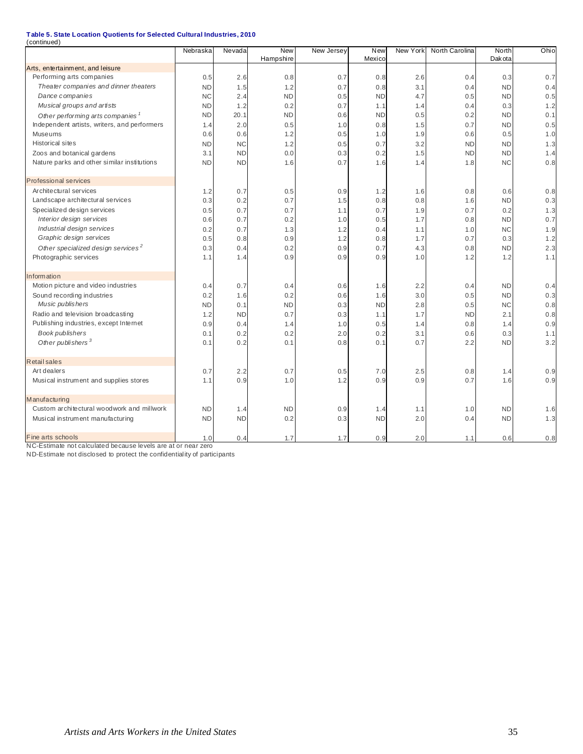| (continued)                                                   |                        |            |                  |            |                  |          |                |                        |      |
|---------------------------------------------------------------|------------------------|------------|------------------|------------|------------------|----------|----------------|------------------------|------|
|                                                               | Nebraska               | Nevada     | <b>New</b>       | New Jersey | New<br>Mexico    | New York | North Carolina | North<br>Dak ota       | Ohio |
|                                                               |                        |            | Hampshire        |            |                  |          |                |                        |      |
| Arts, entertainment, and leisure<br>Performing arts companies |                        |            |                  |            |                  |          |                |                        |      |
|                                                               | 0.5                    | 2.6        | 0.8              | 0.7        | 0.8              | 2.6      | 0.4            | 0.3                    | 0.7  |
| Theater companies and dinner theaters                         | <b>ND</b><br><b>NC</b> | 1.5<br>2.4 | 1.2<br><b>ND</b> | 0.7        | 0.8<br><b>ND</b> | 3.1      | 0.4            | <b>ND</b><br><b>ND</b> | 0.4  |
| Dance companies                                               |                        |            |                  | 0.5        |                  | 4.7      | 0.5            |                        | 0.5  |
| Musical groups and artists                                    | <b>ND</b>              | 1.2        | 0.2              | 0.7        | 1.1              | 1.4      | 0.4            | 0.3                    | 1.2  |
| Other performing arts companies <sup>1</sup>                  | <b>ND</b>              | 20.1       | <b>ND</b>        | 0.6        | <b>ND</b>        | 0.5      | 0.2            | <b>ND</b>              | 0.1  |
| Independent artists, writers, and performers                  | 1.4                    | 2.0        | 0.5              | 1.0        | 0.8              | 1.5      | 0.7            | <b>ND</b>              | 0.5  |
| Museums                                                       | 0.6                    | 0.6        | 1.2              | 0.5        | 1.0              | 1.9      | 0.6            | 0.5                    | 1.0  |
| <b>Historical sites</b>                                       | <b>ND</b>              | <b>NC</b>  | 1.2              | 0.5        | 0.7              | 3.2      | <b>ND</b>      | <b>ND</b>              | 1.3  |
| Zoos and botanical gardens                                    | 3.1                    | <b>ND</b>  | 0.0              | 0.3        | 0.2              | 1.5      | <b>ND</b>      | <b>ND</b>              | 1.4  |
| Nature parks and other similar institutions                   | <b>ND</b>              | <b>ND</b>  | 1.6              | 0.7        | 1.6              | 1.4      | 1.8            | <b>NC</b>              | 0.8  |
| <b>Professional services</b>                                  |                        |            |                  |            |                  |          |                |                        |      |
| Architectural services                                        | 1.2                    | 0.7        | 0.5              | 0.9        | 1.2              | 1.6      | 0.8            | 0.6                    | 0.8  |
| Landscape architectural services                              | 0.3                    | 0.2        | 0.7              | 1.5        | 0.8              | 0.8      | 1.6            | <b>ND</b>              | 0.3  |
| Specialized design services                                   | 0.5                    | 0.7        | 0.7              | 1.1        | 0.7              | 1.9      | 0.7            | 0.2                    | 1.3  |
| Interior design services                                      | 0.6                    | 0.7        | 0.2              | 1.0        | 0.5              | 1.7      | 0.8            | <b>ND</b>              | 0.7  |
| Industrial design services                                    | 0.2                    | 0.7        | 1.3              | 1.2        | 0.4              | 1.1      | 1.0            | <b>NC</b>              | 1.9  |
| Graphic design services                                       | 0.5                    | 0.8        | 0.9              | 1.2        | 0.8              | 1.7      | 0.7            | 0.3                    | 1.2  |
| Other specialized design services <sup>2</sup>                | 0.3                    | 0.4        | 0.2              | 0.9        | 0.7              | 4.3      | 0.8            | <b>ND</b>              | 2.3  |
| Photographic services                                         | 1.1                    | 1.4        | 0.9              | 0.9        | 0.9              | 1.0      | 1.2            | 1.2                    | 1.1  |
|                                                               |                        |            |                  |            |                  |          |                |                        |      |
| <b>Information</b>                                            |                        |            |                  |            |                  |          |                |                        |      |
| Motion picture and video industries                           | 0.4                    | 0.7        | 0.4              | 0.6        | 1.6              | 2.2      | 0.4            | <b>ND</b>              | 0.4  |
| Sound recording industries                                    | 0.2                    | 1.6        | 0.2              | 0.6        | 1.6              | 3.0      | 0.5            | <b>ND</b>              | 0.3  |
| Music publishers                                              | <b>ND</b>              | 0.1        | <b>ND</b>        | 0.3        | <b>ND</b>        | 2.8      | 0.5            | <b>NC</b>              | 0.8  |
| Radio and television broadcasting                             | 1.2                    | <b>ND</b>  | 0.7              | 0.3        | 1.1              | 1.7      | <b>ND</b>      | 2.1                    | 0.8  |
| Publishing industries, except Internet                        | 0.9                    | 0.4        | 1.4              | 1.0        | 0.5              | 1.4      | 0.8            | 1.4                    | 0.9  |
| Book publishers                                               | 0.1                    | 0.2        | 0.2              | 2.0        | 0.2              | 3.1      | 0.6            | 0.3                    | 1.1  |
| Other publishers <sup>3</sup>                                 | 0.1                    | 0.2        | 0.1              | 0.8        | 0.1              | 0.7      | 2.2            | <b>ND</b>              | 3.2  |
| <b>Retail sales</b>                                           |                        |            |                  |            |                  |          |                |                        |      |
| Art dealers                                                   | 0.7                    | 2.2        | 0.7              | 0.5        | 7.0              | 2.5      | 0.8            | 1.4                    | 0.9  |
| Musical instrument and supplies stores                        | 1.1                    | 0.9        | 1.0              | 1.2        | 0.9              | 0.9      | 0.7            | 1.6                    | 0.9  |
|                                                               |                        |            |                  |            |                  |          |                |                        |      |
| Manufacturing                                                 |                        |            |                  |            |                  |          |                |                        |      |
| Custom architectural woodwork and millwork                    | <b>ND</b>              | 1.4        | <b>ND</b>        | 0.9        | 1.4              | 1.1      | 1.0            | <b>ND</b>              | 1.6  |
| Musical instrument manufacturing                              | <b>ND</b>              | <b>ND</b>  | 0.2              | 0.3        | <b>ND</b>        | 2.0      | 0.4            | <b>ND</b>              | 1.3  |
| Fine arts schools                                             | 1.0                    | 0.4        | 1.7              | 1.7        | 0.9              | 2.0      | 1.1            | 0.6                    | 0.8  |

NC-Estimate not calculated because levels are at or near zero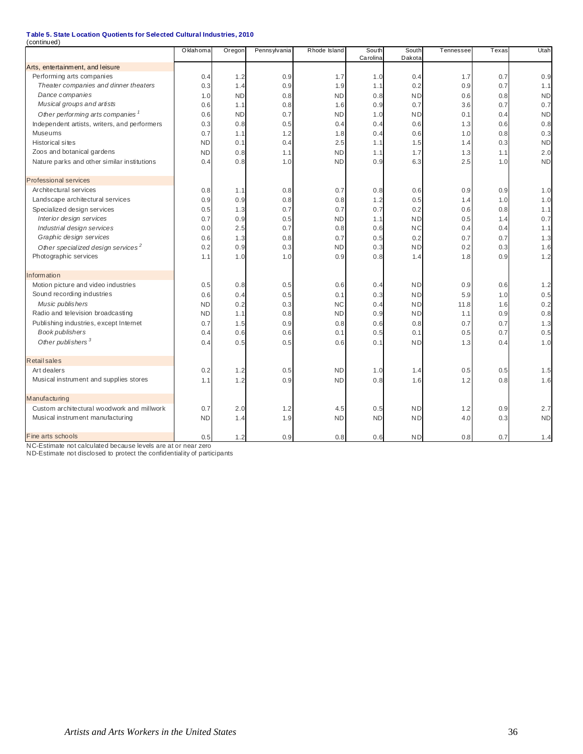| (continued)                                    |           |           |              |              |                   |                 |           |       |           |
|------------------------------------------------|-----------|-----------|--------------|--------------|-------------------|-----------------|-----------|-------|-----------|
|                                                | Oklahoma  | Oregon    | Pennsylvania | Rhode Island | South<br>Carolina | South<br>Dakota | Tennessee | Texas | Utah      |
| Arts, entertainment, and leisure               |           |           |              |              |                   |                 |           |       |           |
| Performing arts companies                      | 0.4       | 1.2       | 0.9          | 1.7          | 1.0               | 0.4             | 1.7       | 0.7   | 0.9       |
| Theater companies and dinner theaters          | 0.3       | 1.4       | 0.9          | 1.9          | 1.1               | 0.2             | 0.9       | 0.7   | 1.1       |
| Dance companies                                | 1.0       | <b>ND</b> | 0.8          | <b>ND</b>    | 0.8               | <b>ND</b>       | 0.6       | 0.8   | <b>ND</b> |
| Musical groups and artists                     | 0.6       | 1.1       | 0.8          | 1.6          | 0.9               | 0.7             | 3.6       | 0.7   | 0.7       |
| Other performing arts companies '              | 0.6       | <b>ND</b> | 0.7          | <b>ND</b>    | 1.0               | <b>ND</b>       | 0.1       | 0.4   | <b>ND</b> |
| Independent artists, writers, and performers   | 0.3       | 0.8       | 0.5          | 0.4          | 0.4               | 0.6             | 1.3       | 0.6   | 0.8       |
| Museums                                        | 0.7       | 1.1       | 1.2          | 1.8          | 0.4               | 0.6             | 1.0       | 0.8   | 0.3       |
| <b>Historical sites</b>                        | <b>ND</b> | 0.1       | 0.4          | 2.5          | 1.1               | 1.5             | 1.4       | 0.3   | <b>ND</b> |
| Zoos and botanical gardens                     | <b>ND</b> | 0.8       | 1.1          | <b>ND</b>    | 1.1               | 1.7             | 1.3       | 1.1   | 2.0       |
| Nature parks and other similar institutions    | 0.4       | 0.8       | 1.0          | <b>ND</b>    | 0.9               | 6.3             | 2.5       | 1.0   | <b>ND</b> |
| <b>Professional services</b>                   |           |           |              |              |                   |                 |           |       |           |
| Architectural services                         | 0.8       | 1.1       | 0.8          | 0.7          | 0.8               | 0.6             | 0.9       | 0.9   | 1.0       |
| Landscape architectural services               | 0.9       | 0.9       | 0.8          | 0.8          | 1.2               | 0.5             | 1.4       | 1.0   | 1.0       |
| Specialized design services                    | 0.5       | 1.3       | 0.7          | 0.7          | 0.7               | 0.2             | 0.6       | 0.8   | 1.1       |
| Interior design services                       | 0.7       | 0.9       | 0.5          | <b>ND</b>    | 1.1               | <b>ND</b>       | 0.5       | 1.4   | 0.7       |
| Industrial design services                     | 0.0       | 2.5       | 0.7          | 0.8          | 0.6               | <b>NC</b>       | 0.4       | 0.4   | 1.1       |
| Graphic design services                        | 0.6       | 1.3       | 0.8          | 0.7          | 0.5               | 0.2             | 0.7       | 0.7   | 1.3       |
| Other specialized design services <sup>2</sup> | 0.2       | 0.9       | 0.3          | <b>ND</b>    | 0.3               | <b>ND</b>       | 0.2       | 0.3   | 1.6       |
| Photographic services                          | 1.1       | 1.0       | 1.0          | 0.9          | 0.8               | 1.4             | 1.8       | 0.9   | 1.2       |
| Information                                    |           |           |              |              |                   |                 |           |       |           |
| Motion picture and video industries            | 0.5       | 0.8       | 0.5          | 0.6          | 0.4               | <b>ND</b>       | 0.9       | 0.6   | 1.2       |
| Sound recording industries                     | 0.6       | 0.4       | 0.5          | 0.1          | 0.3               | <b>ND</b>       | 5.9       | 1.0   | 0.5       |
| Music publishers                               | <b>ND</b> | 0.2       | 0.3          | <b>NC</b>    | 0.4               | <b>ND</b>       | 11.8      | 1.6   | 0.2       |
| Radio and television broadcasting              | <b>ND</b> | 1.1       | 0.8          | <b>ND</b>    | 0.9               | <b>ND</b>       | 1.1       | 0.9   | 0.8       |
| Publishing industries, except Internet         | 0.7       | 1.5       | 0.9          | 0.8          | 0.6               | 0.8             | 0.7       | 0.7   | 1.3       |
| <b>Book publishers</b>                         | 0.4       | 0.6       | 0.6          | 0.1          | 0.5               | 0.1             | 0.5       | 0.7   | 0.5       |
| Other publishers <sup>3</sup>                  | 0.4       | 0.5       | 0.5          | 0.6          | 0.1               | <b>ND</b>       | 1.3       | 0.4   | 1.0       |
| <b>Retail sales</b>                            |           |           |              |              |                   |                 |           |       |           |
| Art dealers                                    | 0.2       | 1.2       | 0.5          | <b>ND</b>    | 1.0               | 1.4             | 0.5       | 0.5   | 1.5       |
| Musical instrument and supplies stores         | 1.1       | 1.2       | 0.9          | <b>ND</b>    | 0.8               | 1.6             | 1.2       | 0.8   | 1.6       |
| Manufacturing                                  |           |           |              |              |                   |                 |           |       |           |
| Custom architectural woodwork and millwork     | 0.7       | 2.0       | 1.2          | 4.5          | 0.5               | <b>ND</b>       | 1.2       | 0.9   | 2.7       |
| Musical instrument manufacturing               | <b>ND</b> | 1.4       | 1.9          | <b>ND</b>    | <b>ND</b>         | <b>ND</b>       | 4.0       | 0.3   | <b>ND</b> |
| Fine arts schools                              | 0.5       | 1.2       | 0.9          | 0.8          | 0.6               | <b>ND</b>       | 0.8       | 0.7   | 1.4       |

NC-Estimate not calculated because levels are at or near zero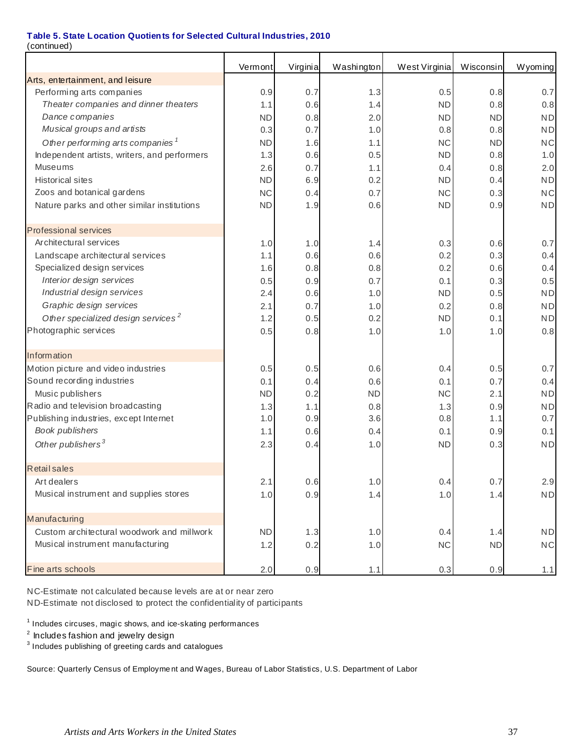(continued)

|                                                | Vermont   | Virginia | Washington | West Virginia | Wisconsin | Wyoming   |
|------------------------------------------------|-----------|----------|------------|---------------|-----------|-----------|
| Arts, entertainment, and leisure               |           |          |            |               |           |           |
| Performing arts companies                      | 0.9       | 0.7      | 1.3        | 0.5           | 0.8       | 0.7       |
| Theater companies and dinner theaters          | 1.1       | 0.6      | 1.4        | <b>ND</b>     | 0.8       | 0.8       |
| Dance companies                                | <b>ND</b> | 0.8      | 2.0        | <b>ND</b>     | ND        | <b>ND</b> |
| Musical groups and artists                     | 0.3       | 0.7      | 1.0        | 0.8           | 0.8       | <b>ND</b> |
| Other performing arts companies <sup>1</sup>   | <b>ND</b> | 1.6      | 1.1        | <b>NC</b>     | <b>ND</b> | <b>NC</b> |
| Independent artists, writers, and performers   | 1.3       | 0.6      | 0.5        | <b>ND</b>     | 0.8       | 1.0       |
| Museums                                        | 2.6       | 0.7      | 1.1        | 0.4           | 0.8       | 2.0       |
| <b>Historical sites</b>                        | <b>ND</b> | 6.9      | 0.2        | <b>ND</b>     | 0.4       | <b>ND</b> |
| Zoos and botanical gardens                     | <b>NC</b> | 0.4      | 0.7        | <b>NC</b>     | 0.3       | <b>NC</b> |
| Nature parks and other similar institutions    | <b>ND</b> | 1.9      | 0.6        | <b>ND</b>     | 0.9       | <b>ND</b> |
| <b>Professional services</b>                   |           |          |            |               |           |           |
| Architectural services                         | 1.0       | 1.0      | 1.4        | 0.3           | 0.6       | 0.7       |
| Landscape architectural services               | 1.1       | 0.6      | 0.6        | 0.2           | 0.3       | 0.4       |
| Specialized design services                    | 1.6       | 0.8      | 0.8        | 0.2           | 0.6       | 0.4       |
| Interior design services                       | 0.5       | 0.9      | 0.7        | 0.1           | 0.3       | 0.5       |
| Industrial design services                     | 2.4       | 0.6      | 1.0        | <b>ND</b>     | 0.5       | <b>ND</b> |
| Graphic design services                        | 2.1       | 0.7      | 1.0        | 0.2           | 0.8       | <b>ND</b> |
| Other specialized design services <sup>2</sup> | 1.2       | 0.5      | 0.2        | <b>ND</b>     | 0.1       | <b>ND</b> |
| Photographic services                          | 0.5       | 0.8      | 1.0        | 1.0           | 1.0       | 0.8       |
| Information                                    |           |          |            |               |           |           |
| Motion picture and video industries            | 0.5       | 0.5      | 0.6        | 0.4           | 0.5       | 0.7       |
| Sound recording industries                     | 0.1       | 0.4      | 0.6        | 0.1           | 0.7       | 0.4       |
| Music publishers                               | <b>ND</b> | 0.2      | <b>ND</b>  | <b>NC</b>     | 2.1       | <b>ND</b> |
| Radio and television broadcasting              | 1.3       | 1.1      | 0.8        | 1.3           | 0.9       | <b>ND</b> |
| Publishing industries, except Internet         | 1.0       | 0.9      | 3.6        | 0.8           | 1.1       | 0.7       |
| Book publishers                                | 1.1       | 0.6      | 0.4        | 0.1           | 0.9       | 0.1       |
| Other publishers <sup>3</sup>                  | 2.3       | 0.4      | 1.0        | <b>ND</b>     | 0.3       | <b>ND</b> |
| <b>Retail sales</b>                            |           |          |            |               |           |           |
| Art dealers                                    | 2.1       | 0.6      | 1.0        | 0.4           | 0.7       | 2.9       |
| Musical instrument and supplies stores         | 1.0       | 0.9      | 1.4        | 1.0           | 1.4       | <b>ND</b> |
| Manufacturing                                  |           |          |            |               |           |           |
| Custom architectural woodwork and millwork     | <b>ND</b> | 1.3      | 1.0        | 0.4           | 1.4       | <b>ND</b> |
| Musical instrument manufacturing               | 1.2       | 0.2      | 1.0        | NC            | <b>ND</b> | NC        |
| Fine arts schools                              | 2.0       | 0.9      | 1.1        | 0.3           | 0.9       | 1.1       |

NC-Estimate not calculated because levels are at or near zero ND-Estimate not disclosed to protect the confidentiality of participants

 $1$  Includes circuses, magic shows, and ice-skating performances

 $3$  Includes publishing of greeting cards and catalogues

Source: Quarterly Census of Employme nt and Wages, Bureau of Labor Statistics, U.S. Department of Labor

 $2$  Includes fashion and jewelry design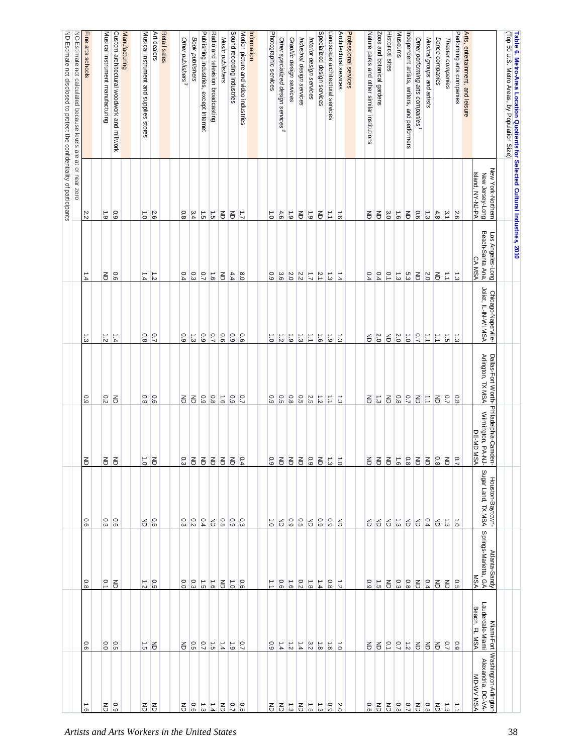| Table 6. Metro-Area Location Quotients for Selected Cultural Industries, 2010<br>(Top 50 U.S. Metro Areas, by Population Size) |                                                          |                                                                 |                                                                              |                                                      |                                                               |                                        |                                              |                                                 |                                                                | 38                                            |
|--------------------------------------------------------------------------------------------------------------------------------|----------------------------------------------------------|-----------------------------------------------------------------|------------------------------------------------------------------------------|------------------------------------------------------|---------------------------------------------------------------|----------------------------------------|----------------------------------------------|-------------------------------------------------|----------------------------------------------------------------|-----------------------------------------------|
|                                                                                                                                | New York-Northern<br>Island, NY-NJ-PA<br>New Jersey-Long | Beach-Santa Ana,<br><b>SOT</b><br>Angeles-Long<br><b>CA MSA</b> | Chicago-Naperville-<br>Joliet, IL-IN-WI MSA                                  | Dallas-Fort Worth- <sup> </sup><br>Arlington, TX MSA | ⊦ Philadelphia-Camden-<br>4 Wilmington, PA-NJ-<br>0 DE-MD MSA | Sugar Land, TX MSA<br>Houston-Baytown- | Springs-Marietta, GA<br>Atlanta-Sandy<br>MSA | Lauderdale-Miami<br>Beach, FL MSA<br>Miami-Fort | Washington-Arlington<br>Alexandria, DC-VA-<br><b>MD-WV MSA</b> |                                               |
| Arts, entertainment, and leisure                                                                                               |                                                          |                                                                 |                                                                              |                                                      |                                                               |                                        |                                              |                                                 |                                                                |                                               |
| Performing arts companies                                                                                                      |                                                          | ್ಪ                                                              |                                                                              | 0.8                                                  | $\overline{0.7}$                                              | $\vec{0}$                              | 0.5                                          |                                                 | ₫                                                              |                                               |
| Theater companies                                                                                                              | $\frac{2.6}{3.1}$                                        | $\overrightarrow{L}$                                            | $\frac{1}{10}$ $\frac{1}{10}$                                                | $\overline{2.7}$                                     | $\overline{6}$                                                | $\frac{1}{3}$                          | $\Xi$                                        | $rac{0.9}{7}$                                   | $\vec{\omega}$                                                 |                                               |
| Dance companies                                                                                                                | $\frac{4.8}{8}$                                          | $\epsilon$                                                      | $\Xi$                                                                        | $\overline{6}$                                       | $\overline{80}$                                               | る                                      | 弓                                            | 弓                                               | $\overline{6}$                                                 |                                               |
| Musical groups and artists                                                                                                     | $\frac{1}{3}$                                            | $\overline{c}$ .0                                               | $\vec{\cdot}$                                                                | $\vec{\mathbb{L}}$                                   | $\overline{6}$                                                | 0.4                                    | 0.4                                          | $\overline{\mathbb{E}}$                         | 0.8                                                            |                                               |
| Other performing arts companies <sup>1</sup>                                                                                   | 0.6                                                      | $\overline{\mathbb{e}}$                                         | $\overline{0.7}$                                                             | $\overline{6}$                                       | $\overline{6}$                                                | E                                      | $\overline{6}$                               | $\overline{6}$                                  | $\overline{6}$                                                 |                                               |
| Independent artists, writers, and performers                                                                                   | $\overline{6}$                                           | 5.3                                                             | $\vec{c}$                                                                    | $\overline{C}$                                       | 0.8                                                           | $\overline{6}$                         | 0.8                                          | $\frac{1}{2}$                                   |                                                                |                                               |
| <b>Museums</b>                                                                                                                 | $\overrightarrow{9}$                                     | $\frac{1}{3}$                                                   | 2.0                                                                          | 0.8                                                  | $\overrightarrow{9}$                                          | $ \vec{u} $                            |                                              | $\overline{C}$                                  | $\frac{0.7}{0.8}$                                              |                                               |
| <b>Historical sites</b>                                                                                                        | 3.0                                                      | $\frac{1}{2}$                                                   | E                                                                            | 弓                                                    | $\overline{6}$                                                | E                                      | $\frac{3}{9}$                                | $\frac{1}{2}$                                   | $\overline{6}$                                                 |                                               |
| Zoos and botanical gardens                                                                                                     | 召                                                        | 0.4                                                             | 2.0                                                                          | $\frac{1}{3}$                                        | $\overline{6}$                                                | $\overline{6}$                         | $\overrightarrow{5}$                         | 召                                               | $\overline{6}$                                                 |                                               |
| Nature parks and other similar institutions                                                                                    | $\epsilon$                                               | 0.4                                                             | 종                                                                            | 종                                                    | $\overline{6}$                                                | 증                                      | 0.9                                          | 종                                               | 0.6                                                            |                                               |
|                                                                                                                                |                                                          |                                                                 |                                                                              |                                                      |                                                               |                                        |                                              |                                                 |                                                                |                                               |
| Professional services                                                                                                          |                                                          |                                                                 |                                                                              |                                                      |                                                               |                                        |                                              |                                                 |                                                                |                                               |
| Architectural services                                                                                                         | $\overrightarrow{5}$                                     | 1.4                                                             | $\vec{\omega}$                                                               | ίä                                                   | $\vec{0}$                                                     | 弓                                      | $\overrightarrow{z}$                         | $\vec{0}$                                       | 2.0                                                            |                                               |
| Landscape architectural services                                                                                               | $\overrightarrow{\cdot}$                                 | $\vec{\omega}$                                                  | $\overrightarrow{6}$                                                         | $\vec{\Xi}$                                          | $\frac{1}{3}$                                                 | $\overline{6}$                         | 0.8                                          | $\vec{8}$                                       | 0.9                                                            |                                               |
| Specialized design services                                                                                                    | $\overline{6}$                                           | $\frac{1}{2}$                                                   | $\overrightarrow{9}$                                                         |                                                      | $\overline{6}$                                                | 0.9                                    | $\frac{1.4}{4}$                              | $\frac{1}{\infty}$                              | $\vec{3}$                                                      |                                               |
| Interior design services                                                                                                       | $6^{\circ}$                                              | $\overrightarrow{L}$                                            | $\ensuremath{\mathop{\mathop{\vphantom{\mathrm{d}}^{\mathrm{d}}}}\nolimits}$ | $rac{1}{\sqrt{2}}$                                   | $60^{\circ}$                                                  | $\overline{6}$                         | $\vec{8}$                                    | 3.2                                             | $\overrightarrow{c}$                                           |                                               |
| Industrial design services                                                                                                     | $\overline{6}$                                           | 2.2                                                             | $\frac{1}{3}$                                                                | 0.5                                                  | $\overline{6}$                                                | $\frac{1}{2}$                          | 0.2                                          | $\ddot{1}$ .4                                   | $\overline{6}$                                                 |                                               |
| Graphic design services                                                                                                        | $\overline{6}$                                           | 2.0                                                             | $\overrightarrow{6}$                                                         | 0.8                                                  | $\overline{6}$                                                | 0.9                                    | $\overrightarrow{9}$                         | $\frac{1}{2}$                                   | $\frac{1}{3}$                                                  |                                               |
| Other specialized design services <sup>2</sup>                                                                                 | 4.6                                                      | 3.6                                                             | $\frac{1}{2}$                                                                | $\frac{0.5}{5}$                                      | $\overline{6}$                                                | $\overline{\mathbf{e}}$                | 0.6                                          | 1.4                                             | $\overline{6}$                                                 |                                               |
| Photographic services                                                                                                          | $\overline{0}$                                           | 0.9                                                             | $\vec{0}$                                                                    | $\overline{6}$                                       | 0.9                                                           | $\vec{0}$                              | ∶                                            | 0.9                                             | 증                                                              |                                               |
|                                                                                                                                |                                                          |                                                                 |                                                                              |                                                      |                                                               |                                        |                                              |                                                 |                                                                |                                               |
| Information                                                                                                                    |                                                          |                                                                 |                                                                              |                                                      |                                                               |                                        |                                              |                                                 |                                                                |                                               |
| Motion picture and video industries                                                                                            | $\overline{L}$                                           | 0.8                                                             | 0.6                                                                          | $\overline{2}$                                       | 0.4                                                           | 0.3                                    | 0.6                                          | $\overline{C}$                                  | $\overline{0}$                                                 |                                               |
| Sound recording industries                                                                                                     | $\overline{6}$                                           | 4.4                                                             | 0.9                                                                          | $\overline{6}$                                       | $\overline{6}$                                                | 60                                     | $\overrightarrow{0}$                         | $\overrightarrow{6}$                            | 0.7                                                            |                                               |
| Music publishers                                                                                                               | $\Xi$                                                    | $\overline{6}$                                                  | 0.6                                                                          | $\overline{6}$                                       | $\overline{6}$                                                | 0.5                                    | $\overline{\mathbf{e}}$                      | $\frac{1}{4}$                                   | $\overline{6}$                                                 |                                               |
| Radio and television broadcasting                                                                                              | $\vec{c}$                                                | $\vec{e}$                                                       | 0.7                                                                          | 0.8                                                  | $\overline{6}$                                                | $\mathsf{g}% _{T}$                     | $\overrightarrow{9}$                         | $\overrightarrow{5}$                            | 1.4                                                            |                                               |
| Publishing industries,<br>except Internet                                                                                      | $\frac{1}{5}$                                            | $\overline{C}$                                                  | $60^{\circ}$                                                                 | $\overline{6}$                                       | $\overline{6}$                                                | 0.4                                    | $\overrightarrow{5}$                         | $\overline{C}$                                  | $\vec{3}$                                                      |                                               |
| Book publishers                                                                                                                | 3.4                                                      | 0.3                                                             | $\vec{\omega}$                                                               | $\overline{\mathbf{e}}$                              | $\overline{6}$                                                | 0.2                                    | 0.3                                          | $_{\rm G.5}$                                    | 0.6                                                            |                                               |
| Other publishers <sup>3</sup>                                                                                                  | 0.8                                                      | 0.4                                                             | 0.9                                                                          | $\lessgtr$                                           | 0.3                                                           | o.                                     | 0.0                                          | 증                                               | 증                                                              |                                               |
|                                                                                                                                |                                                          |                                                                 |                                                                              |                                                      |                                                               |                                        |                                              |                                                 |                                                                |                                               |
| Retail sales                                                                                                                   |                                                          |                                                                 |                                                                              |                                                      |                                                               |                                        |                                              |                                                 |                                                                |                                               |
| Art dealers                                                                                                                    | 5.6                                                      | $\vec{z}$                                                       | $\overline{C}$                                                               | 0.6                                                  | $\Xi$                                                         | 0.5                                    | $\overline{5}$                               | る                                               | る                                                              |                                               |
| Musical instrument and supplies stores                                                                                         | $\overline{0}$                                           | 1.4                                                             | $0.8\,$                                                                      | $0.8\,$                                              | $\vec{o}$                                                     | 종                                      | $\vec{z}$                                    | $\vec{c}$                                       | 弓                                                              |                                               |
| Manufacturing                                                                                                                  |                                                          |                                                                 |                                                                              |                                                      |                                                               |                                        |                                              |                                                 |                                                                | Artists and Arts Workers in the United States |
| Custom architectural woodwork and millwork                                                                                     | 60                                                       | $\overline{9}$                                                  | $\frac{1.4}{4}$                                                              | $\overline{6}$                                       | $\overline{6}$                                                | $\frac{1}{9}$                          | る                                            | 0.5                                             | 60                                                             |                                               |
| Musical instrument manufacturing                                                                                               | $\overline{6}$                                           | る                                                               | $\vec{z}$                                                                    | 0.2                                                  | $\overline{6}$                                                | O.<br>نت                               | $\overline{0}$                               | 0.0                                             | る                                                              |                                               |
|                                                                                                                                |                                                          |                                                                 |                                                                              |                                                      |                                                               |                                        |                                              |                                                 |                                                                |                                               |
| Fine arts schools                                                                                                              | 2.2                                                      | 1.4                                                             | 1.3                                                                          | 6.0                                                  | $\overline{6}$                                                | o.<br>စ                                | 0.8                                          | 0.6                                             | $\overrightarrow{9}$                                           |                                               |
| NC-Estimate not calculated because levels are at or near zero                                                                  |                                                          |                                                                 |                                                                              |                                                      |                                                               |                                        |                                              |                                                 |                                                                |                                               |
| ND-Estimate not disclosed to protect the confidentiality of participants                                                       |                                                          |                                                                 |                                                                              |                                                      |                                                               |                                        |                                              |                                                 |                                                                |                                               |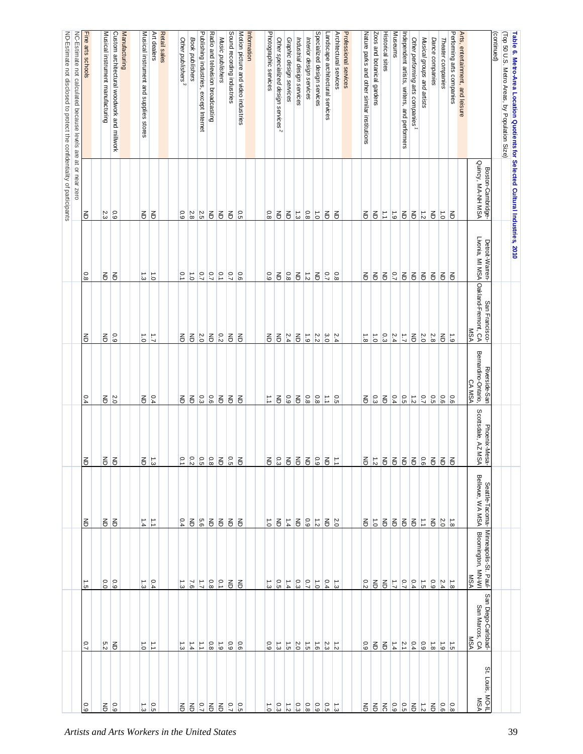| Table 6. Metro-Area Location Quotients for Selected Cultural Industries, 2010 |                                        |                                   |                                                       |                                     |                                     |                                       |                                             |                                       | 39                                            |
|-------------------------------------------------------------------------------|----------------------------------------|-----------------------------------|-------------------------------------------------------|-------------------------------------|-------------------------------------|---------------------------------------|---------------------------------------------|---------------------------------------|-----------------------------------------------|
| (Top 50 U.S. Metro Areas, by Population Size)<br>(continued)                  |                                        |                                   |                                                       |                                     |                                     |                                       |                                             |                                       |                                               |
|                                                                               | Quincy, MA-NH MSA<br>Boston-Cambridge- | Detroit-Warren-                   | Livonia, MI MSA Oakland-Fremont, CA<br>San Francisco- | Bemardino-Ontario,<br>Riverside-San | Phoenix-Mesa-<br>Scottsdale, AZ MSA | Bellevue, WA MSA<br>Seattle-Tacoma-   | Minneapolis-St. Paul-<br>Bloomington, MN-WI | San Diego-Carlsbad-<br>San Marcos, CA | St. Louis, MO-IL<br><b>MSA</b>                |
| Arts, entertainment, and leisure                                              |                                        |                                   | <b>MSA</b>                                            | CA MSA                              |                                     |                                       | <b>MSA</b>                                  | <b>MSA</b>                            |                                               |
| Performing arts companies                                                     | る                                      | $\overline{6}$                    | $\overrightarrow{6}$                                  | 0.6                                 | $\overline{6}$                      |                                       | $\vec{8}$                                   | $\vec{5}$                             | $80^{\circ}$                                  |
| Theater companies                                                             | $\overrightarrow{0}$                   | $\overline{6}$                    | $\overline{6}$                                        | 0.6                                 | $\overline{6}$                      | 2.0                                   | 2.4                                         | $\frac{1}{6}$                         | $\overline{90}$                               |
| Dance companies                                                               | $\overline{\mathbb{e}}$                | $\overline{6}$                    | $2.8\,$                                               | 0.5                                 | $\overline{6}$                      | $\Xi$                                 | $_{\rm 6.9}$                                | $1.8\,$                               | $\lessgtr$                                    |
| Musical groups and artists                                                    | $\frac{1}{2}$                          |                                   | 2.0                                                   | $\overline{C}$                      | 9.6                                 | E                                     | $\frac{1}{5}$                               | $\overline{6}$                        | $\overrightarrow{z}$                          |
| Other performing arts companies                                               | $\overline{6}$                         | 百百                                | $\overline{6}$                                        |                                     |                                     | 13                                    | 0.4                                         | 0.4                                   | $\overline{6}$                                |
| Independent artists, writers, and performers                                  | $\overline{\mathbb{E}}$                |                                   | $\mathcal{L}^+$                                       | $rac{1}{\sqrt{3}}$                  | 55                                  | $\overline{6}$                        | $\overline{0.7}$                            | 2.1                                   | 0.5                                           |
| <b>Museums</b>                                                                | $\vec{6}$                              | $ \frac{5}{2} $                   | $\frac{2.4}{4}$                                       | 0.4                                 | $\overline{5}$                      | $\epsilon$                            | $\overrightarrow{L}$                        | 1.4                                   | 6.9                                           |
| <b>Historical sites</b>                                                       | E                                      | E                                 | 0.3                                                   | $\overline{6}$                      | $\overline{6}$                      | $\epsilon$                            | る                                           | る                                     | $\overline{5}$                                |
| Zoos and botanical gardens                                                    | E                                      | $\overline{6}$                    | $\vec{c}$                                             | 0.3                                 | $\frac{1}{2}$                       | $\overrightarrow{c}$                  | $\overline{6}$                              | る                                     | る                                             |
| Nature parks and other similar institutions                                   | $\mathsf{g}% _{T}$                     | る                                 | $\vec{s}$                                             | $\overline{5}$                      | 引                                   | 종                                     | 0.2                                         | 0.9                                   | 종                                             |
|                                                                               |                                        |                                   |                                                       |                                     |                                     |                                       |                                             |                                       |                                               |
| Architectural services<br>Professional services                               | $\overline{6}$                         |                                   |                                                       |                                     |                                     |                                       |                                             |                                       |                                               |
| Landscape architectural services                                              | $\overline{\mathbb{E}}$                | $\overline{2}$<br>$\frac{0.8}{8}$ | 3.0<br>$\frac{2.4}{4}$                                | $\frac{1}{2}$ $\frac{1}{2}$         | $\overline{6}$<br>E                 | $\mathsf{g}% _{T}$<br>$\frac{2.0}{2}$ | 0.4<br>$\vec{\omega}$                       | 2.3<br>$\vec{z}$                      | 0.5<br><b>ئ</b>                               |
| Specialized design services                                                   | $\overline{0}$                         | $\overline{6}$                    | 2.2                                                   | $\frac{0.8}{\infty}$                | 0.9                                 | $\frac{1}{2}$                         | $\overrightarrow{c}$                        | $\vec{e}$                             | 60                                            |
| Interior design services                                                      | $\frac{0.8}{8}$                        | $\frac{1}{2}$                     | $\frac{1}{6}$                                         | $\overline{0.8}$                    | $\overline{6}$                      | 60                                    | $\overline{C}$                              | $\frac{1}{5}$                         | $\frac{8}{8}$                                 |
| Industrial design services                                                    | $\frac{1}{3}$                          | $\overline{\mathbf{e}}$           | $\Xi$                                                 | $\overline{\mathbf{e}}$             | $\overline{6}$                      | $\Xi$                                 | 0.3                                         | 2.0                                   | 0.3                                           |
| Graphic design services                                                       | $\Xi$                                  | 0.8                               | 2.4                                                   | 0.9                                 | $\overline{\mathbf{e}}$             | 1.4                                   | $\frac{1.4}{4}$                             | $\vec{c}$                             | $\vec{z}$                                     |
| Other specialized design services <sup>2</sup>                                | $\Xi$                                  | $\overline{\mathbb{e}}$           | $\overline{6}$                                        | $\overline{5}$                      | 0.3                                 | $\mathsf{S}% _{T}$                    | 0.5                                         | $\frac{1}{3}$                         | 0.3                                           |
| Photographic services                                                         | 0.8                                    | $0.9\,$                           | $\overline{6}$                                        | $\overrightarrow{L}$                | 종                                   | $\vec{0}$                             | $\vec{\omega}$                              | 6.9                                   | $\vec{0}$                                     |
|                                                                               |                                        |                                   |                                                       |                                     |                                     |                                       |                                             |                                       |                                               |
| Motion picture and video industries<br>Information                            | $\frac{0}{5}$                          | 0.6                               | 弓                                                     | Ιš                                  | $\overline{6}$                      | る                                     | $\overline{6}$                              | 0.6                                   |                                               |
| Sound recording industries                                                    | $\mathsf{S}% _{T}$                     | $\overline{C}$                    | $\overline{6}$                                        | $\overline{\mathbf{e}}$             | 6.5                                 | $\overline{6}$                        | $\overline{6}$                              | 6.9                                   | $rac{0.5}{7}$                                 |
| Music publishers                                                              | $\Xi$                                  | $\frac{1}{2}$                     |                                                       | $\overline{6}$                      | $\overline{6}$                      | $\Xi$                                 | $\overline{c}$                              | $\ddot{5}$                            | $\overline{6}$                                |
| Radio and television broadcasting                                             | $\overline{6}$                         | $\overline{0.7}$                  | $\frac{1}{6}$                                         | 0.6                                 | $\overline{80}$                     | $\overline{6}$                        | $0.8\,$                                     | 0.8                                   | $\Xi$                                         |
| Publishing industries,<br>except Internet                                     | $\frac{2.5}{2}$                        | $\overline{C}$                    | 2.0                                                   | 0.3                                 | 0.5                                 | 5.6                                   | $\overline{L}$                              | $\overrightarrow{\cdot}$              | $\overline{C}$                                |
| Book publishers                                                               | 2.8                                    | $\vec{0}$                         | $\overline{6}$                                        | $\overline{6}$                      | $\frac{0.2}{2}$                     | $\overline{6}$                        | 9'2                                         | $\frac{1.4}{4}$                       | る                                             |
| Other publishers <sup>3</sup>                                                 | 0.9                                    | $\overline{0}$                    | $\mathsf{g}% _{T}$                                    | $\lessgtr$                          | $\overline{0}$                      | 0.4                                   | <b>ئ</b>                                    | <b>ئ</b>                              | る                                             |
| Retail sales                                                                  |                                        |                                   |                                                       |                                     |                                     |                                       |                                             |                                       |                                               |
| Art dealers                                                                   | $\overline{6}$                         | $\overrightarrow{c}$              | $\overrightarrow{L}$                                  | 0.4                                 | 하리                                  | $\mathbb{L}$                          | 0.4                                         | $\mathbb{L}$                          | $\overline{5}$                                |
| Musical instrument and supplies stores                                        | 증                                      | بن<br>م                           | $\vec{0}$                                             | 종                                   |                                     | 1.4                                   | $\vec{\omega}$                              | $\vec{c}$                             | بن<br>م                                       |
| Manufacturing                                                                 |                                        |                                   |                                                       |                                     |                                     |                                       |                                             |                                       | Artists and Arts Workers in the United States |
| Custom architectural woodwork and millwork                                    |                                        | $\overline{6}$                    | $\overline{6}$                                        | 5.0                                 |                                     |                                       | 0.9                                         | $\overline{6}$                        | 0.9                                           |
| Musical instrument manufacturing                                              | $\frac{0.9}{2.3}$                      | 弓                                 | $\overline{5}$                                        | $\mathsf{S}% _{T}$                  | $rac{1}{6}$                         | $\overline{5}$ $\overline{5}$         | 0.0                                         | 5.2                                   | 중                                             |
| Fine arts schools                                                             | E                                      | $\overline{0.8}$                  | $\overline{6}$                                        | 0.4                                 | E                                   | る                                     | $\overrightarrow{c}$                        | $\overline{0.7}$                      | $\overline{6}$                                |
| NC-Estimate not calculated because levels are at or near zero                 |                                        |                                   |                                                       |                                     |                                     |                                       |                                             |                                       |                                               |
| ND-Estimate not disclosed to protect the confidentiality of participants      |                                        |                                   |                                                       |                                     |                                     |                                       |                                             |                                       |                                               |
|                                                                               |                                        |                                   |                                                       |                                     |                                     |                                       |                                             |                                       |                                               |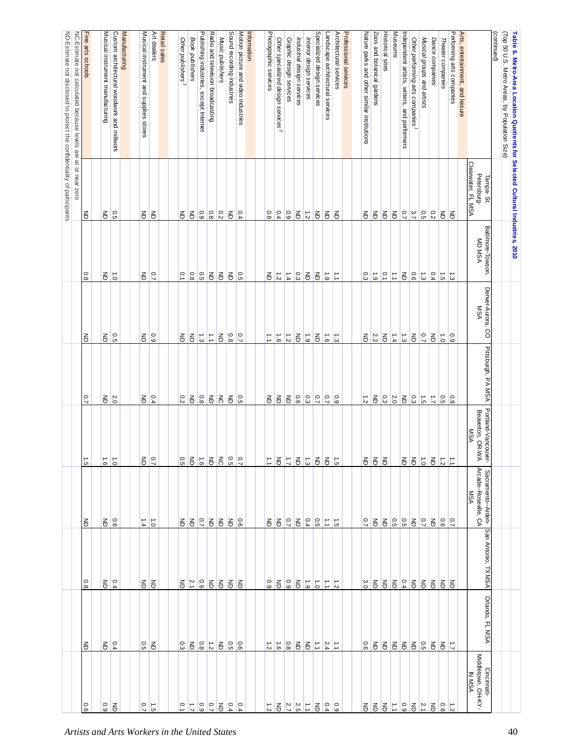| (Top 50 U.S. Metro Areas, by Population Size)<br>Table 6. Metro-Area Location Quotients for Selected Cultural Industries, 2010<br>(continued) | Tampa-St.                         | Baltimore-Towson,    | Denver-Aurora,<br>8                   | Pittsburgh, PA MSA                           | Portland-Vancouver-                | Sacramento--Arden-                  | San Antonio,<br><b>TXMSA</b> | Orlando, FL MSA         |                                                    |
|-----------------------------------------------------------------------------------------------------------------------------------------------|-----------------------------------|----------------------|---------------------------------------|----------------------------------------------|------------------------------------|-------------------------------------|------------------------------|-------------------------|----------------------------------------------------|
| Arts, entertainment, and leisure                                                                                                              | Clearwater, FL MSA<br>Petersburg- | <b>MD MSA</b>        | <b>MSA</b>                            |                                              | Beaverton, OR-W<br><b>MSA</b><br>⋗ | Arcade--Roseville, CA<br><b>MSA</b> |                              |                         | Cincinnati-<br>Middletown, OH-KY-<br><b>IN MSA</b> |
| Performing arts companies                                                                                                                     | 弓                                 | $\vec{\omega}$       | 60                                    | $\overline{6}$                               | E                                  | $\overline{C}$                      | る                            | $\overline{L}$          |                                                    |
| Theater companies                                                                                                                             | $\overline{6}$                    | $\overrightarrow{c}$ | $\vec{0}$                             | 0.5                                          | $\frac{1}{2}$                      | 0.6                                 | $\overline{6}$               | $\overline{6}$          | $0.8\,$                                            |
| Dance companies                                                                                                                               | $\frac{0.2}{2}$                   | 0.4                  | $\overline{6}$                        | $\vec{\mathcal{L}}$                          | $\overline{6}$                     | $\mathsf{E}% _{T}$                  | E                            | $\overline{6}$          | $\overline{6}$                                     |
| Musical groups and artists                                                                                                                    |                                   | $\vec{\omega}$       | 0.7                                   |                                              | $\overrightarrow{c}$               | $\overline{C}$                      | $\overline{6}$               |                         | $\frac{2.1}{2}$                                    |
| Other performing arts companies                                                                                                               | $\frac{0.5}{3.7}$                 | 0.6                  | $\overline{6}$                        | $\frac{1}{10}$ $\frac{1}{10}$ $\frac{1}{10}$ | $rac{1}{6}$                        | $\overline{6}$                      |                              | 중 원 양                   | $\overline{6}$                                     |
| Independent artists, writers, and performers                                                                                                  |                                   | $\lessgtr$           | $\frac{1}{3}$                         |                                              |                                    |                                     |                              |                         | $_{\rm 6.9}$                                       |
| Museums                                                                                                                                       | $\overline{6}$                    | E                    | $\frac{1}{4}$                         | $\frac{2.0}{2}$                              |                                    | $\frac{0.5}{0.5}$                   | 525                          | E                       | $\vert \vec{z} \vert$                              |
| <b>Historical sites</b>                                                                                                                       | $\overline{6}$                    | $\overline{6}$       | $\overline{6}$                        | 0.2                                          | $\overline{6}$                     | $\overline{6}$                      | $\overline{6}$               | $\overline{6}$          | $\overline{6}$                                     |
| Zoos and botanical gardens                                                                                                                    | $\overline{6}$                    | $\vec{6}$            |                                       | $\overline{\mathbb{e}}$                      |                                    | $\overline{6}$                      | $\overline{6}$               | $\overline{6}$          | $\overline{6}$                                     |
| Nature parks and other similar institutions                                                                                                   | 弓                                 | 0.3                  | $rac{2}{5}$                           | $\vec{z}$                                    | $rac{1}{6}$                        | 0.7                                 | 3.0                          | 0.6                     | 弓                                                  |
|                                                                                                                                               |                                   |                      |                                       |                                              |                                    |                                     |                              |                         |                                                    |
| Professional services                                                                                                                         |                                   |                      |                                       |                                              |                                    |                                     |                              |                         |                                                    |
| Architectural services                                                                                                                        | $\overline{6}$                    | E                    |                                       |                                              | $\frac{1}{5}$                      | $\overrightarrow{c}$                | $\frac{1}{2}$                | E                       | 60                                                 |
| Landscape architectural services                                                                                                              | $\overline{6}$                    | $\overrightarrow{6}$ | $\frac{1}{\omega}$ $\frac{1}{\omega}$ | $\frac{0.5}{7.7}$                            | $\overline{6}$                     | E                                   | $\overrightarrow{L}$         | 2.4                     | 0.4                                                |
| Specialized design services                                                                                                                   | $\overline{6}$                    | $\overline{6}$       | $\overline{6}$                        |                                              | $\overline{6}$                     | $\overline{5}$                      | $\vec{c}$                    | $\overrightarrow{a}$    | $\overline{6}$                                     |
| Interior design services                                                                                                                      | $\frac{1}{2}$                     | $\overline{6}$       | 61                                    | $\frac{0.9}{2}$                              | $\frac{1}{3}$                      | 0.4                                 | $\overrightarrow{6}$         | $\overline{6}$          |                                                    |
| Industrial design services                                                                                                                    | $\Xi$                             | 0.3                  | $\Xi$                                 | 0.6                                          | $\overline{6}$                     | $\overline{6}$                      | $\overline{\mathbf{e}}$      | $\overline{\mathbf{e}}$ | $\frac{1}{2}$ $\frac{2}{5}$ $\frac{2}{7}$          |
| Graphic design services                                                                                                                       | $\frac{0.9}{10}$                  | 1.4                  | $\frac{1}{\alpha}$                    | $\overline{6}$                               | $\overline{L}$                     | $\overline{0.7}$                    | $\overline{6}$               | $0.8\,$                 |                                                    |
| Other specialized design services <sup>2</sup>                                                                                                | 0.4                               | $\frac{1}{2}$        | $\overrightarrow{9}$                  | 召                                            | $\overline{6}$                     | $\overline{6}$                      | $\overline{6}$               | $\overrightarrow{9}$    | $\overline{6}$                                     |
| Photographic services                                                                                                                         | 0.8                               | 弓                    | $\vec{v}$                             | $\overline{6}$                               | $\vec{\cdot}$                      | $\epsilon$                          | 60                           | $\overrightarrow{z}$    | $\vec{z}$                                          |
| Information                                                                                                                                   |                                   |                      |                                       |                                              |                                    |                                     |                              |                         |                                                    |
| Motion picture and video industries                                                                                                           |                                   | $\frac{1}{5}$        |                                       |                                              | $\overline{C}$                     |                                     | 召                            | $\overline{90}$         |                                                    |
| Sound recording industries                                                                                                                    | $rac{1}{6}$                       | $\overline{6}$       | $rac{0.7}{0.8}$                       | $rac{1}{6}$                                  | 0.5                                | $5.5^{\circ}$                       | $\overline{6}$               | 0.5                     | $\frac{0.6}{4}$                                    |
| Music publishers                                                                                                                              | $\frac{0.2}{2}$                   | $\mathsf{S}% _{T}$   | $\mathsf{S}% _{T}$                    | $\overline{5}$                               | $\overline{5}$                     |                                     | E                            | $\lessgtr$              | $\overline{6}$                                     |
| Radio and television broadcasting                                                                                                             | $\frac{0.8}{8}$                   | $\mathsf{S}% _{T}$   | $\overrightarrow{\cdot}$              | $\mathsf{g}% _{T}$                           | $\overline{\mathbf{e}}$            | 3835                                | $\overline{6}$               | $\frac{1}{2}$           | $\frac{0.7}{2}$                                    |
| Publishing industries,<br>except Internet                                                                                                     | 6.9                               | $\overline{5}$       | $\frac{1}{3}$                         | 0.8                                          | $\overrightarrow{9}$               |                                     | $rac{0.6}{2.1}$              | 8.0                     | 6.9                                                |
| Book publishers                                                                                                                               | $\overline{\mathbb{E}}$           | $0.8\,$              | $\overline{\mathbb{E}}$               | $\overline{6}$                               | $\overline{6}$                     |                                     |                              | $\overline{6}$          | $\overline{L}$                                     |
| Other publishers <sup>3</sup>                                                                                                                 | $\epsilon$                        | $\overline{0}$       | 弓                                     | 0.2                                          | 0.5                                |                                     | 종                            | 0.3                     | $\overline{0}$                                     |
| Retail sales                                                                                                                                  |                                   |                      |                                       |                                              |                                    |                                     |                              |                         |                                                    |
| Art dealers                                                                                                                                   | $\overline{6}$                    | $\overline{C}$       | 60                                    | 0.4                                          | $\overline{C}$                     | $\overline{0}$                      | 55                           | $\epsilon$              | $\vec{5}$                                          |
| Musical instrument and supplies stores                                                                                                        | 증                                 | 弓                    | 引                                     | 종                                            | 종                                  | 1.4                                 |                              | 0.5                     | 0.7                                                |
| Manufacturing                                                                                                                                 |                                   |                      |                                       |                                              |                                    |                                     |                              |                         |                                                    |
| Custom architectural woodwork and millwork                                                                                                    | $\overline{5}$                    | $\vec{c}$            | 0.5                                   | $\frac{2}{0}$                                | $\overline{0}$                     |                                     | 0.4                          | 0.4                     | $\epsilon$                                         |
| Musical instrument manufacturing                                                                                                              | $\Xi$                             | 弓                    | $\overline{5}$                        | $\mathsf{S}% _{T}$                           | $\overrightarrow{9}$               | $rac{6}{5}$                         | 종                            | $\mathsf{g}% _{T}$      | 0.9                                                |
| Fine arts schools                                                                                                                             | Ιś                                | $\overline{0.8}$     | $\overline{6}$                        | $\overline{2}$                               | $\overrightarrow{c}$               | る                                   | $\frac{0.8}{}$               | る                       | $\overline{0.6}$                                   |
| NC-Estimate not calculated because levels are at or near zero                                                                                 |                                   |                      |                                       |                                              |                                    |                                     |                              |                         |                                                    |
| ND-Estimate not disclosed to protect the confidentiality of participants                                                                      |                                   |                      |                                       |                                              |                                    |                                     |                              |                         |                                                    |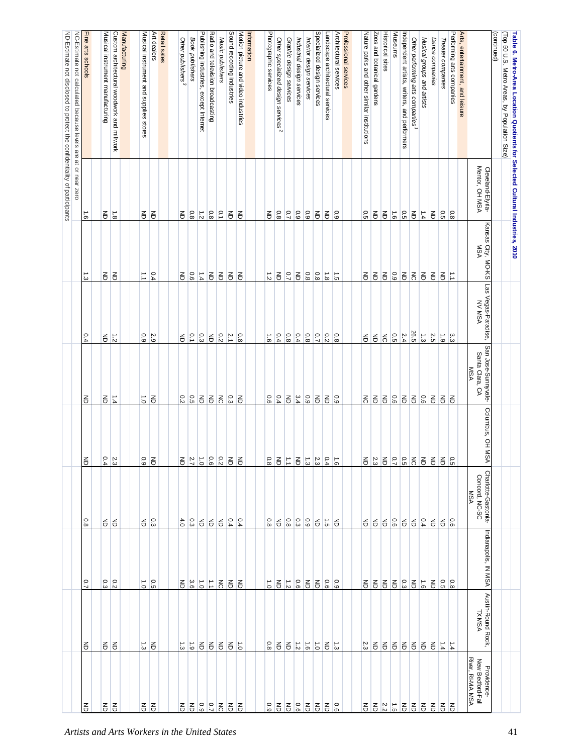| Fine arts schools<br>NC-Estimate not calculated because levels are at or near zero<br>Custom architectural woodwork and millwork<br>Manufacturing<br>Retail sales<br>Publishing industries,<br>Radio and television broadcasting<br>Sound recording industries<br>Motion picture and video industries<br>Specialized design services<br>Architectural services<br>Professional services<br><b>Historical sites</b><br>Museums<br>Performing arts companies<br>(Top 50 U.S. Metro Areas, by Population Size)<br>Musical instrument manufacturing<br>Musical instrument<br>Art dealers<br>Information<br>Photographic services<br>Landscape architectural services<br>Zoos and botanical gardens<br>Independent artists, writers, and performers<br>Arts, entertainment, and leisure<br>(continued)<br>Table 6. Metro-Area Location Quotients for Selected Cultural Industries, 2010<br>Nature parks and other similar institutions<br>Book publishers<br>Music publishers<br>Other specialized design services <sup>2</sup><br>Musical groups and artists<br>Other publishers <sup>3</sup><br>Graphic design services<br>Industrial design services<br>Interior design services<br>Other performing arts companies<br>Dance companies<br>Theater companies<br>and<br>except Internet<br>supplies stores<br>Mentor, OH MSA<br>Cleveland-Elyria-<br>$\overline{8}$<br>$\frac{1}{2}$<br>$rac{0.1}{0.8}$<br>$\frac{0.8}{8}$<br>$\overline{C}$<br>0.9<br>$\frac{0.9}{2}$<br>$\overline{6}$<br>$\overline{6}$<br>$9^{\circ}$<br>0.5<br>$\overline{8}$<br>$\overline{6}$<br>$\overline{6}$<br>$\overline{6}$<br>$\frac{0}{6}$<br>0.5<br>$\overline{6}$<br>$\overline{6}$<br>1.4<br>$\overline{\mathbb{e}}$<br>0.5<br>$\frac{1}{8}$<br>$\frac{1.6}{1}$<br>$\overline{6}$<br>$\overline{6}$<br>E<br>$\mathsf{S}% _{T}$<br>弓<br>Kansas City, MO-KS<br><b>MSA</b><br>$\overline{C}$<br>$\frac{0.8}{8}$<br>$\frac{0.8}{8}$<br>0.4<br>$\overline{90}$<br>$\frac{1.4}{4}$<br>$\overline{\mathbb{e}}$<br>$\mathsf{S}% _{T}=\mathsf{S}_{T}\!\left( a,b\right) ,\mathsf{S}_{T}=\mathsf{S}_{T}\!\left( a,b\right) ,\mathsf{S}_{T}=\mathsf{S}_{T}\!\left( a,b\right) ,\mathsf{S}_{T}=\mathsf{S}_{T}\!\left( a,b\right) ,\mathsf{S}_{T}=\mathsf{S}_{T}\!\left( a,b\right) ,\mathsf{S}_{T}=\mathsf{S}_{T}\!\left( a,b\right) ,\mathsf{S}_{T}=\mathsf{S}_{T}\!\left( a,b\right) ,\mathsf{S}_{T}=\mathsf{S}_{T}\!\left( a,b\right) ,\mathsf{S}_{T}=\mathsf{S}_{T}\!\left$<br>$\overline{\mathbb{e}}$<br>E<br>$ {}_{\circ}^{\circ} $ 3<br>召<br>$\vec{\omega}$<br>引引<br>$\vec{=}$<br>$\overline{6}$<br>$\overline{6}$<br>$\overrightarrow{8}$<br>$\overrightarrow{5}$<br>$\overline{6}$<br>$\overline{5}$<br>$\overline{6}$<br>る<br>E<br>$\overrightarrow{c}$<br>る<br>$\overline{6}$<br>E<br>Las Vegas-Paradise,<br><b>NV MSA</b><br>26.5<br>$\overline{51}$<br>$\overline{5}$<br>0.5<br>$\frac{2.4}{4}$<br>$\vec{\omega}$<br>2.5<br>0.4<br>0.3<br>$\mathsf{g}% _{T}$<br>$\frac{0.2}{2}$<br>$\frac{21}{1}$<br>0.4<br>0.8<br>0.4<br>$\frac{0.8}{8}$<br>$\frac{0.2}{2}$<br>$\frac{0.8}{8}$<br>$\overline{6}$<br>$6^{\circ}$<br>$\mathsf{S}% _{T}$<br>$\vec{z}$<br>0.9<br>2.9<br>$\mathsf{g}% _{T}$<br>$\overline{0}$<br>$\frac{8}{8}$<br>$\vec{9}$<br>$\mathsf{g}% _{T}$<br>ပ္ပ<br>San Jose-Sunnyvale-<br>Santa Clara, CA<br><b>MSA</b><br>0.5<br>$\overline{6}$<br>$\overline{6}$<br>$\frac{0.3}{2}$<br>0.4<br>3.4<br>$\overline{6.9}$<br>$\frac{5}{6}$ $\frac{2}{6}$<br>$\overline{6}$<br>$\frac{1.4}{4}$<br>0.2<br>$\overline{5}$<br>0.6<br>$\overline{\mathbf{e}}$<br>$\overline{\mathbf{e}}$<br>$\overline{\mathbf{e}}$<br>$\overline{6}$<br>$\overline{\mathbf{e}}$<br>E<br>$\Xi$<br>$\mathsf{F}% _{T}$<br>$\vec{0}$<br>$\overline{6}$<br>E<br>る<br>$\overline{6}$<br>$\xi$<br>$\overline{6}$<br>召<br>Columbus, OH MSA<br>$\frac{2.3}{0.4}$<br>$\vec{0}$<br>0.6<br>$\frac{0.2}{2}$<br>$\overline{6}$<br>$\overline{6}$<br>$\overline{6}$<br>$\overline{\mathbf{e}}$<br>$\frac{1}{3}$<br>$\frac{23}{3}$<br>0.4<br>$\frac{1}{9}$<br>5527<br>$\overline{6}$<br>$\overline{6}$<br>0.9<br>弓<br>$rac{2}{5}$<br>$0.8\,$<br>$\frac{2.3}{3}$<br>E<br>$\vec{=}$<br>引<br>$\overline{6}$<br>$^{\circ}$<br>Charlotte-Gastonia-<br>Concord, NC-SC<br><b>MSA</b><br>$\frac{0.8}{8}$<br>0.3<br>$\overline{\mathbf{e}}$<br>$\mathsf{g}% _{T}$<br>0.8<br>$\Xi$<br>$\frac{8}{9}$ $\frac{8}{9}$ $\frac{8}{8}$<br>0.4<br>55<br>3 등<br>4.0<br>$\epsilon$<br>0.4<br>$\overline{0.4}$<br>$\Xi$<br>$\overrightarrow{S}$<br>$\overline{6}$<br>$\epsilon$<br>$\overline{6}$<br>355<br>$\mathsf{g}% _{T}$<br>$\overline{6}$<br>$\frac{6}{9}$<br>종<br>Indianapolis, IN MSA<br>$\overline{0.7}$<br>٥.<br>$\frac{0.2}{2}$<br>$^{\circ}$<br>3.6<br>$\vec{0}$<br>$rac{1}{3}$<br>0.6<br>$\overline{6}$<br>$\overline{6}$<br>0.6<br>60<br>$rac{3}{5}$<br>$\overline{6}$<br>0.5<br>$80^{\circ}$<br>$\vec{0}$<br>$\mathbb{L}$<br>$\overline{5}$<br>$\overline{6}$<br>$\vec{0}$<br>$\overline{6}$<br>$\overline{6}$<br>$\overrightarrow{9}$<br>증<br>る こうしゃ<br>종<br>Ιš<br>Austin-Round Rock,<br><b>TXMSA</b><br>$\frac{1}{2}$<br>$\overline{6}$<br>$\vec{\omega}$<br>弓<br>$\overrightarrow{6}$<br>$\overline{\mathbf{e}}$<br>$\overline{6}$<br>$0.8\,$<br>$\overline{\mathbf{e}}$<br>$\overline{\mathbf{e}}$<br>$\overrightarrow{9}$<br>$\vec{0}$<br>$\mathsf{g}% _{T}$<br>$\vec{\omega}$<br>$\frac{1.4}{4}$<br>る<br>$\vec{\omega}$<br>$\overline{6}$<br>るら<br>2.3<br>弓<br>$6666$<br>$\overline{6}$<br>$\overline{t}$<br>종<br>River, RI-MA MSA<br>New Bedford-Fall<br>Providence-<br>6.9<br>$\overline{C}$<br>9.6<br>$\frac{2.2}{2}$<br>$\frac{1}{5}$<br>$\overline{5}$<br>$0.9\,$<br>$\overline{\mathbf{e}}$<br>18 등<br>$\overline{6}$<br>る<br>る<br>引引<br>る<br>る<br>る<br>る<br>叾<br>る<br>E<br>E<br>Ξ<br>종<br>弓<br>E<br>종<br>$\overline{6}$<br>る<br>Artists and Arts Workers in the United States |  |  |  |  |  | ND-Estimate not disclosed to protect the confidentiality of participants |
|-------------------------------------------------------------------------------------------------------------------------------------------------------------------------------------------------------------------------------------------------------------------------------------------------------------------------------------------------------------------------------------------------------------------------------------------------------------------------------------------------------------------------------------------------------------------------------------------------------------------------------------------------------------------------------------------------------------------------------------------------------------------------------------------------------------------------------------------------------------------------------------------------------------------------------------------------------------------------------------------------------------------------------------------------------------------------------------------------------------------------------------------------------------------------------------------------------------------------------------------------------------------------------------------------------------------------------------------------------------------------------------------------------------------------------------------------------------------------------------------------------------------------------------------------------------------------------------------------------------------------------------------------------------------------------------------------------------------------------------------------------------------------------------------------------------------------------------------------------------------------------------------------------------------------------------------------------------------------------------------------------------------------------------------------------------------------------------------------------------------------------------------------------------------------------------------------------------------------------------------------------------------------------------------------------------------------------------------------------------------------------------------------------------------------------------------------------------------------------------------------------------------------------------------------------------------------------------------------------------------------------------------------------------------------------------------------------------------------------------------------------------------------------------------------------------------------------------------------------------------------------------------------------------------------------------------------------------------------------------------------------------------------------------------------------------------------------------------------------------------------------------------------------------------------------------------------------------------------------------------------------------------------------------------------------------------------------------------------------------------------------------------------------------------------------------------------------------------------------------------------------------------------------------------------------------------------------------------------------------------------------------------------------------------------------------------------------------------------------------------------------------------------------------------------------------------------------------------------------------------------------------------------------------------------------------------------------------------------------------------------------------------------------------------------------------------------------------------------------------------------------------------------------------------------------------------------------------------------------------------------------------------------------------------------------------------------------------------------------------------------------------------------------------------------------------------------------------------------------------------------------------------------------------------------------------------------------------------------------------------------------------------------------------------------------------------------------------------------------------------------------------------------------------------------------------------------------------------------------------------------------------------------------------------------------------------------------------------------------------------------------------------------------------------------------------------------------------------------------------------------------------------------------------------------------------------------------------------------------------------------------------------------------------------------------------------------------------------------------------------------------------------------------------------------------------------------------------------------------------------------------------------------------------------------------------------------------------------------------------------------------------------------------------------------------------------------------------------------------------------------------------------------------------------------------------------------------------|--|--|--|--|--|--------------------------------------------------------------------------|
|                                                                                                                                                                                                                                                                                                                                                                                                                                                                                                                                                                                                                                                                                                                                                                                                                                                                                                                                                                                                                                                                                                                                                                                                                                                                                                                                                                                                                                                                                                                                                                                                                                                                                                                                                                                                                                                                                                                                                                                                                                                                                                                                                                                                                                                                                                                                                                                                                                                                                                                                                                                                                                                                                                                                                                                                                                                                                                                                                                                                                                                                                                                                                                                                                                                                                                                                                                                                                                                                                                                                                                                                                                                                                                                                                                                                                                                                                                                                                                                                                                                                                                                                                                                                                                                                                                                                                                                                                                                                                                                                                                                                                                                                                                                                                                                                                                                                                                                                                                                                                                                                                                                                                                                                                                                                                                                                                                                                                                                                                                                                                                                                                                                                                                                                                                                                                                     |  |  |  |  |  |                                                                          |
|                                                                                                                                                                                                                                                                                                                                                                                                                                                                                                                                                                                                                                                                                                                                                                                                                                                                                                                                                                                                                                                                                                                                                                                                                                                                                                                                                                                                                                                                                                                                                                                                                                                                                                                                                                                                                                                                                                                                                                                                                                                                                                                                                                                                                                                                                                                                                                                                                                                                                                                                                                                                                                                                                                                                                                                                                                                                                                                                                                                                                                                                                                                                                                                                                                                                                                                                                                                                                                                                                                                                                                                                                                                                                                                                                                                                                                                                                                                                                                                                                                                                                                                                                                                                                                                                                                                                                                                                                                                                                                                                                                                                                                                                                                                                                                                                                                                                                                                                                                                                                                                                                                                                                                                                                                                                                                                                                                                                                                                                                                                                                                                                                                                                                                                                                                                                                                     |  |  |  |  |  |                                                                          |
|                                                                                                                                                                                                                                                                                                                                                                                                                                                                                                                                                                                                                                                                                                                                                                                                                                                                                                                                                                                                                                                                                                                                                                                                                                                                                                                                                                                                                                                                                                                                                                                                                                                                                                                                                                                                                                                                                                                                                                                                                                                                                                                                                                                                                                                                                                                                                                                                                                                                                                                                                                                                                                                                                                                                                                                                                                                                                                                                                                                                                                                                                                                                                                                                                                                                                                                                                                                                                                                                                                                                                                                                                                                                                                                                                                                                                                                                                                                                                                                                                                                                                                                                                                                                                                                                                                                                                                                                                                                                                                                                                                                                                                                                                                                                                                                                                                                                                                                                                                                                                                                                                                                                                                                                                                                                                                                                                                                                                                                                                                                                                                                                                                                                                                                                                                                                                                     |  |  |  |  |  |                                                                          |
|                                                                                                                                                                                                                                                                                                                                                                                                                                                                                                                                                                                                                                                                                                                                                                                                                                                                                                                                                                                                                                                                                                                                                                                                                                                                                                                                                                                                                                                                                                                                                                                                                                                                                                                                                                                                                                                                                                                                                                                                                                                                                                                                                                                                                                                                                                                                                                                                                                                                                                                                                                                                                                                                                                                                                                                                                                                                                                                                                                                                                                                                                                                                                                                                                                                                                                                                                                                                                                                                                                                                                                                                                                                                                                                                                                                                                                                                                                                                                                                                                                                                                                                                                                                                                                                                                                                                                                                                                                                                                                                                                                                                                                                                                                                                                                                                                                                                                                                                                                                                                                                                                                                                                                                                                                                                                                                                                                                                                                                                                                                                                                                                                                                                                                                                                                                                                                     |  |  |  |  |  |                                                                          |
|                                                                                                                                                                                                                                                                                                                                                                                                                                                                                                                                                                                                                                                                                                                                                                                                                                                                                                                                                                                                                                                                                                                                                                                                                                                                                                                                                                                                                                                                                                                                                                                                                                                                                                                                                                                                                                                                                                                                                                                                                                                                                                                                                                                                                                                                                                                                                                                                                                                                                                                                                                                                                                                                                                                                                                                                                                                                                                                                                                                                                                                                                                                                                                                                                                                                                                                                                                                                                                                                                                                                                                                                                                                                                                                                                                                                                                                                                                                                                                                                                                                                                                                                                                                                                                                                                                                                                                                                                                                                                                                                                                                                                                                                                                                                                                                                                                                                                                                                                                                                                                                                                                                                                                                                                                                                                                                                                                                                                                                                                                                                                                                                                                                                                                                                                                                                                                     |  |  |  |  |  |                                                                          |
|                                                                                                                                                                                                                                                                                                                                                                                                                                                                                                                                                                                                                                                                                                                                                                                                                                                                                                                                                                                                                                                                                                                                                                                                                                                                                                                                                                                                                                                                                                                                                                                                                                                                                                                                                                                                                                                                                                                                                                                                                                                                                                                                                                                                                                                                                                                                                                                                                                                                                                                                                                                                                                                                                                                                                                                                                                                                                                                                                                                                                                                                                                                                                                                                                                                                                                                                                                                                                                                                                                                                                                                                                                                                                                                                                                                                                                                                                                                                                                                                                                                                                                                                                                                                                                                                                                                                                                                                                                                                                                                                                                                                                                                                                                                                                                                                                                                                                                                                                                                                                                                                                                                                                                                                                                                                                                                                                                                                                                                                                                                                                                                                                                                                                                                                                                                                                                     |  |  |  |  |  |                                                                          |
|                                                                                                                                                                                                                                                                                                                                                                                                                                                                                                                                                                                                                                                                                                                                                                                                                                                                                                                                                                                                                                                                                                                                                                                                                                                                                                                                                                                                                                                                                                                                                                                                                                                                                                                                                                                                                                                                                                                                                                                                                                                                                                                                                                                                                                                                                                                                                                                                                                                                                                                                                                                                                                                                                                                                                                                                                                                                                                                                                                                                                                                                                                                                                                                                                                                                                                                                                                                                                                                                                                                                                                                                                                                                                                                                                                                                                                                                                                                                                                                                                                                                                                                                                                                                                                                                                                                                                                                                                                                                                                                                                                                                                                                                                                                                                                                                                                                                                                                                                                                                                                                                                                                                                                                                                                                                                                                                                                                                                                                                                                                                                                                                                                                                                                                                                                                                                                     |  |  |  |  |  |                                                                          |
|                                                                                                                                                                                                                                                                                                                                                                                                                                                                                                                                                                                                                                                                                                                                                                                                                                                                                                                                                                                                                                                                                                                                                                                                                                                                                                                                                                                                                                                                                                                                                                                                                                                                                                                                                                                                                                                                                                                                                                                                                                                                                                                                                                                                                                                                                                                                                                                                                                                                                                                                                                                                                                                                                                                                                                                                                                                                                                                                                                                                                                                                                                                                                                                                                                                                                                                                                                                                                                                                                                                                                                                                                                                                                                                                                                                                                                                                                                                                                                                                                                                                                                                                                                                                                                                                                                                                                                                                                                                                                                                                                                                                                                                                                                                                                                                                                                                                                                                                                                                                                                                                                                                                                                                                                                                                                                                                                                                                                                                                                                                                                                                                                                                                                                                                                                                                                                     |  |  |  |  |  |                                                                          |
|                                                                                                                                                                                                                                                                                                                                                                                                                                                                                                                                                                                                                                                                                                                                                                                                                                                                                                                                                                                                                                                                                                                                                                                                                                                                                                                                                                                                                                                                                                                                                                                                                                                                                                                                                                                                                                                                                                                                                                                                                                                                                                                                                                                                                                                                                                                                                                                                                                                                                                                                                                                                                                                                                                                                                                                                                                                                                                                                                                                                                                                                                                                                                                                                                                                                                                                                                                                                                                                                                                                                                                                                                                                                                                                                                                                                                                                                                                                                                                                                                                                                                                                                                                                                                                                                                                                                                                                                                                                                                                                                                                                                                                                                                                                                                                                                                                                                                                                                                                                                                                                                                                                                                                                                                                                                                                                                                                                                                                                                                                                                                                                                                                                                                                                                                                                                                                     |  |  |  |  |  |                                                                          |
|                                                                                                                                                                                                                                                                                                                                                                                                                                                                                                                                                                                                                                                                                                                                                                                                                                                                                                                                                                                                                                                                                                                                                                                                                                                                                                                                                                                                                                                                                                                                                                                                                                                                                                                                                                                                                                                                                                                                                                                                                                                                                                                                                                                                                                                                                                                                                                                                                                                                                                                                                                                                                                                                                                                                                                                                                                                                                                                                                                                                                                                                                                                                                                                                                                                                                                                                                                                                                                                                                                                                                                                                                                                                                                                                                                                                                                                                                                                                                                                                                                                                                                                                                                                                                                                                                                                                                                                                                                                                                                                                                                                                                                                                                                                                                                                                                                                                                                                                                                                                                                                                                                                                                                                                                                                                                                                                                                                                                                                                                                                                                                                                                                                                                                                                                                                                                                     |  |  |  |  |  |                                                                          |
| 41                                                                                                                                                                                                                                                                                                                                                                                                                                                                                                                                                                                                                                                                                                                                                                                                                                                                                                                                                                                                                                                                                                                                                                                                                                                                                                                                                                                                                                                                                                                                                                                                                                                                                                                                                                                                                                                                                                                                                                                                                                                                                                                                                                                                                                                                                                                                                                                                                                                                                                                                                                                                                                                                                                                                                                                                                                                                                                                                                                                                                                                                                                                                                                                                                                                                                                                                                                                                                                                                                                                                                                                                                                                                                                                                                                                                                                                                                                                                                                                                                                                                                                                                                                                                                                                                                                                                                                                                                                                                                                                                                                                                                                                                                                                                                                                                                                                                                                                                                                                                                                                                                                                                                                                                                                                                                                                                                                                                                                                                                                                                                                                                                                                                                                                                                                                                                                  |  |  |  |  |  |                                                                          |
|                                                                                                                                                                                                                                                                                                                                                                                                                                                                                                                                                                                                                                                                                                                                                                                                                                                                                                                                                                                                                                                                                                                                                                                                                                                                                                                                                                                                                                                                                                                                                                                                                                                                                                                                                                                                                                                                                                                                                                                                                                                                                                                                                                                                                                                                                                                                                                                                                                                                                                                                                                                                                                                                                                                                                                                                                                                                                                                                                                                                                                                                                                                                                                                                                                                                                                                                                                                                                                                                                                                                                                                                                                                                                                                                                                                                                                                                                                                                                                                                                                                                                                                                                                                                                                                                                                                                                                                                                                                                                                                                                                                                                                                                                                                                                                                                                                                                                                                                                                                                                                                                                                                                                                                                                                                                                                                                                                                                                                                                                                                                                                                                                                                                                                                                                                                                                                     |  |  |  |  |  |                                                                          |
|                                                                                                                                                                                                                                                                                                                                                                                                                                                                                                                                                                                                                                                                                                                                                                                                                                                                                                                                                                                                                                                                                                                                                                                                                                                                                                                                                                                                                                                                                                                                                                                                                                                                                                                                                                                                                                                                                                                                                                                                                                                                                                                                                                                                                                                                                                                                                                                                                                                                                                                                                                                                                                                                                                                                                                                                                                                                                                                                                                                                                                                                                                                                                                                                                                                                                                                                                                                                                                                                                                                                                                                                                                                                                                                                                                                                                                                                                                                                                                                                                                                                                                                                                                                                                                                                                                                                                                                                                                                                                                                                                                                                                                                                                                                                                                                                                                                                                                                                                                                                                                                                                                                                                                                                                                                                                                                                                                                                                                                                                                                                                                                                                                                                                                                                                                                                                                     |  |  |  |  |  |                                                                          |
|                                                                                                                                                                                                                                                                                                                                                                                                                                                                                                                                                                                                                                                                                                                                                                                                                                                                                                                                                                                                                                                                                                                                                                                                                                                                                                                                                                                                                                                                                                                                                                                                                                                                                                                                                                                                                                                                                                                                                                                                                                                                                                                                                                                                                                                                                                                                                                                                                                                                                                                                                                                                                                                                                                                                                                                                                                                                                                                                                                                                                                                                                                                                                                                                                                                                                                                                                                                                                                                                                                                                                                                                                                                                                                                                                                                                                                                                                                                                                                                                                                                                                                                                                                                                                                                                                                                                                                                                                                                                                                                                                                                                                                                                                                                                                                                                                                                                                                                                                                                                                                                                                                                                                                                                                                                                                                                                                                                                                                                                                                                                                                                                                                                                                                                                                                                                                                     |  |  |  |  |  |                                                                          |
|                                                                                                                                                                                                                                                                                                                                                                                                                                                                                                                                                                                                                                                                                                                                                                                                                                                                                                                                                                                                                                                                                                                                                                                                                                                                                                                                                                                                                                                                                                                                                                                                                                                                                                                                                                                                                                                                                                                                                                                                                                                                                                                                                                                                                                                                                                                                                                                                                                                                                                                                                                                                                                                                                                                                                                                                                                                                                                                                                                                                                                                                                                                                                                                                                                                                                                                                                                                                                                                                                                                                                                                                                                                                                                                                                                                                                                                                                                                                                                                                                                                                                                                                                                                                                                                                                                                                                                                                                                                                                                                                                                                                                                                                                                                                                                                                                                                                                                                                                                                                                                                                                                                                                                                                                                                                                                                                                                                                                                                                                                                                                                                                                                                                                                                                                                                                                                     |  |  |  |  |  |                                                                          |
|                                                                                                                                                                                                                                                                                                                                                                                                                                                                                                                                                                                                                                                                                                                                                                                                                                                                                                                                                                                                                                                                                                                                                                                                                                                                                                                                                                                                                                                                                                                                                                                                                                                                                                                                                                                                                                                                                                                                                                                                                                                                                                                                                                                                                                                                                                                                                                                                                                                                                                                                                                                                                                                                                                                                                                                                                                                                                                                                                                                                                                                                                                                                                                                                                                                                                                                                                                                                                                                                                                                                                                                                                                                                                                                                                                                                                                                                                                                                                                                                                                                                                                                                                                                                                                                                                                                                                                                                                                                                                                                                                                                                                                                                                                                                                                                                                                                                                                                                                                                                                                                                                                                                                                                                                                                                                                                                                                                                                                                                                                                                                                                                                                                                                                                                                                                                                                     |  |  |  |  |  |                                                                          |
|                                                                                                                                                                                                                                                                                                                                                                                                                                                                                                                                                                                                                                                                                                                                                                                                                                                                                                                                                                                                                                                                                                                                                                                                                                                                                                                                                                                                                                                                                                                                                                                                                                                                                                                                                                                                                                                                                                                                                                                                                                                                                                                                                                                                                                                                                                                                                                                                                                                                                                                                                                                                                                                                                                                                                                                                                                                                                                                                                                                                                                                                                                                                                                                                                                                                                                                                                                                                                                                                                                                                                                                                                                                                                                                                                                                                                                                                                                                                                                                                                                                                                                                                                                                                                                                                                                                                                                                                                                                                                                                                                                                                                                                                                                                                                                                                                                                                                                                                                                                                                                                                                                                                                                                                                                                                                                                                                                                                                                                                                                                                                                                                                                                                                                                                                                                                                                     |  |  |  |  |  |                                                                          |
|                                                                                                                                                                                                                                                                                                                                                                                                                                                                                                                                                                                                                                                                                                                                                                                                                                                                                                                                                                                                                                                                                                                                                                                                                                                                                                                                                                                                                                                                                                                                                                                                                                                                                                                                                                                                                                                                                                                                                                                                                                                                                                                                                                                                                                                                                                                                                                                                                                                                                                                                                                                                                                                                                                                                                                                                                                                                                                                                                                                                                                                                                                                                                                                                                                                                                                                                                                                                                                                                                                                                                                                                                                                                                                                                                                                                                                                                                                                                                                                                                                                                                                                                                                                                                                                                                                                                                                                                                                                                                                                                                                                                                                                                                                                                                                                                                                                                                                                                                                                                                                                                                                                                                                                                                                                                                                                                                                                                                                                                                                                                                                                                                                                                                                                                                                                                                                     |  |  |  |  |  |                                                                          |
|                                                                                                                                                                                                                                                                                                                                                                                                                                                                                                                                                                                                                                                                                                                                                                                                                                                                                                                                                                                                                                                                                                                                                                                                                                                                                                                                                                                                                                                                                                                                                                                                                                                                                                                                                                                                                                                                                                                                                                                                                                                                                                                                                                                                                                                                                                                                                                                                                                                                                                                                                                                                                                                                                                                                                                                                                                                                                                                                                                                                                                                                                                                                                                                                                                                                                                                                                                                                                                                                                                                                                                                                                                                                                                                                                                                                                                                                                                                                                                                                                                                                                                                                                                                                                                                                                                                                                                                                                                                                                                                                                                                                                                                                                                                                                                                                                                                                                                                                                                                                                                                                                                                                                                                                                                                                                                                                                                                                                                                                                                                                                                                                                                                                                                                                                                                                                                     |  |  |  |  |  |                                                                          |
|                                                                                                                                                                                                                                                                                                                                                                                                                                                                                                                                                                                                                                                                                                                                                                                                                                                                                                                                                                                                                                                                                                                                                                                                                                                                                                                                                                                                                                                                                                                                                                                                                                                                                                                                                                                                                                                                                                                                                                                                                                                                                                                                                                                                                                                                                                                                                                                                                                                                                                                                                                                                                                                                                                                                                                                                                                                                                                                                                                                                                                                                                                                                                                                                                                                                                                                                                                                                                                                                                                                                                                                                                                                                                                                                                                                                                                                                                                                                                                                                                                                                                                                                                                                                                                                                                                                                                                                                                                                                                                                                                                                                                                                                                                                                                                                                                                                                                                                                                                                                                                                                                                                                                                                                                                                                                                                                                                                                                                                                                                                                                                                                                                                                                                                                                                                                                                     |  |  |  |  |  |                                                                          |
|                                                                                                                                                                                                                                                                                                                                                                                                                                                                                                                                                                                                                                                                                                                                                                                                                                                                                                                                                                                                                                                                                                                                                                                                                                                                                                                                                                                                                                                                                                                                                                                                                                                                                                                                                                                                                                                                                                                                                                                                                                                                                                                                                                                                                                                                                                                                                                                                                                                                                                                                                                                                                                                                                                                                                                                                                                                                                                                                                                                                                                                                                                                                                                                                                                                                                                                                                                                                                                                                                                                                                                                                                                                                                                                                                                                                                                                                                                                                                                                                                                                                                                                                                                                                                                                                                                                                                                                                                                                                                                                                                                                                                                                                                                                                                                                                                                                                                                                                                                                                                                                                                                                                                                                                                                                                                                                                                                                                                                                                                                                                                                                                                                                                                                                                                                                                                                     |  |  |  |  |  |                                                                          |
|                                                                                                                                                                                                                                                                                                                                                                                                                                                                                                                                                                                                                                                                                                                                                                                                                                                                                                                                                                                                                                                                                                                                                                                                                                                                                                                                                                                                                                                                                                                                                                                                                                                                                                                                                                                                                                                                                                                                                                                                                                                                                                                                                                                                                                                                                                                                                                                                                                                                                                                                                                                                                                                                                                                                                                                                                                                                                                                                                                                                                                                                                                                                                                                                                                                                                                                                                                                                                                                                                                                                                                                                                                                                                                                                                                                                                                                                                                                                                                                                                                                                                                                                                                                                                                                                                                                                                                                                                                                                                                                                                                                                                                                                                                                                                                                                                                                                                                                                                                                                                                                                                                                                                                                                                                                                                                                                                                                                                                                                                                                                                                                                                                                                                                                                                                                                                                     |  |  |  |  |  |                                                                          |
|                                                                                                                                                                                                                                                                                                                                                                                                                                                                                                                                                                                                                                                                                                                                                                                                                                                                                                                                                                                                                                                                                                                                                                                                                                                                                                                                                                                                                                                                                                                                                                                                                                                                                                                                                                                                                                                                                                                                                                                                                                                                                                                                                                                                                                                                                                                                                                                                                                                                                                                                                                                                                                                                                                                                                                                                                                                                                                                                                                                                                                                                                                                                                                                                                                                                                                                                                                                                                                                                                                                                                                                                                                                                                                                                                                                                                                                                                                                                                                                                                                                                                                                                                                                                                                                                                                                                                                                                                                                                                                                                                                                                                                                                                                                                                                                                                                                                                                                                                                                                                                                                                                                                                                                                                                                                                                                                                                                                                                                                                                                                                                                                                                                                                                                                                                                                                                     |  |  |  |  |  |                                                                          |
|                                                                                                                                                                                                                                                                                                                                                                                                                                                                                                                                                                                                                                                                                                                                                                                                                                                                                                                                                                                                                                                                                                                                                                                                                                                                                                                                                                                                                                                                                                                                                                                                                                                                                                                                                                                                                                                                                                                                                                                                                                                                                                                                                                                                                                                                                                                                                                                                                                                                                                                                                                                                                                                                                                                                                                                                                                                                                                                                                                                                                                                                                                                                                                                                                                                                                                                                                                                                                                                                                                                                                                                                                                                                                                                                                                                                                                                                                                                                                                                                                                                                                                                                                                                                                                                                                                                                                                                                                                                                                                                                                                                                                                                                                                                                                                                                                                                                                                                                                                                                                                                                                                                                                                                                                                                                                                                                                                                                                                                                                                                                                                                                                                                                                                                                                                                                                                     |  |  |  |  |  |                                                                          |
|                                                                                                                                                                                                                                                                                                                                                                                                                                                                                                                                                                                                                                                                                                                                                                                                                                                                                                                                                                                                                                                                                                                                                                                                                                                                                                                                                                                                                                                                                                                                                                                                                                                                                                                                                                                                                                                                                                                                                                                                                                                                                                                                                                                                                                                                                                                                                                                                                                                                                                                                                                                                                                                                                                                                                                                                                                                                                                                                                                                                                                                                                                                                                                                                                                                                                                                                                                                                                                                                                                                                                                                                                                                                                                                                                                                                                                                                                                                                                                                                                                                                                                                                                                                                                                                                                                                                                                                                                                                                                                                                                                                                                                                                                                                                                                                                                                                                                                                                                                                                                                                                                                                                                                                                                                                                                                                                                                                                                                                                                                                                                                                                                                                                                                                                                                                                                                     |  |  |  |  |  |                                                                          |
|                                                                                                                                                                                                                                                                                                                                                                                                                                                                                                                                                                                                                                                                                                                                                                                                                                                                                                                                                                                                                                                                                                                                                                                                                                                                                                                                                                                                                                                                                                                                                                                                                                                                                                                                                                                                                                                                                                                                                                                                                                                                                                                                                                                                                                                                                                                                                                                                                                                                                                                                                                                                                                                                                                                                                                                                                                                                                                                                                                                                                                                                                                                                                                                                                                                                                                                                                                                                                                                                                                                                                                                                                                                                                                                                                                                                                                                                                                                                                                                                                                                                                                                                                                                                                                                                                                                                                                                                                                                                                                                                                                                                                                                                                                                                                                                                                                                                                                                                                                                                                                                                                                                                                                                                                                                                                                                                                                                                                                                                                                                                                                                                                                                                                                                                                                                                                                     |  |  |  |  |  |                                                                          |
|                                                                                                                                                                                                                                                                                                                                                                                                                                                                                                                                                                                                                                                                                                                                                                                                                                                                                                                                                                                                                                                                                                                                                                                                                                                                                                                                                                                                                                                                                                                                                                                                                                                                                                                                                                                                                                                                                                                                                                                                                                                                                                                                                                                                                                                                                                                                                                                                                                                                                                                                                                                                                                                                                                                                                                                                                                                                                                                                                                                                                                                                                                                                                                                                                                                                                                                                                                                                                                                                                                                                                                                                                                                                                                                                                                                                                                                                                                                                                                                                                                                                                                                                                                                                                                                                                                                                                                                                                                                                                                                                                                                                                                                                                                                                                                                                                                                                                                                                                                                                                                                                                                                                                                                                                                                                                                                                                                                                                                                                                                                                                                                                                                                                                                                                                                                                                                     |  |  |  |  |  |                                                                          |
|                                                                                                                                                                                                                                                                                                                                                                                                                                                                                                                                                                                                                                                                                                                                                                                                                                                                                                                                                                                                                                                                                                                                                                                                                                                                                                                                                                                                                                                                                                                                                                                                                                                                                                                                                                                                                                                                                                                                                                                                                                                                                                                                                                                                                                                                                                                                                                                                                                                                                                                                                                                                                                                                                                                                                                                                                                                                                                                                                                                                                                                                                                                                                                                                                                                                                                                                                                                                                                                                                                                                                                                                                                                                                                                                                                                                                                                                                                                                                                                                                                                                                                                                                                                                                                                                                                                                                                                                                                                                                                                                                                                                                                                                                                                                                                                                                                                                                                                                                                                                                                                                                                                                                                                                                                                                                                                                                                                                                                                                                                                                                                                                                                                                                                                                                                                                                                     |  |  |  |  |  |                                                                          |
|                                                                                                                                                                                                                                                                                                                                                                                                                                                                                                                                                                                                                                                                                                                                                                                                                                                                                                                                                                                                                                                                                                                                                                                                                                                                                                                                                                                                                                                                                                                                                                                                                                                                                                                                                                                                                                                                                                                                                                                                                                                                                                                                                                                                                                                                                                                                                                                                                                                                                                                                                                                                                                                                                                                                                                                                                                                                                                                                                                                                                                                                                                                                                                                                                                                                                                                                                                                                                                                                                                                                                                                                                                                                                                                                                                                                                                                                                                                                                                                                                                                                                                                                                                                                                                                                                                                                                                                                                                                                                                                                                                                                                                                                                                                                                                                                                                                                                                                                                                                                                                                                                                                                                                                                                                                                                                                                                                                                                                                                                                                                                                                                                                                                                                                                                                                                                                     |  |  |  |  |  |                                                                          |
|                                                                                                                                                                                                                                                                                                                                                                                                                                                                                                                                                                                                                                                                                                                                                                                                                                                                                                                                                                                                                                                                                                                                                                                                                                                                                                                                                                                                                                                                                                                                                                                                                                                                                                                                                                                                                                                                                                                                                                                                                                                                                                                                                                                                                                                                                                                                                                                                                                                                                                                                                                                                                                                                                                                                                                                                                                                                                                                                                                                                                                                                                                                                                                                                                                                                                                                                                                                                                                                                                                                                                                                                                                                                                                                                                                                                                                                                                                                                                                                                                                                                                                                                                                                                                                                                                                                                                                                                                                                                                                                                                                                                                                                                                                                                                                                                                                                                                                                                                                                                                                                                                                                                                                                                                                                                                                                                                                                                                                                                                                                                                                                                                                                                                                                                                                                                                                     |  |  |  |  |  |                                                                          |
|                                                                                                                                                                                                                                                                                                                                                                                                                                                                                                                                                                                                                                                                                                                                                                                                                                                                                                                                                                                                                                                                                                                                                                                                                                                                                                                                                                                                                                                                                                                                                                                                                                                                                                                                                                                                                                                                                                                                                                                                                                                                                                                                                                                                                                                                                                                                                                                                                                                                                                                                                                                                                                                                                                                                                                                                                                                                                                                                                                                                                                                                                                                                                                                                                                                                                                                                                                                                                                                                                                                                                                                                                                                                                                                                                                                                                                                                                                                                                                                                                                                                                                                                                                                                                                                                                                                                                                                                                                                                                                                                                                                                                                                                                                                                                                                                                                                                                                                                                                                                                                                                                                                                                                                                                                                                                                                                                                                                                                                                                                                                                                                                                                                                                                                                                                                                                                     |  |  |  |  |  |                                                                          |
|                                                                                                                                                                                                                                                                                                                                                                                                                                                                                                                                                                                                                                                                                                                                                                                                                                                                                                                                                                                                                                                                                                                                                                                                                                                                                                                                                                                                                                                                                                                                                                                                                                                                                                                                                                                                                                                                                                                                                                                                                                                                                                                                                                                                                                                                                                                                                                                                                                                                                                                                                                                                                                                                                                                                                                                                                                                                                                                                                                                                                                                                                                                                                                                                                                                                                                                                                                                                                                                                                                                                                                                                                                                                                                                                                                                                                                                                                                                                                                                                                                                                                                                                                                                                                                                                                                                                                                                                                                                                                                                                                                                                                                                                                                                                                                                                                                                                                                                                                                                                                                                                                                                                                                                                                                                                                                                                                                                                                                                                                                                                                                                                                                                                                                                                                                                                                                     |  |  |  |  |  |                                                                          |
|                                                                                                                                                                                                                                                                                                                                                                                                                                                                                                                                                                                                                                                                                                                                                                                                                                                                                                                                                                                                                                                                                                                                                                                                                                                                                                                                                                                                                                                                                                                                                                                                                                                                                                                                                                                                                                                                                                                                                                                                                                                                                                                                                                                                                                                                                                                                                                                                                                                                                                                                                                                                                                                                                                                                                                                                                                                                                                                                                                                                                                                                                                                                                                                                                                                                                                                                                                                                                                                                                                                                                                                                                                                                                                                                                                                                                                                                                                                                                                                                                                                                                                                                                                                                                                                                                                                                                                                                                                                                                                                                                                                                                                                                                                                                                                                                                                                                                                                                                                                                                                                                                                                                                                                                                                                                                                                                                                                                                                                                                                                                                                                                                                                                                                                                                                                                                                     |  |  |  |  |  |                                                                          |
|                                                                                                                                                                                                                                                                                                                                                                                                                                                                                                                                                                                                                                                                                                                                                                                                                                                                                                                                                                                                                                                                                                                                                                                                                                                                                                                                                                                                                                                                                                                                                                                                                                                                                                                                                                                                                                                                                                                                                                                                                                                                                                                                                                                                                                                                                                                                                                                                                                                                                                                                                                                                                                                                                                                                                                                                                                                                                                                                                                                                                                                                                                                                                                                                                                                                                                                                                                                                                                                                                                                                                                                                                                                                                                                                                                                                                                                                                                                                                                                                                                                                                                                                                                                                                                                                                                                                                                                                                                                                                                                                                                                                                                                                                                                                                                                                                                                                                                                                                                                                                                                                                                                                                                                                                                                                                                                                                                                                                                                                                                                                                                                                                                                                                                                                                                                                                                     |  |  |  |  |  |                                                                          |
|                                                                                                                                                                                                                                                                                                                                                                                                                                                                                                                                                                                                                                                                                                                                                                                                                                                                                                                                                                                                                                                                                                                                                                                                                                                                                                                                                                                                                                                                                                                                                                                                                                                                                                                                                                                                                                                                                                                                                                                                                                                                                                                                                                                                                                                                                                                                                                                                                                                                                                                                                                                                                                                                                                                                                                                                                                                                                                                                                                                                                                                                                                                                                                                                                                                                                                                                                                                                                                                                                                                                                                                                                                                                                                                                                                                                                                                                                                                                                                                                                                                                                                                                                                                                                                                                                                                                                                                                                                                                                                                                                                                                                                                                                                                                                                                                                                                                                                                                                                                                                                                                                                                                                                                                                                                                                                                                                                                                                                                                                                                                                                                                                                                                                                                                                                                                                                     |  |  |  |  |  |                                                                          |
|                                                                                                                                                                                                                                                                                                                                                                                                                                                                                                                                                                                                                                                                                                                                                                                                                                                                                                                                                                                                                                                                                                                                                                                                                                                                                                                                                                                                                                                                                                                                                                                                                                                                                                                                                                                                                                                                                                                                                                                                                                                                                                                                                                                                                                                                                                                                                                                                                                                                                                                                                                                                                                                                                                                                                                                                                                                                                                                                                                                                                                                                                                                                                                                                                                                                                                                                                                                                                                                                                                                                                                                                                                                                                                                                                                                                                                                                                                                                                                                                                                                                                                                                                                                                                                                                                                                                                                                                                                                                                                                                                                                                                                                                                                                                                                                                                                                                                                                                                                                                                                                                                                                                                                                                                                                                                                                                                                                                                                                                                                                                                                                                                                                                                                                                                                                                                                     |  |  |  |  |  |                                                                          |
|                                                                                                                                                                                                                                                                                                                                                                                                                                                                                                                                                                                                                                                                                                                                                                                                                                                                                                                                                                                                                                                                                                                                                                                                                                                                                                                                                                                                                                                                                                                                                                                                                                                                                                                                                                                                                                                                                                                                                                                                                                                                                                                                                                                                                                                                                                                                                                                                                                                                                                                                                                                                                                                                                                                                                                                                                                                                                                                                                                                                                                                                                                                                                                                                                                                                                                                                                                                                                                                                                                                                                                                                                                                                                                                                                                                                                                                                                                                                                                                                                                                                                                                                                                                                                                                                                                                                                                                                                                                                                                                                                                                                                                                                                                                                                                                                                                                                                                                                                                                                                                                                                                                                                                                                                                                                                                                                                                                                                                                                                                                                                                                                                                                                                                                                                                                                                                     |  |  |  |  |  |                                                                          |
|                                                                                                                                                                                                                                                                                                                                                                                                                                                                                                                                                                                                                                                                                                                                                                                                                                                                                                                                                                                                                                                                                                                                                                                                                                                                                                                                                                                                                                                                                                                                                                                                                                                                                                                                                                                                                                                                                                                                                                                                                                                                                                                                                                                                                                                                                                                                                                                                                                                                                                                                                                                                                                                                                                                                                                                                                                                                                                                                                                                                                                                                                                                                                                                                                                                                                                                                                                                                                                                                                                                                                                                                                                                                                                                                                                                                                                                                                                                                                                                                                                                                                                                                                                                                                                                                                                                                                                                                                                                                                                                                                                                                                                                                                                                                                                                                                                                                                                                                                                                                                                                                                                                                                                                                                                                                                                                                                                                                                                                                                                                                                                                                                                                                                                                                                                                                                                     |  |  |  |  |  |                                                                          |
|                                                                                                                                                                                                                                                                                                                                                                                                                                                                                                                                                                                                                                                                                                                                                                                                                                                                                                                                                                                                                                                                                                                                                                                                                                                                                                                                                                                                                                                                                                                                                                                                                                                                                                                                                                                                                                                                                                                                                                                                                                                                                                                                                                                                                                                                                                                                                                                                                                                                                                                                                                                                                                                                                                                                                                                                                                                                                                                                                                                                                                                                                                                                                                                                                                                                                                                                                                                                                                                                                                                                                                                                                                                                                                                                                                                                                                                                                                                                                                                                                                                                                                                                                                                                                                                                                                                                                                                                                                                                                                                                                                                                                                                                                                                                                                                                                                                                                                                                                                                                                                                                                                                                                                                                                                                                                                                                                                                                                                                                                                                                                                                                                                                                                                                                                                                                                                     |  |  |  |  |  |                                                                          |
|                                                                                                                                                                                                                                                                                                                                                                                                                                                                                                                                                                                                                                                                                                                                                                                                                                                                                                                                                                                                                                                                                                                                                                                                                                                                                                                                                                                                                                                                                                                                                                                                                                                                                                                                                                                                                                                                                                                                                                                                                                                                                                                                                                                                                                                                                                                                                                                                                                                                                                                                                                                                                                                                                                                                                                                                                                                                                                                                                                                                                                                                                                                                                                                                                                                                                                                                                                                                                                                                                                                                                                                                                                                                                                                                                                                                                                                                                                                                                                                                                                                                                                                                                                                                                                                                                                                                                                                                                                                                                                                                                                                                                                                                                                                                                                                                                                                                                                                                                                                                                                                                                                                                                                                                                                                                                                                                                                                                                                                                                                                                                                                                                                                                                                                                                                                                                                     |  |  |  |  |  |                                                                          |
|                                                                                                                                                                                                                                                                                                                                                                                                                                                                                                                                                                                                                                                                                                                                                                                                                                                                                                                                                                                                                                                                                                                                                                                                                                                                                                                                                                                                                                                                                                                                                                                                                                                                                                                                                                                                                                                                                                                                                                                                                                                                                                                                                                                                                                                                                                                                                                                                                                                                                                                                                                                                                                                                                                                                                                                                                                                                                                                                                                                                                                                                                                                                                                                                                                                                                                                                                                                                                                                                                                                                                                                                                                                                                                                                                                                                                                                                                                                                                                                                                                                                                                                                                                                                                                                                                                                                                                                                                                                                                                                                                                                                                                                                                                                                                                                                                                                                                                                                                                                                                                                                                                                                                                                                                                                                                                                                                                                                                                                                                                                                                                                                                                                                                                                                                                                                                                     |  |  |  |  |  |                                                                          |
|                                                                                                                                                                                                                                                                                                                                                                                                                                                                                                                                                                                                                                                                                                                                                                                                                                                                                                                                                                                                                                                                                                                                                                                                                                                                                                                                                                                                                                                                                                                                                                                                                                                                                                                                                                                                                                                                                                                                                                                                                                                                                                                                                                                                                                                                                                                                                                                                                                                                                                                                                                                                                                                                                                                                                                                                                                                                                                                                                                                                                                                                                                                                                                                                                                                                                                                                                                                                                                                                                                                                                                                                                                                                                                                                                                                                                                                                                                                                                                                                                                                                                                                                                                                                                                                                                                                                                                                                                                                                                                                                                                                                                                                                                                                                                                                                                                                                                                                                                                                                                                                                                                                                                                                                                                                                                                                                                                                                                                                                                                                                                                                                                                                                                                                                                                                                                                     |  |  |  |  |  |                                                                          |
|                                                                                                                                                                                                                                                                                                                                                                                                                                                                                                                                                                                                                                                                                                                                                                                                                                                                                                                                                                                                                                                                                                                                                                                                                                                                                                                                                                                                                                                                                                                                                                                                                                                                                                                                                                                                                                                                                                                                                                                                                                                                                                                                                                                                                                                                                                                                                                                                                                                                                                                                                                                                                                                                                                                                                                                                                                                                                                                                                                                                                                                                                                                                                                                                                                                                                                                                                                                                                                                                                                                                                                                                                                                                                                                                                                                                                                                                                                                                                                                                                                                                                                                                                                                                                                                                                                                                                                                                                                                                                                                                                                                                                                                                                                                                                                                                                                                                                                                                                                                                                                                                                                                                                                                                                                                                                                                                                                                                                                                                                                                                                                                                                                                                                                                                                                                                                                     |  |  |  |  |  |                                                                          |
|                                                                                                                                                                                                                                                                                                                                                                                                                                                                                                                                                                                                                                                                                                                                                                                                                                                                                                                                                                                                                                                                                                                                                                                                                                                                                                                                                                                                                                                                                                                                                                                                                                                                                                                                                                                                                                                                                                                                                                                                                                                                                                                                                                                                                                                                                                                                                                                                                                                                                                                                                                                                                                                                                                                                                                                                                                                                                                                                                                                                                                                                                                                                                                                                                                                                                                                                                                                                                                                                                                                                                                                                                                                                                                                                                                                                                                                                                                                                                                                                                                                                                                                                                                                                                                                                                                                                                                                                                                                                                                                                                                                                                                                                                                                                                                                                                                                                                                                                                                                                                                                                                                                                                                                                                                                                                                                                                                                                                                                                                                                                                                                                                                                                                                                                                                                                                                     |  |  |  |  |  |                                                                          |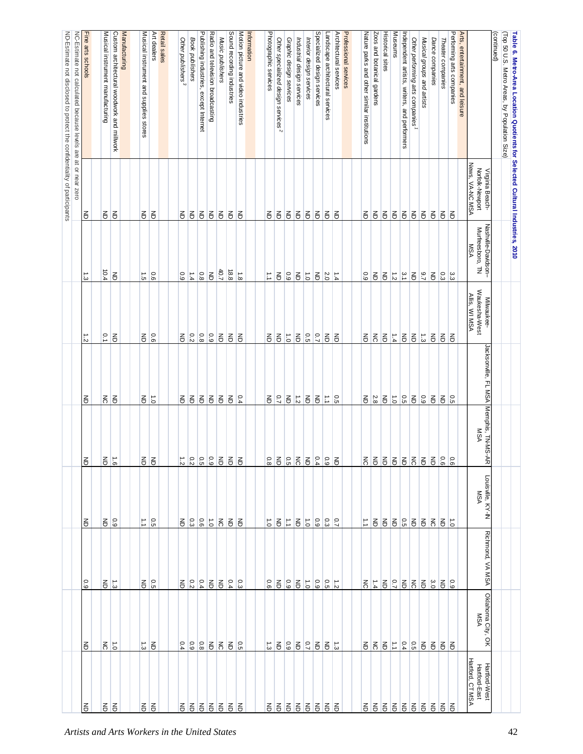|                                                                          |                                                               | Fine arts schools |                                  |                                            | Manufacturing                                 |                                        | Art dealers                   | Retail sales |                               |                             |                                           |                                                         |                  |                            |                                     | Information |                       |                                                                                                                                                            |                         |                            |                          |                                                                                                                                                            |                                  |                        |                       |                                             |                            | <b>Historical sites</b> | <b>Museums</b>       |                                              |                                 |                            |                         |                   |                           |                                  |                                                        | (continued) |                                                                                                                                |  |
|--------------------------------------------------------------------------|---------------------------------------------------------------|-------------------|----------------------------------|--------------------------------------------|-----------------------------------------------|----------------------------------------|-------------------------------|--------------|-------------------------------|-----------------------------|-------------------------------------------|---------------------------------------------------------|------------------|----------------------------|-------------------------------------|-------------|-----------------------|------------------------------------------------------------------------------------------------------------------------------------------------------------|-------------------------|----------------------------|--------------------------|------------------------------------------------------------------------------------------------------------------------------------------------------------|----------------------------------|------------------------|-----------------------|---------------------------------------------|----------------------------|-------------------------|----------------------|----------------------------------------------|---------------------------------|----------------------------|-------------------------|-------------------|---------------------------|----------------------------------|--------------------------------------------------------|-------------|--------------------------------------------------------------------------------------------------------------------------------|--|
| ND-Estimate not disclosed to protect the confidentiality of participants | NC-Estimate not calculated because levels are at or near zero |                   | Musical instrument manufacturing | Custom architectural woodwork and millwork |                                               | Musical instrument and supplies stores |                               |              | Other publishers <sup>3</sup> | Book publishers             | Publishing industries,<br>except Internet | Radio and television broadcasting                       | Music publishers | Sound recording industries | Motion picture and video industries |             | Photographic services | Other specialized design services <sup>2</sup>                                                                                                             | Graphic design services | Industrial design services | Interior design services | Specialized design services                                                                                                                                | Landscape architectural services | Architectural services | Professional services | Nature parks and other similar institutions | Zoos and botanical gardens |                         |                      | Independent artists, writers, and performers | Other performing arts companies | Musical groups and artists | Dance companies         | Theater companies | Performing arts companies | Arts, entertainment, and leisure |                                                        |             | (Top 50 U.S. Metro Areas, by Population Size)<br>Table 6. Metro-Area Location Quotients for Selected Cultural Industries, 2010 |  |
|                                                                          |                                                               |                   |                                  |                                            |                                               |                                        |                               |              |                               |                             |                                           |                                                         |                  |                            |                                     |             |                       |                                                                                                                                                            |                         |                            |                          |                                                                                                                                                            |                                  |                        |                       |                                             |                            |                         |                      |                                              |                                 |                            |                         |                   |                           |                                  |                                                        |             |                                                                                                                                |  |
|                                                                          |                                                               | る                 | $\Xi$                            | E                                          |                                               | 弓                                      | $\overline{6}$                |              | $\mathsf{g}% _{T}$            | $\overline{6}$              | $\overline{\mathbf{e}}$                   | $\overline{\mathbf{e}}$                                 | $\epsilon$       | $\epsilon$                 | 弓                                   |             | $\epsilon$            | $\overline{6}$                                                                                                                                             | $\overline{6}$          | $\Xi$                      | $\overline{6}$           | $\overline{\mathbf{e}}$                                                                                                                                    | $\overline{6}$                   | 弓                      |                       | $\mathsf{g}% _{T}$                          | $\overline{6}$             | $\overline{6}$          | $\overline{6}$       | $\overline{6}$                               | $\overline{6}$                  | $\overline{6}$             | $\overline{6}$          | $\overline{6}$    | る                         |                                  | News, VA-NC MSA<br>Norfolk-Newport<br>Virginia Beach-  |             |                                                                                                                                |  |
|                                                                          |                                                               | $\frac{1}{3}$     | 10.4                             | $\overline{6}$                             |                                               | $\vec{c}$                              | 0.6                           |              | $0.9\,$                       | $\frac{1.4}{4}$             | $\overline{0.8}$                          | $\overline{6}$                                          | 40.7             | 18.8                       | $\vec{8}$                           |             | $\vec{\cdot}$         | $\mathsf{S}% _{T}=\mathsf{S}_{T}\!\left( a,b\right) ,\mathsf{S}_{T}=\mathsf{S}_{T}\!\left( a,b\right) ,\mathsf{S}_{T}=\mathsf{S}_{T}\!\left( a,b\right) ,$ | 0.9                     | $\overline{\mathbf{e}}$    | $\overrightarrow{c}$     | $\mathsf{S}% _{T}=\mathsf{S}_{T}\!\left( a,b\right) ,\mathsf{S}_{T}=\mathsf{S}_{T}\!\left( a,b\right) ,\mathsf{S}_{T}=\mathsf{S}_{T}\!\left( a,b\right) ,$ | 2.0                              | $\frac{1}{4}$          |                       | 0.9                                         | 弓                          | $\overline{6}$          | $\frac{1}{\sqrt{2}}$ | $\frac{\omega}{2}$                           | $\overline{6}$                  | $\frac{9.7}{2}$            | $\overline{\mathbb{e}}$ | 0.3               | ွး                        |                                  | Nashville-Davidson--<br>Murfreesboro, TN<br><b>MSA</b> |             |                                                                                                                                |  |
|                                                                          |                                                               | $\frac{1}{2}$     | $\overline{0}$                   | $\overline{6}$                             |                                               |                                        | $rac{6}{5}$                   |              | $\Xi$                         | 0.2                         | 8.0                                       | 6.0                                                     | $\Xi$            | $\overline{6}$             | 召                                   |             | $\overline{6}$        | $\overline{\mathbf{e}}$                                                                                                                                    | $\overrightarrow{c}$    | $\Xi$                      | $\frac{0.5}{2}$          | $\frac{0.7}{7}$                                                                                                                                            | $\overline{5}$                   | 弓                      |                       | $\mathsf{g}% _{T}$                          | $\overline{5}$             | $\overline{6}$          | $\frac{1.4}{4}$      | $\overline{6}$                               | E                               | $\frac{1}{3}$              | $\overline{6}$          | $\overline{6}$    | $\epsilon$                |                                  | Waukesha-West<br>Allis, WI MSA<br>Milwaukee-           |             |                                                                                                                                |  |
|                                                                          |                                                               | E                 | $\overline{5}$                   | $\overline{6}$                             |                                               | 弓                                      | $\vec{c}$                     |              | $\mathsf{g}% _{T}$            | $\overline{6}$              | $\overline{5}$                            | $\overline{\epsilon}$                                   | $\overline{6}$   | $\overline{6}$             | 0.4                                 |             | $\lessgtr$            | $\overline{C}$                                                                                                                                             | $\mathsf{g}% _{T}$      | $\frac{1}{2}$              | $\overline{6}$           | $\overline{\mathbf{e}}$                                                                                                                                    | $\Xi$                            | 0.5                    |                       | $\mathsf{F}% _{T}$                          | 2.8                        | $\overline{6}$          | $\frac{1}{5}$        | $\frac{0.5}{5}$                              | $\overline{6}$                  | 0.9                        | $\overline{\mathbb{e}}$ | 召                 | $\overline{5}$            |                                  | Jacksonville, FL MSA                                   |             |                                                                                                                                |  |
|                                                                          |                                                               | $\overline{5}$    | $rac{1}{6}$                      |                                            |                                               |                                        | $\overline{5}$ $\overline{5}$ |              |                               |                             |                                           | $\frac{8}{3}$ $\frac{8}{3}$ $\frac{8}{3}$ $\frac{1}{3}$ | $\overline{6}$   | 55                         |                                     |             |                       |                                                                                                                                                            |                         |                            |                          |                                                                                                                                                            | 32555                            | $\overline{6}$         |                       | 888888888                                   |                            |                         |                      |                                              |                                 |                            |                         |                   |                           |                                  | Memphis, TN-MS-AR<br><b>MSA</b>                        |             |                                                                                                                                |  |
|                                                                          |                                                               | る                 | $rac{6}{6}$                      |                                            |                                               |                                        | $\frac{0.5}{1.1}$             |              |                               | $\frac{8}{9}$ $\frac{8}{9}$ |                                           | $\frac{1}{6}$ $\frac{1}{6}$                             |                  | 引引                         |                                     |             | $\vec{0}$             | 引는                                                                                                                                                         |                         | $\Xi$                      | $\overrightarrow{c}$     |                                                                                                                                                            |                                  |                        |                       | $\vec{\cdot}$                               |                            |                         |                      |                                              |                                 | 3 3 3 3 4 5 6 7            |                         |                   |                           |                                  | Louisville, KY-IN<br><b>MSA</b>                        |             |                                                                                                                                |  |
|                                                                          |                                                               | $\overline{0.9}$  | 종                                | $\vec{\omega}$                             |                                               | 弓                                      | $^{\circ}$                    |              | 종                             |                             | 53.2                                      |                                                         | $\overline{6}$   | $rac{0}{4}$                |                                     |             | 0.6                   | $\overline{6}$                                                                                                                                             | 6.9                     | $\overline{6}$             | $\overrightarrow{c}$     | 0.9                                                                                                                                                        | $\frac{1}{3}$                    |                        |                       | $\overline{5}$                              | 하다                         |                         | $ \frac{1}{2}$ 3     |                                              | $\overline{5}$ $\overline{6}$   |                            | 3.0                     | $\overline{6}$    | $60^{\circ}$              |                                  | Richmond, VA MSA                                       |             |                                                                                                                                |  |
|                                                                          |                                                               | Ιš                | $\frac{2}{5}$                    |                                            |                                               | $\vec{\omega}$                         | $\overline{6}$                |              | 0.4                           | $60^{\circ}$                | 8.0                                       | $\overline{6}$                                          | $\overline{5}$   | $\frac{1}{6}$              |                                     |             | $\vec{\omega}$        | $\overline{\mathbf{e}}$                                                                                                                                    | 6.9                     | $\Xi$                      | $\overline{C}$           |                                                                                                                                                            | るるこ                              |                        |                       | 종                                           | $\overline{5}$             | E                       |                      |                                              | 5 2 2 1                         |                            | $\overline{6}$          | E                 | $\epsilon$                |                                  | Oklahoma City, OK<br><b>MSA</b>                        |             |                                                                                                                                |  |
|                                                                          |                                                               | る                 | 弓                                | E                                          |                                               |                                        | 引引                            |              |                               |                             |                                           | 88888                                                   |                  | 13.                        |                                     |             | る                     |                                                                                                                                                            | 8888                    |                            |                          |                                                                                                                                                            | 百百百                              |                        |                       | 운 운 운                                       |                            |                         |                      |                                              |                                 | 666666                     |                         |                   | Ιš                        |                                  | Hartford, CTMSA<br>Hartford-West<br>Hartford-East      |             |                                                                                                                                |  |
|                                                                          |                                                               |                   |                                  |                                            | Artists and Arts Workers in the United States |                                        |                               |              |                               |                             |                                           |                                                         |                  |                            |                                     |             |                       |                                                                                                                                                            |                         |                            |                          |                                                                                                                                                            |                                  |                        |                       |                                             |                            |                         |                      |                                              |                                 |                            |                         |                   |                           |                                  |                                                        |             | 42                                                                                                                             |  |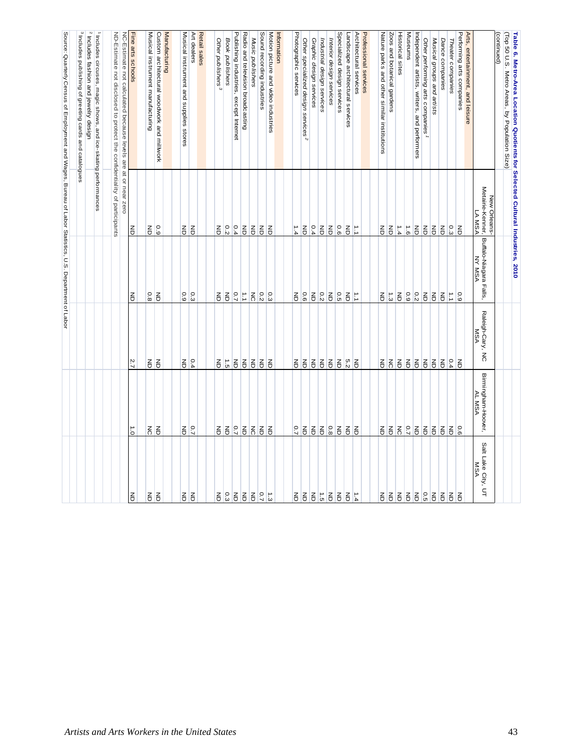|                         |                                           |                                      |                                  |                                           | Source: Quarterly Census of Employment and Wages, Bureau of Labor Statistics, U.S. Department of Labor |
|-------------------------|-------------------------------------------|--------------------------------------|----------------------------------|-------------------------------------------|--------------------------------------------------------------------------------------------------------|
|                         |                                           |                                      |                                  |                                           | $^{3}$ Includes<br>publishing of greeting cards and catalogues                                         |
|                         |                                           |                                      |                                  |                                           | 2 Includes fashion and jewelry design                                                                  |
|                         |                                           |                                      |                                  |                                           | 1 Includes circuses, magic shows, and ice-skating performances                                         |
|                         |                                           |                                      |                                  |                                           | ND-Estimate not disclosed to protect the confidentiality of participants                               |
|                         |                                           |                                      |                                  |                                           | NC-Estimate not calculated because levels are at or near zero                                          |
| $\overline{5}$          | $\vec{0}$                                 | 2.7                                  | $\overline{5}$                   | $\overline{6}$                            | Fine arts schools                                                                                      |
| $rac{2}{5}$             | $\overline{5}$                            | 高                                    | 0.8                              | $\frac{Z}{\Box}$                          | Musical instrument manufacturing                                                                       |
|                         | $\overline{6}$                            | $\overline{6}$                       | $\overline{6}$                   | 6.0                                       | Custom architectural woodwork and millwork                                                             |
|                         |                                           |                                      |                                  |                                           | Manufacturing                                                                                          |
| $\overline{6}$          | $\Xi$                                     | $\Xi$                                | 0.9                              | $\Xi$                                     | Musical instrument and supplies stores                                                                 |
| $\overline{5}$          | $\overline{2}$                            | 0.4                                  | 0.3                              | $\overline{5}$                            | Art dealers                                                                                            |
|                         |                                           |                                      |                                  |                                           | Retail sales                                                                                           |
| 5 5 5 3 3 5             | $\overline{6}$                            | $\Xi$                                | $\overline{\mathbf{e}}$          | $\overline{\mathbf{e}}$                   | Other publishers <sup>3</sup>                                                                          |
|                         | $\overline{6}$                            | $\frac{1}{5}$                        | $\overline{6}$                   | 0.2                                       | <b>Book</b> publishers                                                                                 |
|                         | $\frac{1}{2}$ $\frac{1}{6}$ $\frac{1}{6}$ | $\Xi$                                | $rac{1}{2}$                      | 0.4                                       | Publishing industries,<br>except Internet                                                              |
|                         |                                           | 55                                   |                                  | $\overline{6}$                            | Radio and television broadcasting                                                                      |
|                         |                                           |                                      | $\frac{2}{5}$                    | $\overline{6}$                            | Music publishers                                                                                       |
| $rac{1}{2}$ $rac{5}{2}$ | 1월 <u>5</u>                               | $\overline{6}$                       | 0.3                              | $\overline{6}$                            | Sound recording industries                                                                             |
|                         |                                           | $\overline{6}$                       |                                  | E                                         | Motion picture and video industries                                                                    |
|                         |                                           |                                      |                                  |                                           | Information                                                                                            |
|                         | $\overline{C}$                            | 증                                    | 증                                | 1.4                                       | Photographic services                                                                                  |
|                         | $\overline{6}$                            | $\overline{6}$                       | 0.6                              | $\overline{6}$                            | Other specialized design services <sup>2</sup>                                                         |
|                         | E                                         | $\frac{Z}{\Box}$                     | $\overline{6}$                   | 0.4                                       | Graphic design services                                                                                |
|                         | $rac{6}{6}$                               | $\overline{6}$                       | 0.2                              | $\overline{5}$                            | Industrial design services                                                                             |
| 5577                    |                                           | $\overline{6}$                       | $\overline{6}$                   | $\overline{6}$                            | Interior design services                                                                               |
|                         | E                                         | E                                    | $\frac{5}{10}$                   | 0.6                                       | Specialized design services<br>Landscape architectural services                                        |
| $\overrightarrow{5}$    | 55                                        | $rac{6}{5}$                          | E                                | $\overrightarrow{5}$                      | Architectural services                                                                                 |
|                         |                                           |                                      |                                  |                                           | Professional services                                                                                  |
| 증                       | $\overline{6}$                            | 종                                    | 종                                | 종                                         | Nature parks and other similar institutions                                                            |
|                         | 55                                        | $\overline{5}$                       | $\frac{1}{3}$                    | E                                         | Zoos and botanical gardens                                                                             |
|                         |                                           | $\overline{6}$                       | $\overline{6}$                   | $\frac{1}{4}$                             | <b>Historical sites</b>                                                                                |
|                         | $\frac{1}{2}$ $\frac{1}{2}$               | 55                                   | 6.0                              | $\frac{1}{9}$                             | Museums                                                                                                |
| <b>666686666</b>        |                                           |                                      | $\frac{0.2}{2}$                  | $\overline{5}$                            | Independent artists, writers, and performers                                                           |
|                         | E                                         | $\overline{6}$                       | $\overline{5}$                   | $\overline{5}$                            | Other performing arts companies                                                                        |
|                         |                                           | $\overline{6}$                       | $\overline{6}$                   | $\overline{6}$                            | Musical groups and artists                                                                             |
|                         | 55                                        | $\overline{6}$                       | $\overline{5}$                   | $\overline{6}$                            | Dance companies                                                                                        |
|                         | $\frac{2}{6}$                             | 0.4                                  | $\mathbb{Z}$                     | $\frac{1}{3}$                             | Theater companies                                                                                      |
|                         |                                           | $\overline{6}$                       | 6.9                              |                                           | Arts, entertainment, and let<br>Performing arts companies<br>entertainment, and leisure                |
|                         |                                           |                                      |                                  |                                           |                                                                                                        |
| Lake City, UT<br>MSA    | Birmingham-Hoover,<br>AL MSA<br>Salt      | Raleigh-Cary, NC<br>Raleigh-Cary, NC | Buffalo-Niagara Falls,<br>NY MSA | Metairie-Kenner,<br>LA MSA<br>New Orleans |                                                                                                        |
|                         |                                           |                                      |                                  |                                           | (continued)                                                                                            |
|                         |                                           |                                      |                                  |                                           | (Top 50 U.S. Metro Areas, by Population Size)                                                          |
|                         |                                           |                                      |                                  |                                           | Table 6. Metro-Area Location Quotients for Selected Cultural Industries, 2010                          |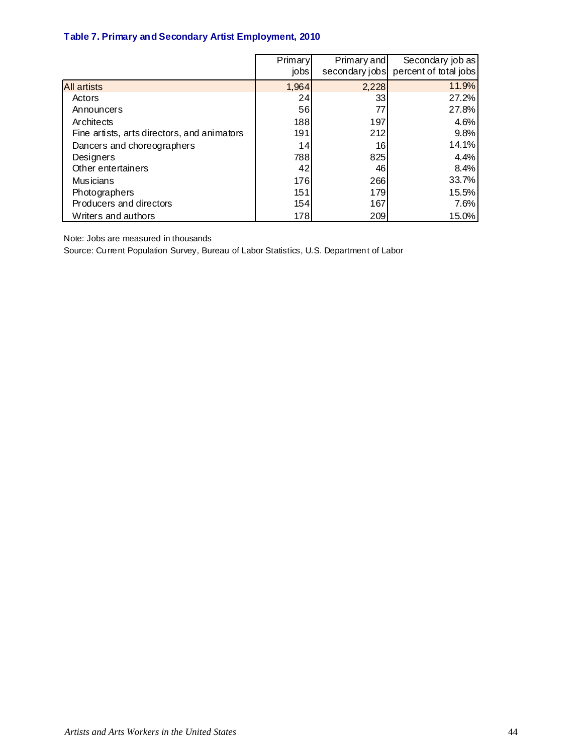### **Table 7. Primary and Secondary Artist Employment, 2010**

|                                             | Primary | Primary and    | Secondary job as      |
|---------------------------------------------|---------|----------------|-----------------------|
|                                             | jobs    | secondary jobs | percent of total jobs |
| <b>All artists</b>                          | 1,964   | 2,228          | 11.9%                 |
| Actors                                      | 24      | 33             | 27.2%                 |
| Announcers                                  | 56      | 77             | 27.8%                 |
| Architects                                  | 188     | 197            | 4.6%                  |
| Fine artists, arts directors, and animators | 191     | 212            | 9.8%                  |
| Dancers and choreographers                  | 14      | 16             | 14.1%                 |
| Designers                                   | 788     | 825            | 4.4%                  |
| Other entertainers                          | 42      | 46             | 8.4%                  |
| <b>Musicians</b>                            | 176     | 266            | 33.7%                 |
| Photographers                               | 151     | 179            | 15.5%                 |
| Producers and directors                     | 154     | 167            | 7.6%                  |
| Writers and authors                         | 178     | 209            | 15.0%                 |

Note: Jobs are measured in thousands

Source: Current Population Survey, Bureau of Labor Statistics, U.S. Department of Labor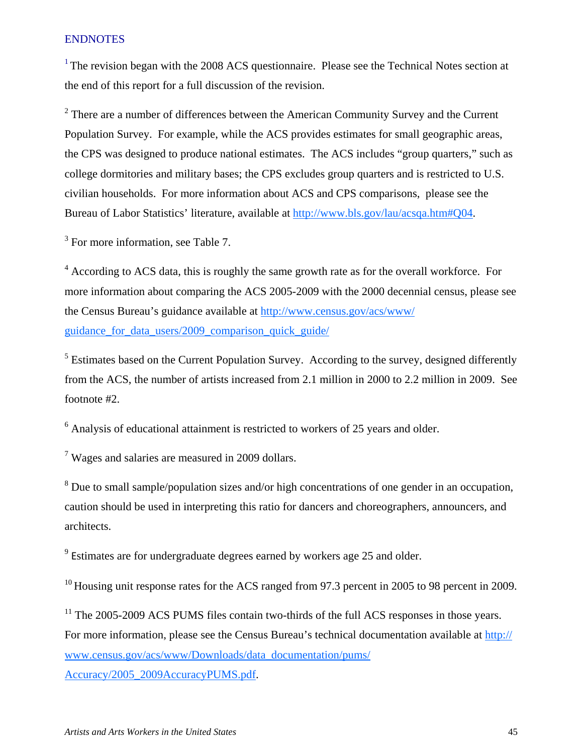### **ENDNOTES**

 $1$ <sup>1</sup> The revision began with the 2008 ACS questionnaire. Please see the Technical Notes section at the end of this report for a full discussion of the revision.

 $2^2$  There are a number of differences between the American Community Survey and the Current Population Survey. For example, while the ACS provides estimates for small geographic areas, the CPS was designed to produce national estimates. The ACS includes "group quarters," such as college dormitories and military bases; the CPS excludes group quarters and is restricted to U.S. civilian households. For more information about ACS and CPS comparisons, please see the Bureau of Labor Statistics' literature, available at http://www.bls.gov/lau/acsqa.htm#Q04.

<sup>3</sup> For more information, see Table 7.

<sup>4</sup> According to ACS data, this is roughly the same growth rate as for the overall workforce. For more information about comparing the ACS 2005-2009 with the 2000 decennial census, please see the Census Bureau's guidance available at http://www.census.gov/acs/www/ guidance for data users/2009 comparison quick guide/

 $<sup>5</sup>$  Estimates based on the Current Population Survey. According to the survey, designed differently</sup> from the ACS, the number of artists increased from 2.1 million in 2000 to 2.2 million in 2009. See footnote #2.

 $6$  Analysis of educational attainment is restricted to workers of 25 years and older.

 $7$  Wages and salaries are measured in 2009 dollars.

 $8$  Due to small sample/population sizes and/or high concentrations of one gender in an occupation, caution should be used in interpreting this ratio for dancers and choreographers, announcers, and architects.

<sup>9</sup> Estimates are for undergraduate degrees earned by workers age 25 and older.

<sup>10</sup> Housing unit response rates for the ACS ranged from 97.3 percent in 2005 to 98 percent in 2009.

 $11$  The 2005-2009 ACS PUMS files contain two-thirds of the full ACS responses in those years. For more information, please see the Census Bureau's technical documentation available at http:// www.census.gov/acs/www/Downloads/data\_documentation/pums/

Accuracy/2005\_2009AccuracyPUMS.pdf.